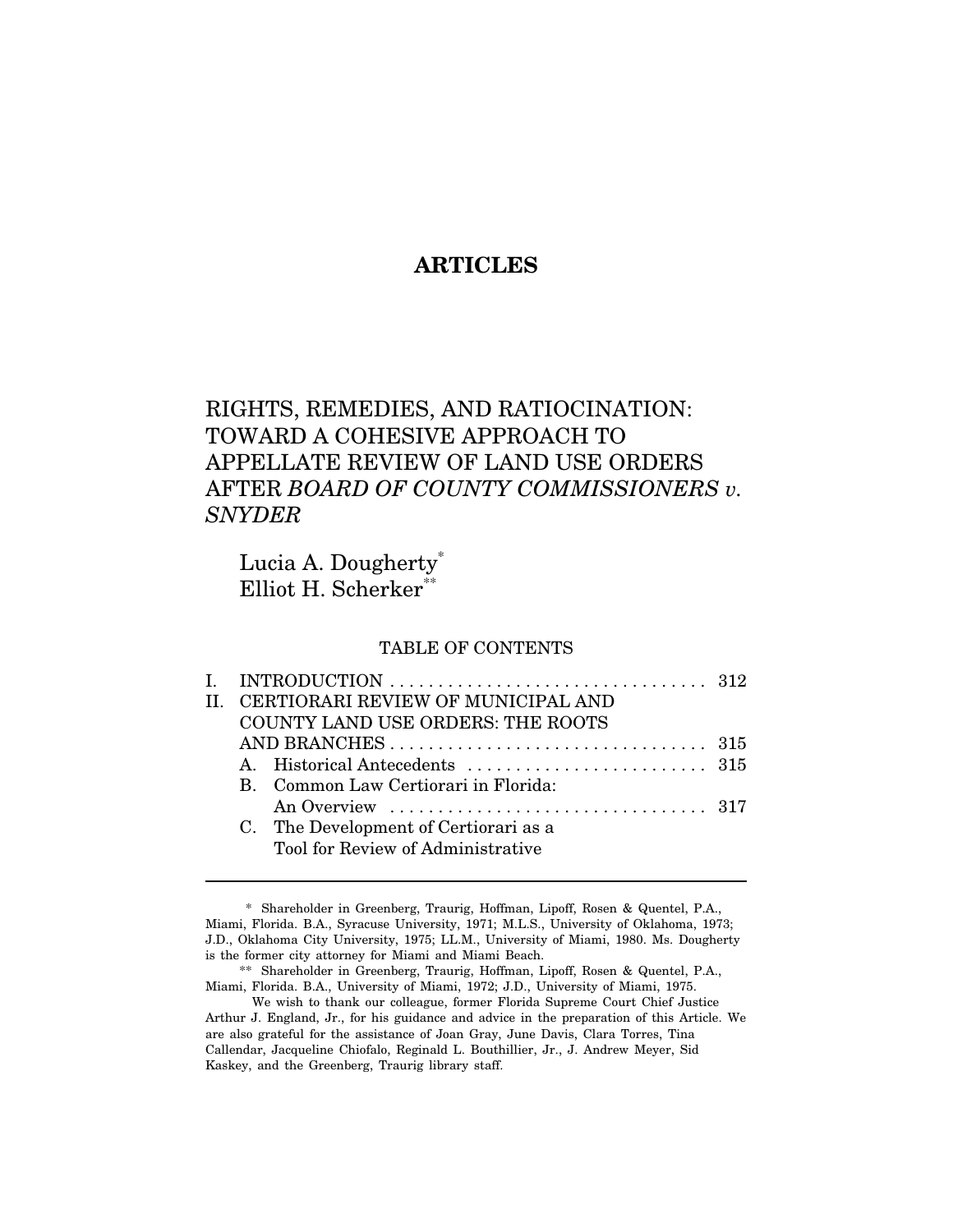# **ARTICLES**

# RIGHTS, REMEDIES, AND RATIOCINATION: TOWARD A COHESIVE APPROACH TO APPELLATE REVIEW OF LAND USE ORDERS AFTER *BOARD OF COUNTY COMMISSIONERS v. SNYDER*

Lucia A. Dougherty<sup>\*</sup> Elliot H. Scherker\*

### TABLE OF CONTENTS

|                                   | II. CERTIORARI REVIEW OF MUNICIPAL AND |  |  |
|-----------------------------------|----------------------------------------|--|--|
| COUNTY LAND USE ORDERS: THE ROOTS |                                        |  |  |
|                                   |                                        |  |  |
|                                   |                                        |  |  |
|                                   | B. Common Law Certiorari in Florida:   |  |  |
|                                   |                                        |  |  |
|                                   | C. The Development of Certiorari as a  |  |  |
|                                   | Tool for Review of Administrative      |  |  |

<sup>\*</sup> Shareholder in Greenberg, Traurig, Hoffman, Lipoff, Rosen & Quentel, P.A., Miami, Florida. B.A., Syracuse University, 1971; M.L.S., University of Oklahoma, 1973; J.D., Oklahoma City University, 1975; LL.M., University of Miami, 1980. Ms. Dougherty is the former city attorney for Miami and Miami Beach.

<sup>\*\*</sup> Shareholder in Greenberg, Traurig, Hoffman, Lipoff, Rosen & Quentel, P.A., Miami, Florida. B.A., University of Miami, 1972; J.D., University of Miami, 1975.

We wish to thank our colleague, former Florida Supreme Court Chief Justice Arthur J. England, Jr., for his guidance and advice in the preparation of this Article. We are also grateful for the assistance of Joan Gray, June Davis, Clara Torres, Tina Callendar, Jacqueline Chiofalo, Reginald L. Bouthillier, Jr., J. Andrew Meyer, Sid Kaskey, and the Greenberg, Traurig library staff.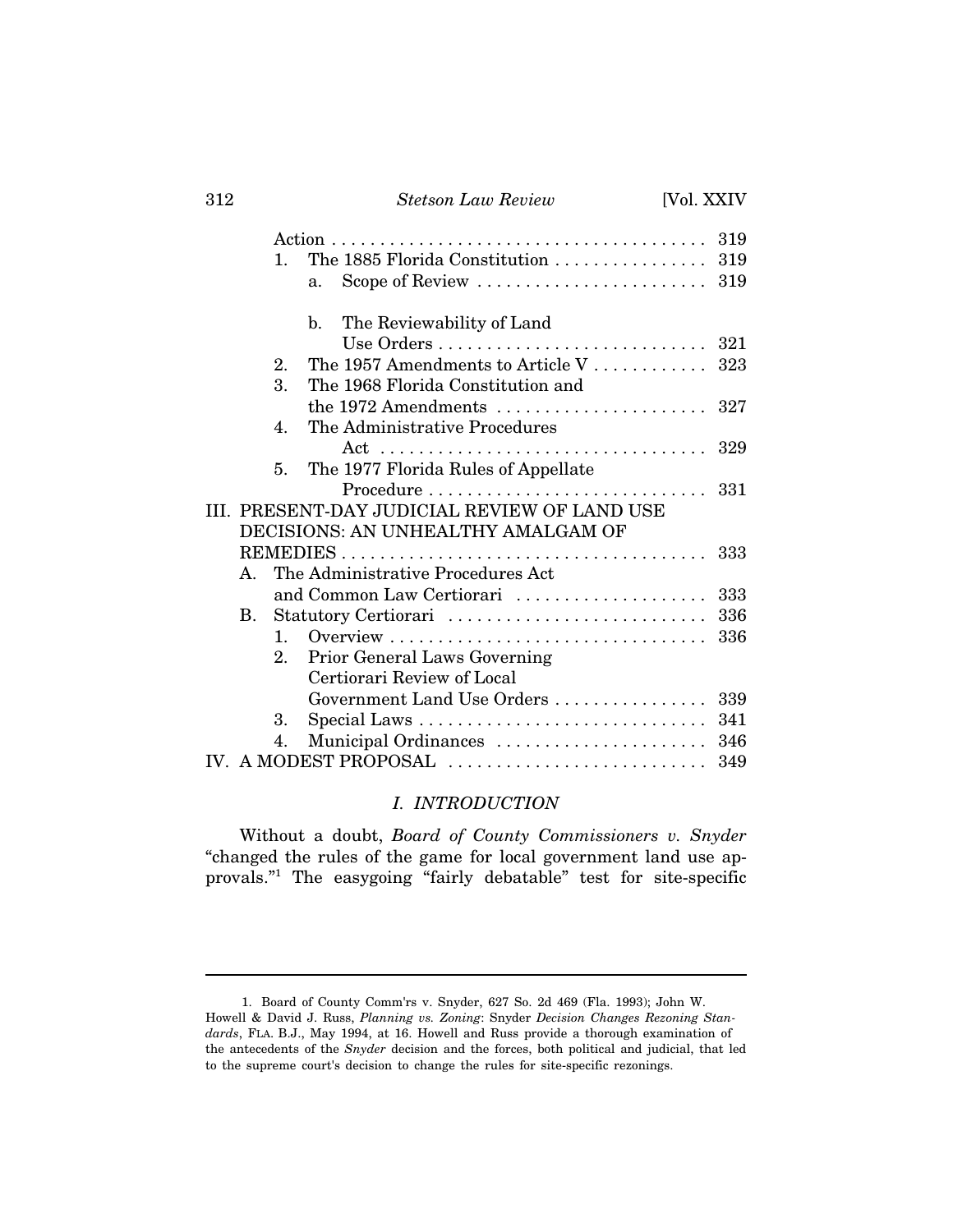## 312 *Stetson Law Review* [Vol. XXIV

|                                              | $1_{-}$        | The 1885 Florida Constitution $\ldots \ldots \ldots \ldots \ldots$ 319           |     |  |  |
|----------------------------------------------|----------------|----------------------------------------------------------------------------------|-----|--|--|
|                                              |                | Scope of Review $\dots\dots\dots\dots\dots\dots\dots\dots$ 319<br>a <sub>1</sub> |     |  |  |
|                                              |                |                                                                                  |     |  |  |
|                                              |                | $h_{-}$<br>The Reviewability of Land                                             |     |  |  |
|                                              |                |                                                                                  |     |  |  |
|                                              | $2_{\cdot}$    | The 1957 Amendments to Article V                                                 | 323 |  |  |
|                                              | 3.             | The 1968 Florida Constitution and                                                |     |  |  |
|                                              |                | the 1972 Amendments $\dots\dots\dots\dots\dots\dots\dots$ 327                    |     |  |  |
|                                              | $\mathbf{4}$ . | The Administrative Procedures                                                    |     |  |  |
|                                              |                |                                                                                  |     |  |  |
|                                              | 5 <sub>1</sub> | The 1977 Florida Rules of Appellate                                              |     |  |  |
|                                              |                | Procedure  331                                                                   |     |  |  |
| III. PRESENT-DAY JUDICIAL REVIEW OF LAND USE |                |                                                                                  |     |  |  |
|                                              |                | DECISIONS: AN UNHEALTHY AMALGAM OF                                               |     |  |  |
|                                              |                |                                                                                  | 333 |  |  |
| $\mathbf{A}$                                 |                | The Administrative Procedures Act                                                |     |  |  |
|                                              |                | and Common Law Certiorari                                                        | 333 |  |  |
| $\mathbf{B}$ .                               |                | Statutory Certiorari                                                             | 336 |  |  |
|                                              | $1 \quad$      |                                                                                  | 336 |  |  |
|                                              | $2_{-}$        | Prior General Laws Governing                                                     |     |  |  |
|                                              |                | Certiorari Review of Local                                                       |     |  |  |
|                                              |                | Government Land Use Orders                                                       | 339 |  |  |
|                                              | 3.             |                                                                                  |     |  |  |
|                                              | 4.             | Municipal Ordinances  346                                                        |     |  |  |
|                                              |                |                                                                                  |     |  |  |
|                                              |                |                                                                                  |     |  |  |

## *I. INTRODUCTION*

Without a doubt, *Board of County Commissioners v. Snyder* "changed the rules of the game for local government land use approvals."1 The easygoing "fairly debatable" test for site-specific

<sup>1.</sup> Board of County Comm'rs v. Snyder, 627 So. 2d 469 (Fla. 1993); John W. Howell & David J. Russ, *Planning vs. Zoning*: Snyder *Decision Changes Rezoning Standards*, FLA. B.J., May 1994, at 16. Howell and Russ provide a thorough examination of the antecedents of the *Snyder* decision and the forces, both political and judicial, that led to the supreme court's decision to change the rules for site-specific rezonings.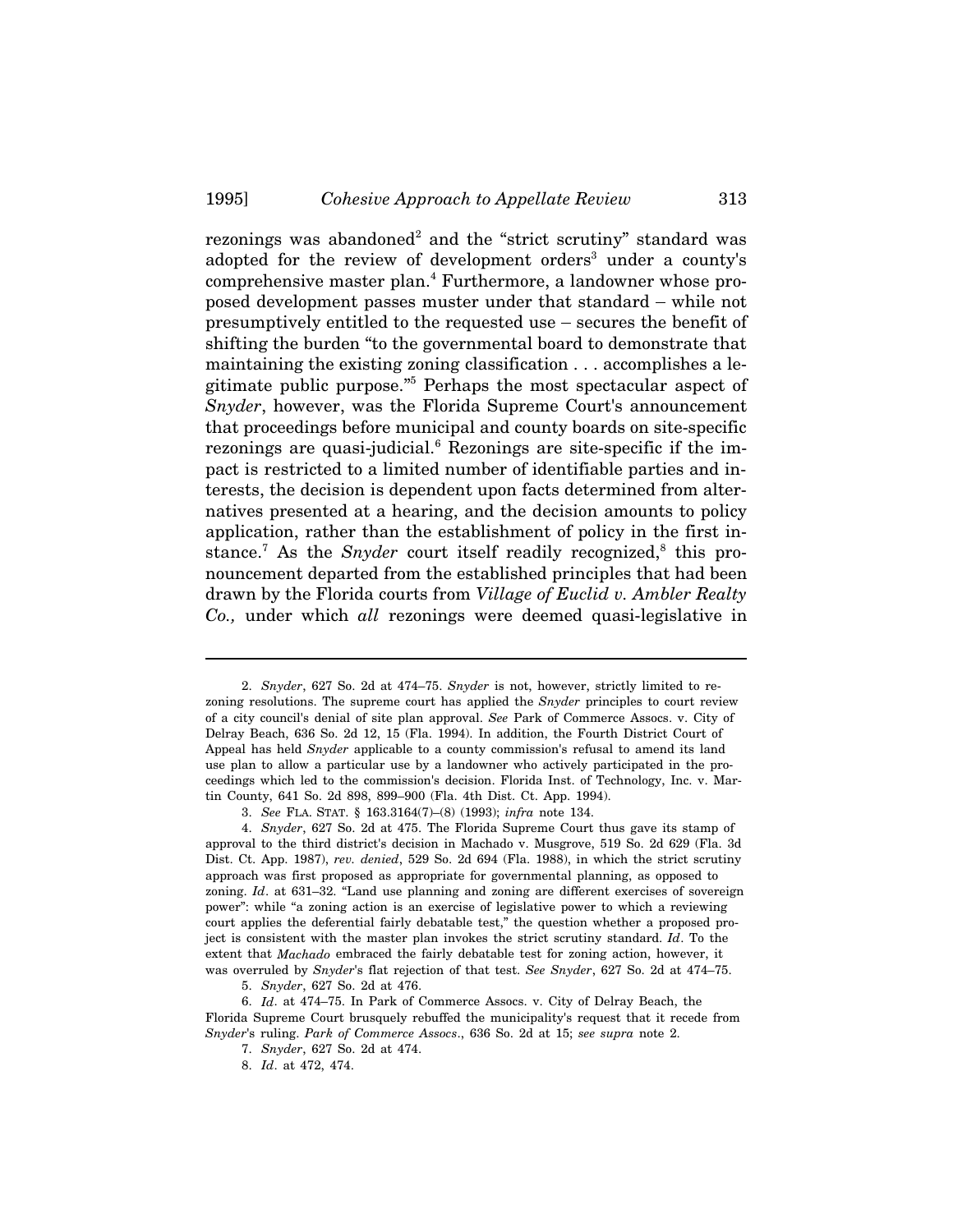rezonings was abandoned<sup>2</sup> and the "strict scrutiny" standard was adopted for the review of development orders<sup>3</sup> under a county's comprehensive master plan.<sup>4</sup> Furthermore, a landowner whose prorezonings was abandoned<sup>2</sup> and the "strict scrutiny" standard was<br>adopted for the review of development orders<sup>3</sup> under a county's<br>comprehensive master plan.<sup>4</sup> Furthermore, a landowner whose pro-<br>posed development passes rezonings was abandoned<sup>-</sup> and the "strict scrutiny" standard was<br>adopted for the review of development orders<sup>3</sup> under a county's<br>comprehensive master plan.<sup>4</sup> Furthermore, a landowner whose pro-<br>posed development passes shifting the burden "to the governmental board to demonstrate that maintaining the existing zoning classification . . . accomplishes a legitimate public purpose."5 Perhaps the most spectacular aspect of *Snyder*, however, was the Florida Supreme Court's announcement that proceedings before municipal and county boards on site-specific rezonings are quasi-judicial.<sup>6</sup> Rezonings are site-specific if the impact is restricted to a limited number of identifiable parties and interests, the decision is dependent upon facts determined from alternatives presented at a hearing, and the decision amounts to policy application, rather than the establishment of policy in the first instance.<sup>7</sup> As the *Snyder* court itself readily recognized,<sup>8</sup> this pronouncement departed from the established principles that had been drawn by the Florida courts from *Village of Euclid v. Ambler Realty Co.,* under which *all* rezonings were deemed quasi-legislative in

<sup>2.</sup> *Snyder*, 627 So. 2d at 474–75. *Snyder* is not, however, strictly limited to rezoning resolutions. The supreme court has applied the *Snyder* principles to court review of a city council's denial of site plan approval. *See* Park of Commerce Assocs. v. City of Delray Beach, 636 So. 2d 12, 15 (Fla. 1994). In addition, the Fourth District Court of Appeal has held *Snyder* applicable to a county commission's refusal to amend its land use plan to allow a particular use by a landowner who actively participated in the proceedings which led to the commission's decision. Florida Inst. of Technology, Inc. v. Martin County, 641 So. 2d 898, 899–900 (Fla. 4th Dist. Ct. App. 1994).

<sup>3.</sup> *See* FLA. STAT. § 163.3164(7)–(8) (1993); *infra* note 134.

<sup>4.</sup> *Snyder*, 627 So. 2d at 475. The Florida Supreme Court thus gave its stamp of approval to the third district's decision in Machado v. Musgrove, 519 So. 2d 629 (Fla. 3d Dist. Ct. App. 1987), *rev. denied*, 529 So. 2d 694 (Fla. 1988), in which the strict scrutiny approach was first proposed as appropriate for governmental planning, as opposed to zoning. *Id.* at 631–32. "Land use planning and zoning are different exercises of sovereign power": while "a zoning action is an exercise of legislative power to which a reviewing court applies the deferential fairly debatable test," the question whether a proposed project is consistent with the master plan invokes the strict scrutiny standard. *Id*. To the extent that *Machado* embraced the fairly debatable test for zoning action, however, it was overruled by *Snyder*'s flat rejection of that test. *See Snyder*, 627 So. 2d at 474–75.

<sup>5.</sup> *Snyder*, 627 So. 2d at 476.

<sup>6.</sup> *Id*. at 474–75. In Park of Commerce Assocs. v. City of Delray Beach, the Florida Supreme Court brusquely rebuffed the municipality's request that it recede from *Snyder*'s ruling. *Park of Commerce Assocs*., 636 So. 2d at 15; *see supra* note 2.

<sup>7.</sup> *Snyder*, 627 So. 2d at 474.

<sup>8.</sup> *Id*. at 472, 474.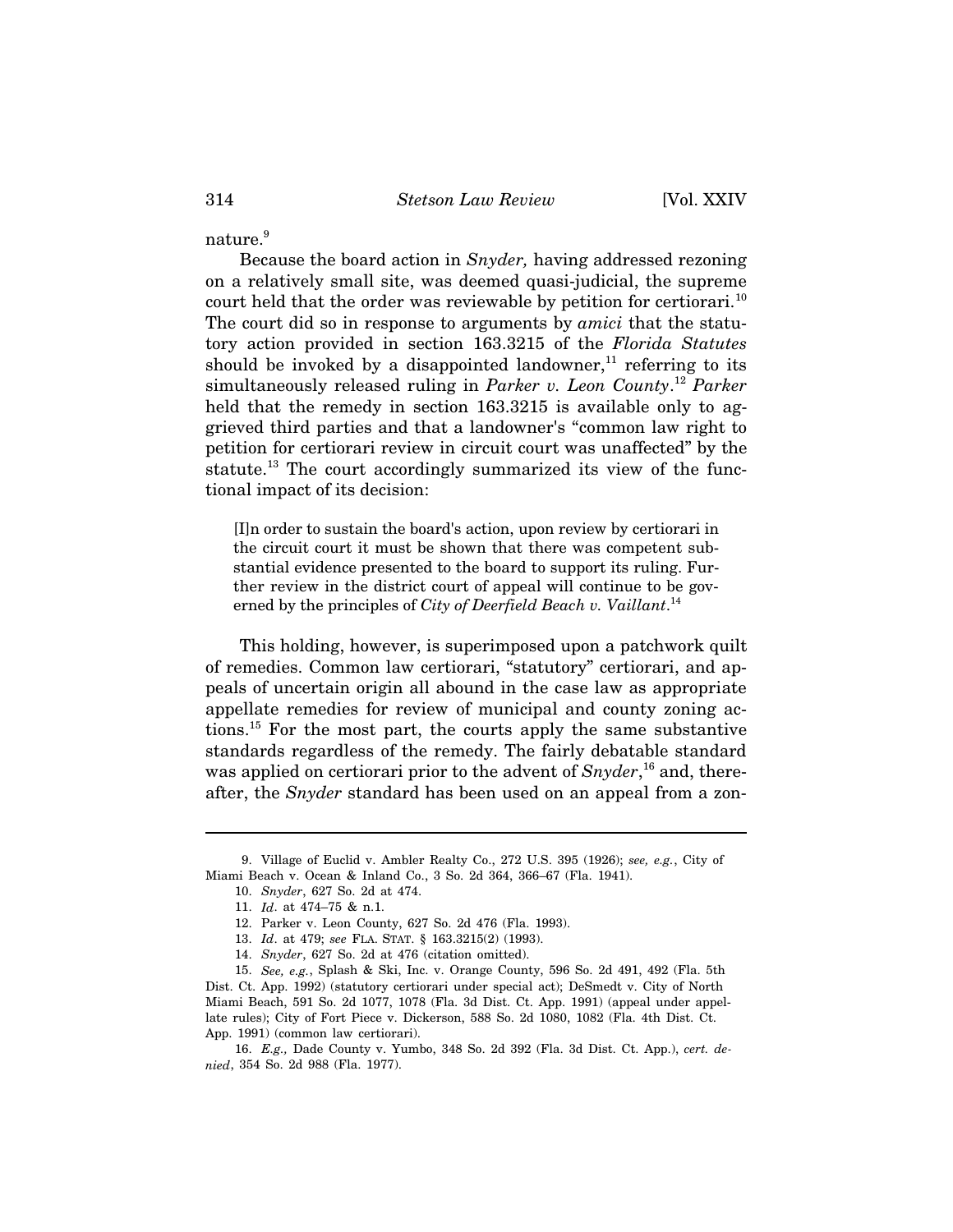nature.<sup>9</sup>

Because the board action in *Snyder,* having addressed rezoning on a relatively small site, was deemed quasi-judicial, the supreme court held that the order was reviewable by petition for certiorari.<sup>10</sup> The court did so in response to arguments by *amici* that the statutory action provided in section 163.3215 of the *Florida Statutes* should be invoked by a disappointed landowner,<sup>11</sup> referring to its simultaneously released ruling in *Parker v. Leon County*. <sup>12</sup> *Parker* held that the remedy in section  $163.3215$  is available only to aggrieved third parties and that a landowner's "common law right to petition for certiorari review in circuit court was unaffected" by the statute.<sup>13</sup> The court accordingly summarized its view of the functional impact of its decision:

[I]n order to sustain the board's action, upon review by certiorari in the circuit court it must be shown that there was competent substantial evidence presented to the board to support its ruling. Further review in the district court of appeal will continue to be governed by the principles of *City of Deerfield Beach v. Vaillant*. 14

This holding, however, is superimposed upon a patchwork quilt of remedies. Common law certiorari, "statutory" certiorari, and appeals of uncertain origin all abound in the case law as appropriate appellate remedies for review of municipal and county zoning actions.15 For the most part, the courts apply the same substantive standards regardless of the remedy. The fairly debatable standard was applied on certiorari prior to the advent of *Snyder*, 16 and, thereafter, the *Snyder* standard has been used on an appeal from a zon-

14. *Snyder*, 627 So. 2d at 476 (citation omitted).

<sup>9.</sup> Village of Euclid v. Ambler Realty Co., 272 U.S. 395 (1926); *see, e.g.*, City of Miami Beach v. Ocean & Inland Co., 3 So. 2d 364, 366–67 (Fla. 1941).

<sup>10.</sup> *Snyder*, 627 So. 2d at 474.

<sup>11.</sup> *Id*. at 474–75 & n.1.

<sup>12.</sup> Parker v. Leon County, 627 So. 2d 476 (Fla. 1993).

<sup>13.</sup> *Id*. at 479; *see* FLA. STAT. § 163.3215(2) (1993).

<sup>15.</sup> *See, e.g.*, Splash & Ski, Inc. v. Orange County, 596 So. 2d 491, 492 (Fla. 5th Dist. Ct. App. 1992) (statutory certiorari under special act); DeSmedt v. City of North Miami Beach, 591 So. 2d 1077, 1078 (Fla. 3d Dist. Ct. App. 1991) (appeal under appellate rules); City of Fort Piece v. Dickerson, 588 So. 2d 1080, 1082 (Fla. 4th Dist. Ct. App. 1991) (common law certiorari).

<sup>16.</sup> *E.g.,* Dade County v. Yumbo, 348 So. 2d 392 (Fla. 3d Dist. Ct. App.), *cert. denied*, 354 So. 2d 988 (Fla. 1977).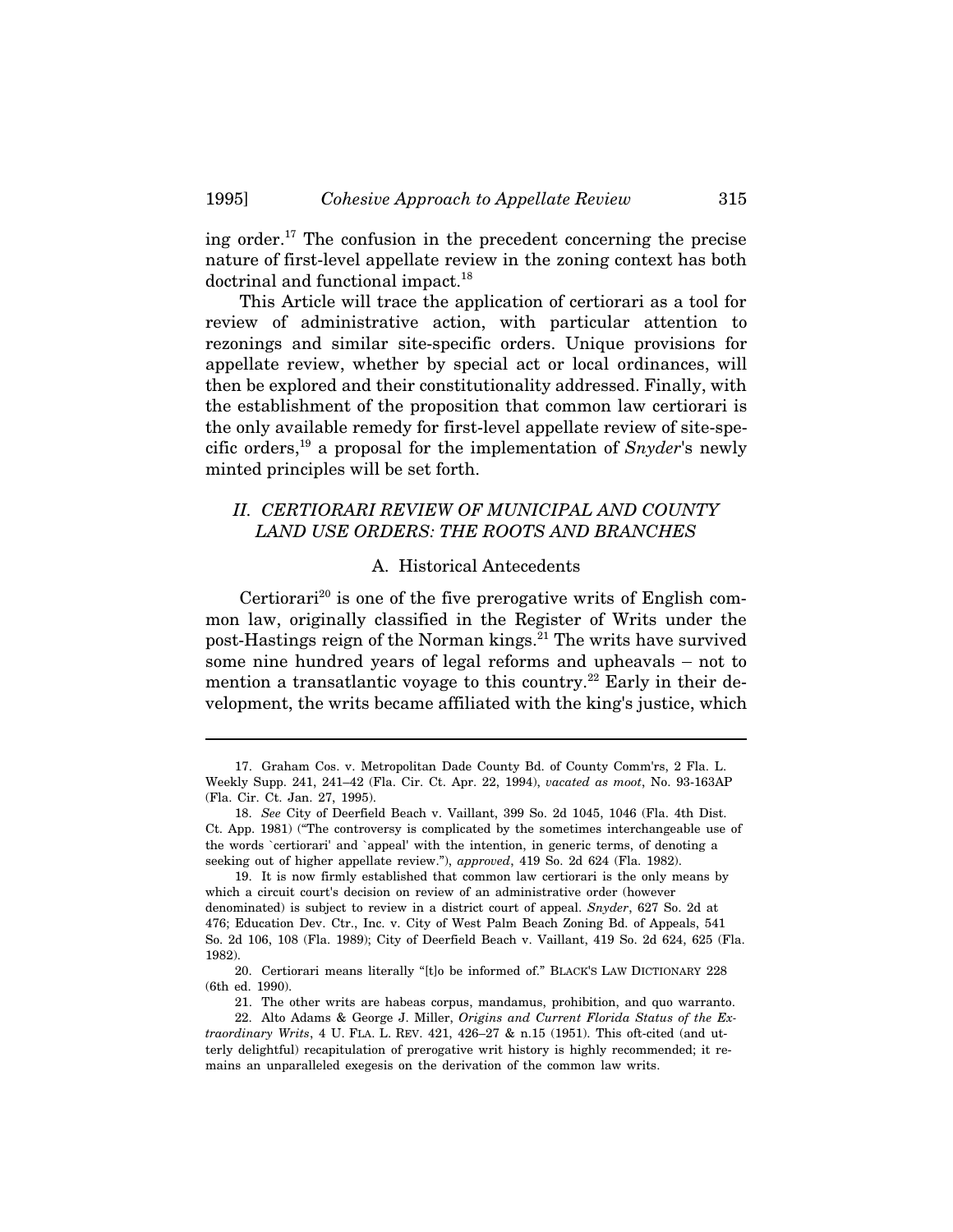ing order.<sup>17</sup> The confusion in the precedent concerning the precise nature of first-level appellate review in the zoning context has both doctrinal and functional impact.<sup>18</sup>

This Article will trace the application of certiorari as a tool for review of administrative action, with particular attention to rezonings and similar site-specific orders. Unique provisions for appellate review, whether by special act or local ordinances, will then be explored and their constitutionality addressed. Finally, with the establishment of the proposition that common law certiorari is the only available remedy for first-level appellate review of site-specific orders,19 a proposal for the implementation of *Snyder*'s newly minted principles will be set forth.

## *II. CERTIORARI REVIEW OF MUNICIPAL AND COUNTY LAND USE ORDERS: THE ROOTS AND BRANCHES*

#### A. Historical Antecedents

Certiorari<sup>20</sup> is one of the five prerogative writs of English common law, originally classified in the Register of Writs under the post-Hastings reign of the Norman kings.<sup>21</sup> The writs have survived Certiorari<sup>20</sup> is one of the five prerogative writs of English com-<br>mon law, originally classified in the Register of Writs under the<br>post-Hastings reign of the Norman kings.<sup>21</sup> The writs have survived<br>some nine hundred mention a transatlantic voyage to this country.<sup>22</sup> Early in their development, the writs became affiliated with the king's justice, which

<sup>17.</sup> Graham Cos. v. Metropolitan Dade County Bd. of County Comm'rs, 2 Fla. L. Weekly Supp. 241, 241–42 (Fla. Cir. Ct. Apr. 22, 1994), *vacated as moot*, No. 93-163AP (Fla. Cir. Ct. Jan. 27, 1995).

<sup>18.</sup> *See* City of Deerfield Beach v. Vaillant, 399 So. 2d 1045, 1046 (Fla. 4th Dist. Ct. App. 1981) ("The controversy is complicated by the sometimes interchangeable use of the words `certiorari' and `appeal' with the intention, in generic terms, of denoting a seeking out of higher appellate review."), *approved*, 419 So. 2d 624 (Fla. 1982).

<sup>19.</sup> It is now firmly established that common law certiorari is the only means by which a circuit court's decision on review of an administrative order (however denominated) is subject to review in a district court of appeal. *Snyder*, 627 So. 2d at 476; Education Dev. Ctr., Inc. v. City of West Palm Beach Zoning Bd. of Appeals, 541 So. 2d 106, 108 (Fla. 1989); City of Deerfield Beach v. Vaillant, 419 So. 2d 624, 625 (Fla. 1982).

<sup>20.</sup> Certiorari means literally "[t]o be informed of." BLACK'S LAW DICTIONARY 228 (6th ed. 1990).

<sup>21.</sup> The other writs are habeas corpus, mandamus, prohibition, and quo warranto.

<sup>22.</sup> Alto Adams & George J. Miller, *Origins and Current Florida Status of the Extraordinary Writs*, 4 U. FLA. L. REV. 421, 426–27 & n.15 (1951). This oft-cited (and utterly delightful) recapitulation of prerogative writ history is highly recommended; it remains an unparalleled exegesis on the derivation of the common law writs.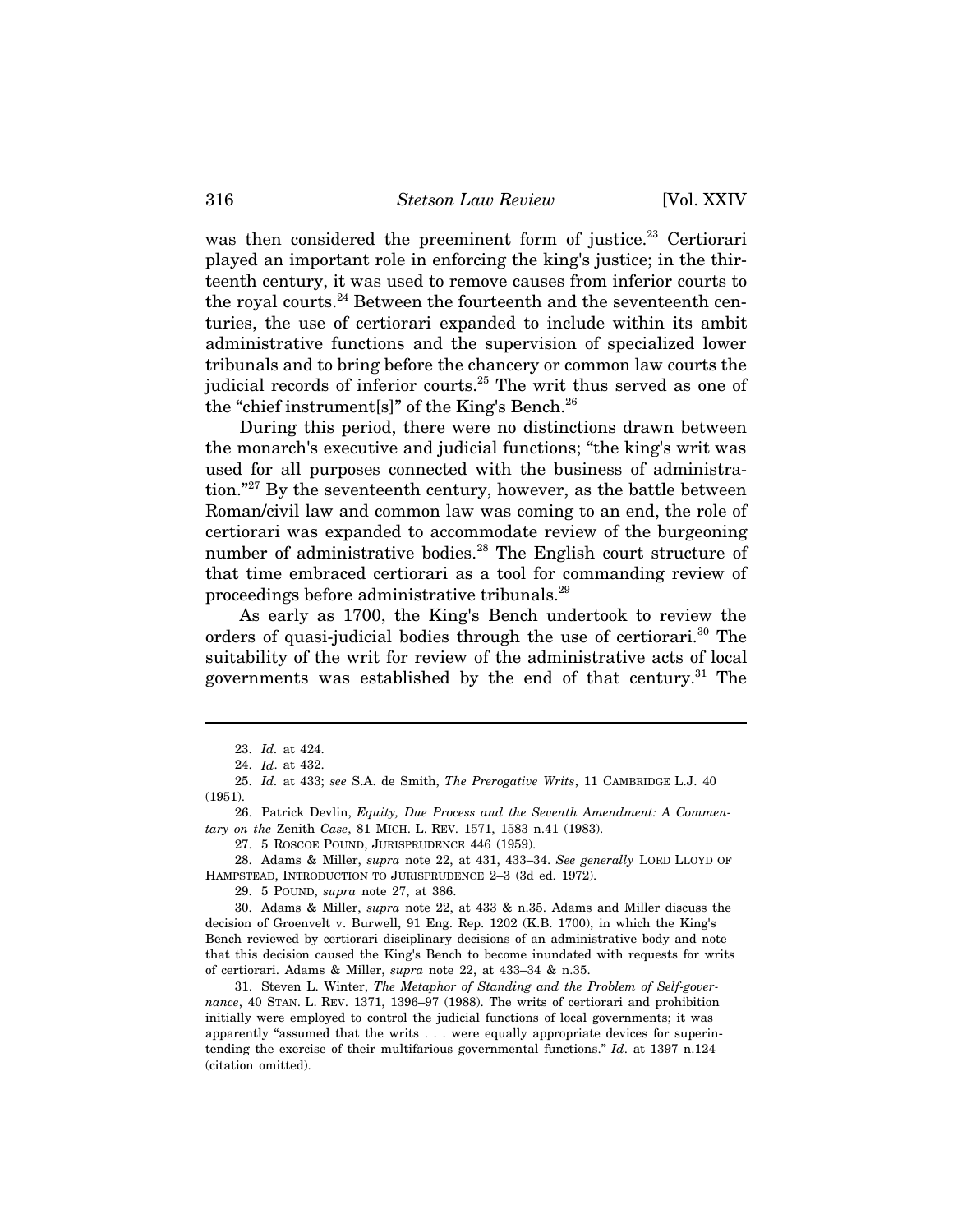was then considered the preeminent form of justice.<sup>23</sup> Certiorari played an important role in enforcing the king's justice; in the thirteenth century, it was used to remove causes from inferior courts to the royal courts.<sup>24</sup> Between the fourteenth and the seventeenth centuries, the use of certiorari expanded to include within its ambit administrative functions and the supervision of specialized lower tribunals and to bring before the chancery or common law courts the judicial records of inferior courts.<sup>25</sup> The writ thus served as one of the "chief instrument[s]" of the King's Bench.<sup>26</sup>

During this period, there were no distinctions drawn between the monarch's executive and judicial functions; "the king's writ was used for all purposes connected with the business of administration."27 By the seventeenth century, however, as the battle between Roman/civil law and common law was coming to an end, the role of certiorari was expanded to accommodate review of the burgeoning number of administrative bodies.<sup>28</sup> The English court structure of that time embraced certiorari as a tool for commanding review of proceedings before administrative tribunals.29

As early as 1700, the King's Bench undertook to review the orders of quasi-judicial bodies through the use of certiorari.<sup>30</sup> The suitability of the writ for review of the administrative acts of local governments was established by the end of that century.<sup>31</sup> The

26. Patrick Devlin, *Equity, Due Process and the Seventh Amendment: A Commentary on the* Zenith *Case*, 81 MICH. L. REV. 1571, 1583 n.41 (1983).

27. 5 ROSCOE POUND, JURISPRUDENCE 446 (1959).

28. Adams & Miller, *supra* note 22, at 431, 433–34. *See generally* LORD LLOYD OF HAMPSTEAD, INTRODUCTION TO JURISPRUDENCE 2–3 (3d ed. 1972).

29. 5 POUND, *supra* note 27, at 386.

30. Adams & Miller, *supra* note 22, at 433 & n.35. Adams and Miller discuss the decision of Groenvelt v. Burwell, 91 Eng. Rep. 1202 (K.B. 1700), in which the King's Bench reviewed by certiorari disciplinary decisions of an administrative body and note that this decision caused the King's Bench to become inundated with requests for writs of certiorari. Adams & Miller, *supra* note 22, at 433–34 & n.35.

31. Steven L. Winter, *The Metaphor of Standing and the Problem of Self-governance*, 40 STAN. L. REV. 1371, 1396–97 (1988). The writs of certiorari and prohibition initially were employed to control the judicial functions of local governments; it was apparently "assumed that the writs . . . were equally appropriate devices for superintending the exercise of their multifarious governmental functions." *Id*. at 1397 n.124 (citation omitted).

<sup>23.</sup> *Id.* at 424.

<sup>24.</sup> *Id*. at 432.

<sup>25.</sup> *Id.* at 433; *see* S.A. de Smith, *The Prerogative Writs*, 11 CAMBRIDGE L.J. 40 (1951).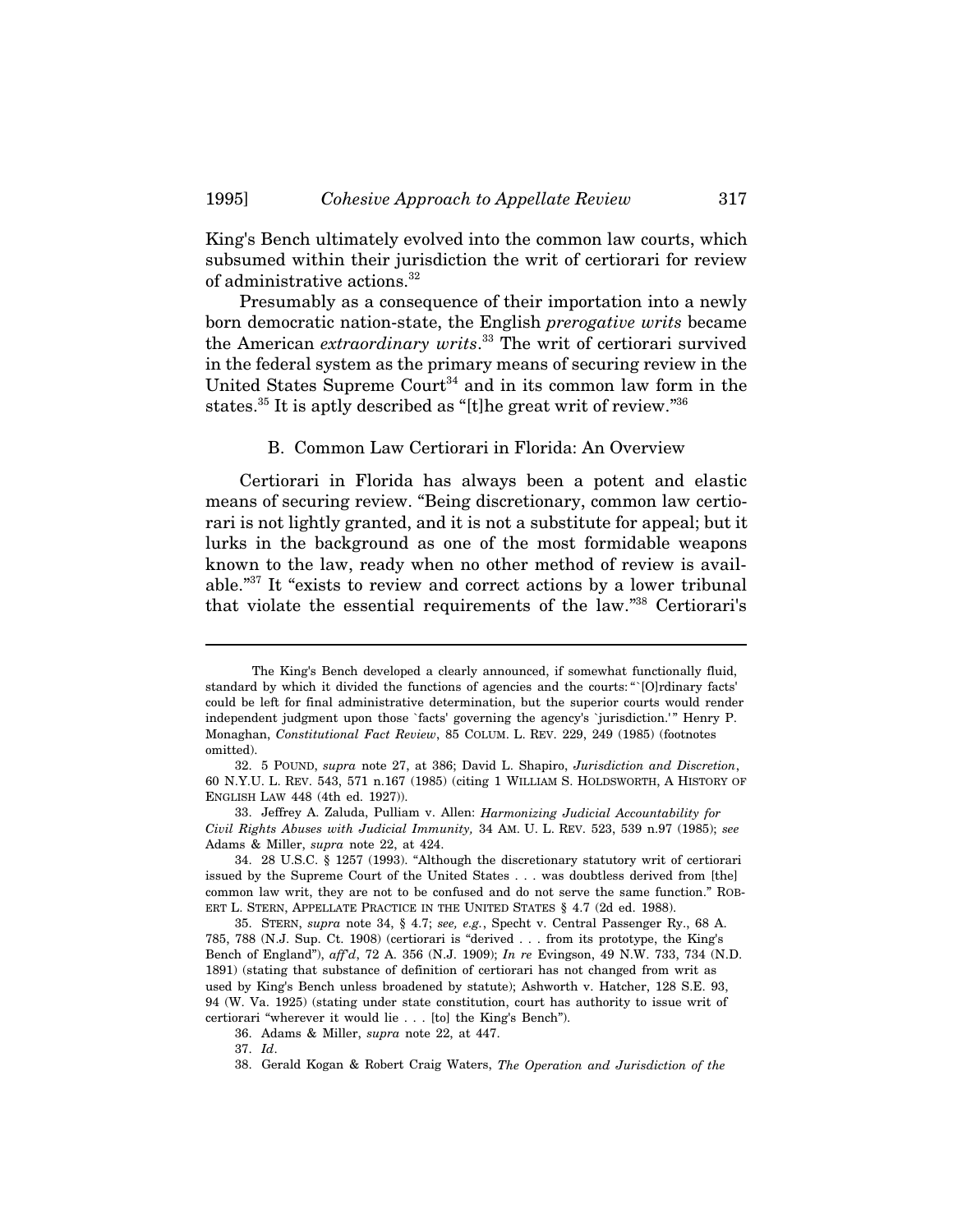King's Bench ultimately evolved into the common law courts, which subsumed within their jurisdiction the writ of certiorari for review of administrative actions.<sup>32</sup>

Presumably as a consequence of their importation into a newly born democratic nation-state, the English *prerogative writs* became the American *extraordinary writs*. 33 The writ of certiorari survived in the federal system as the primary means of securing review in the United States Supreme Court<sup>34</sup> and in its common law form in the states.<sup>35</sup> It is aptly described as "[t]he great writ of review."<sup>36</sup>

#### B. Common Law Certiorari in Florida: An Overview

Certiorari in Florida has always been a potent and elastic means of securing review. "Being discretionary, common law certiorari is not lightly granted, and it is not a substitute for appeal; but it lurks in the background as one of the most formidable weapons known to the law, ready when no other method of review is available."37 It "exists to review and correct actions by a lower tribunal that violate the essential requirements of the law."38 Certiorari's

The King's Bench developed a clearly announced, if somewhat functionally fluid, standard by which it divided the functions of agencies and the courts: "`[O]rdinary facts' could be left for final administrative determination, but the superior courts would render independent judgment upon those `facts' governing the agency's `jurisdiction.' " Henry P. Monaghan, *Constitutional Fact Review*, 85 COLUM. L. REV. 229, 249 (1985) (footnotes omitted).

<sup>32. 5</sup> POUND, *supra* note 27, at 386; David L. Shapiro, *Jurisdiction and Discretion*, 60 N.Y.U. L. REV. 543, 571 n.167 (1985) (citing 1 WILLIAM S. HOLDSWORTH, A HISTORY OF ENGLISH LAW 448 (4th ed. 1927)).

<sup>33.</sup> Jeffrey A. Zaluda, Pulliam v. Allen: *Harmonizing Judicial Accountability for Civil Rights Abuses with Judicial Immunity,* 34 AM. U. L. REV. 523, 539 n.97 (1985); *see* Adams & Miller, *supra* note 22, at 424.

<sup>34. 28</sup> U.S.C. § 1257 (1993). "Although the discretionary statutory writ of certiorari issued by the Supreme Court of the United States . . . was doubtless derived from [the] common law writ, they are not to be confused and do not serve the same function." ROB-ERT L. STERN, APPELLATE PRACTICE IN THE UNITED STATES § 4.7 (2d ed. 1988).

<sup>35.</sup> STERN, *supra* note 34, § 4.7; *see, e.g.*, Specht v. Central Passenger Ry., 68 A. 785, 788 (N.J. Sup. Ct. 1908) (certiorari is "derived . . . from its prototype, the King's Bench of England"), *aff'd*, 72 A. 356 (N.J. 1909); *In re* Evingson, 49 N.W. 733, 734 (N.D. 1891) (stating that substance of definition of certiorari has not changed from writ as used by King's Bench unless broadened by statute); Ashworth v. Hatcher, 128 S.E. 93, 94 (W. Va. 1925) (stating under state constitution, court has authority to issue writ of certiorari "wherever it would lie . . . [to] the King's Bench").

<sup>36.</sup> Adams & Miller, *supra* note 22, at 447.

<sup>37.</sup> *Id*.

<sup>38.</sup> Gerald Kogan & Robert Craig Waters, *The Operation and Jurisdiction of the*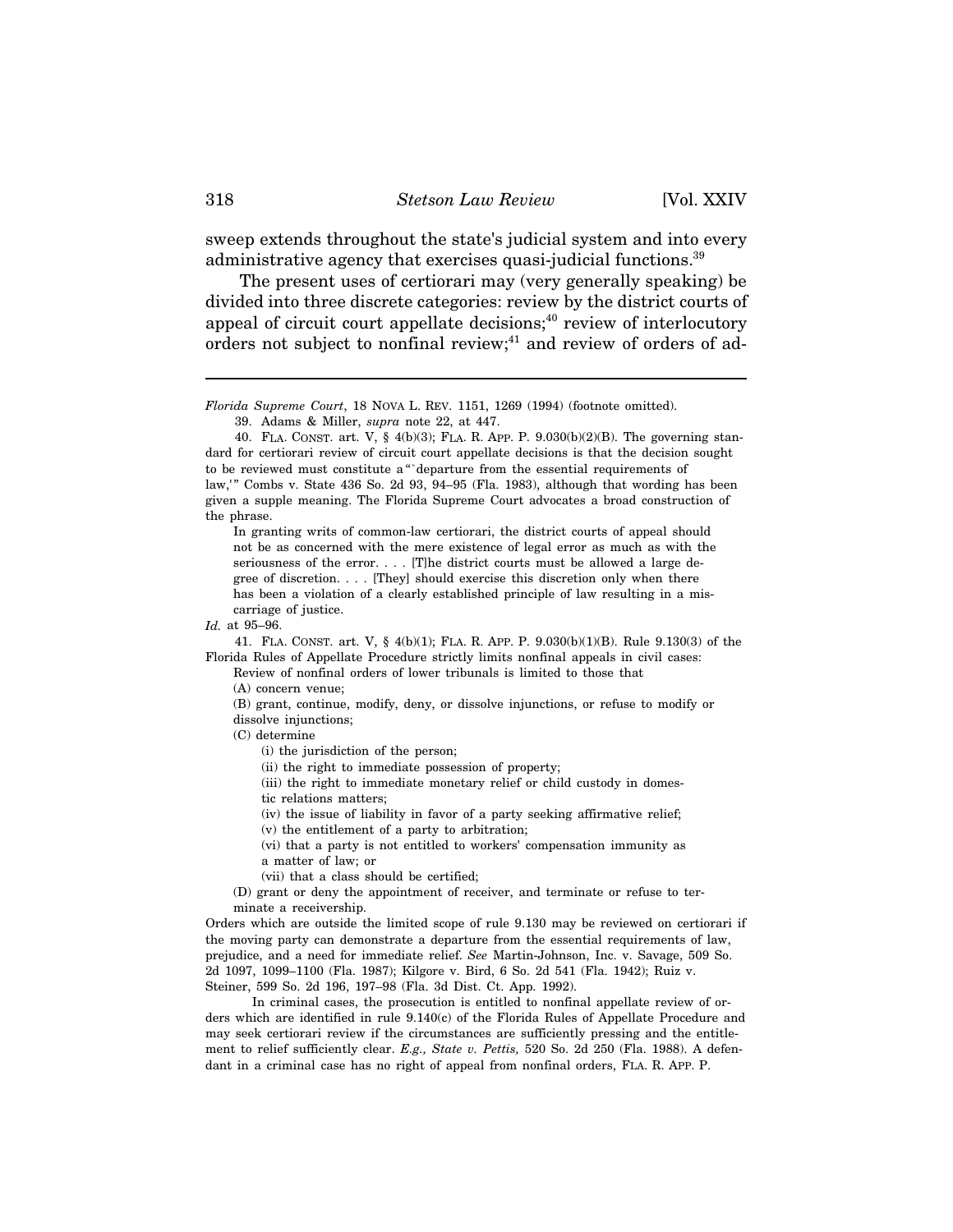sweep extends throughout the state's judicial system and into every administrative agency that exercises quasi-judicial functions.<sup>39</sup>

The present uses of certiorari may (very generally speaking) be divided into three discrete categories: review by the district courts of appeal of circuit court appellate decisions;<sup>40</sup> review of interlocutory orders not subject to nonfinal review; $41$  and review of orders of ad-

39. Adams & Miller, *supra* note 22, at 447.

In granting writs of common-law certiorari, the district courts of appeal should not be as concerned with the mere existence of legal error as much as with the seriousness of the error. . . . [T]he district courts must be allowed a large degree of discretion. . . . [They] should exercise this discretion only when there has been a violation of a clearly established principle of law resulting in a miscarriage of justice.

41. FLA. CONST. art. V, § 4(b)(1); FLA. R. APP. P. 9.030(b)(1)(B). Rule 9.130(3) of the Florida Rules of Appellate Procedure strictly limits nonfinal appeals in civil cases:

Review of nonfinal orders of lower tribunals is limited to those that (A) concern venue;

(B) grant, continue, modify, deny, or dissolve injunctions, or refuse to modify or dissolve injunctions;

(C) determine

(i) the jurisdiction of the person;

(ii) the right to immediate possession of property;

(iii) the right to immediate monetary relief or child custody in domestic relations matters;

(iv) the issue of liability in favor of a party seeking affirmative relief;

(v) the entitlement of a party to arbitration;

(vi) that a party is not entitled to workers' compensation immunity as a matter of law; or

(vii) that a class should be certified;

(D) grant or deny the appointment of receiver, and terminate or refuse to terminate a receivership.

Orders which are outside the limited scope of rule 9.130 may be reviewed on certiorari if the moving party can demonstrate a departure from the essential requirements of law, prejudice, and a need for immediate relief. *See* Martin-Johnson, Inc. v. Savage, 509 So. 2d 1097, 1099–1100 (Fla. 1987); Kilgore v. Bird, 6 So. 2d 541 (Fla. 1942); Ruiz v. Steiner, 599 So. 2d 196, 197–98 (Fla. 3d Dist. Ct. App. 1992).

In criminal cases, the prosecution is entitled to nonfinal appellate review of orders which are identified in rule 9.140(c) of the Florida Rules of Appellate Procedure and may seek certiorari review if the circumstances are sufficiently pressing and the entitlement to relief sufficiently clear. *E.g., State v. Pettis,* 520 So. 2d 250 (Fla. 1988). A defendant in a criminal case has no right of appeal from nonfinal orders, FLA. R. APP. P.

*Florida Supreme Court*, 18 NOVA L. REV. 1151, 1269 (1994) (footnote omitted).

<sup>40.</sup> FLA. CONST. art. V, § 4(b)(3); FLA. R. APP. P. 9.030(b)(2)(B). The governing standard for certiorari review of circuit court appellate decisions is that the decision sought to be reviewed must constitute a "`departure from the essential requirements of law,'" Combs v. State 436 So. 2d 93, 94–95 (Fla. 1983), although that wording has been given a supple meaning. The Florida Supreme Court advocates a broad construction of the phrase.

*Id.* at 95–96.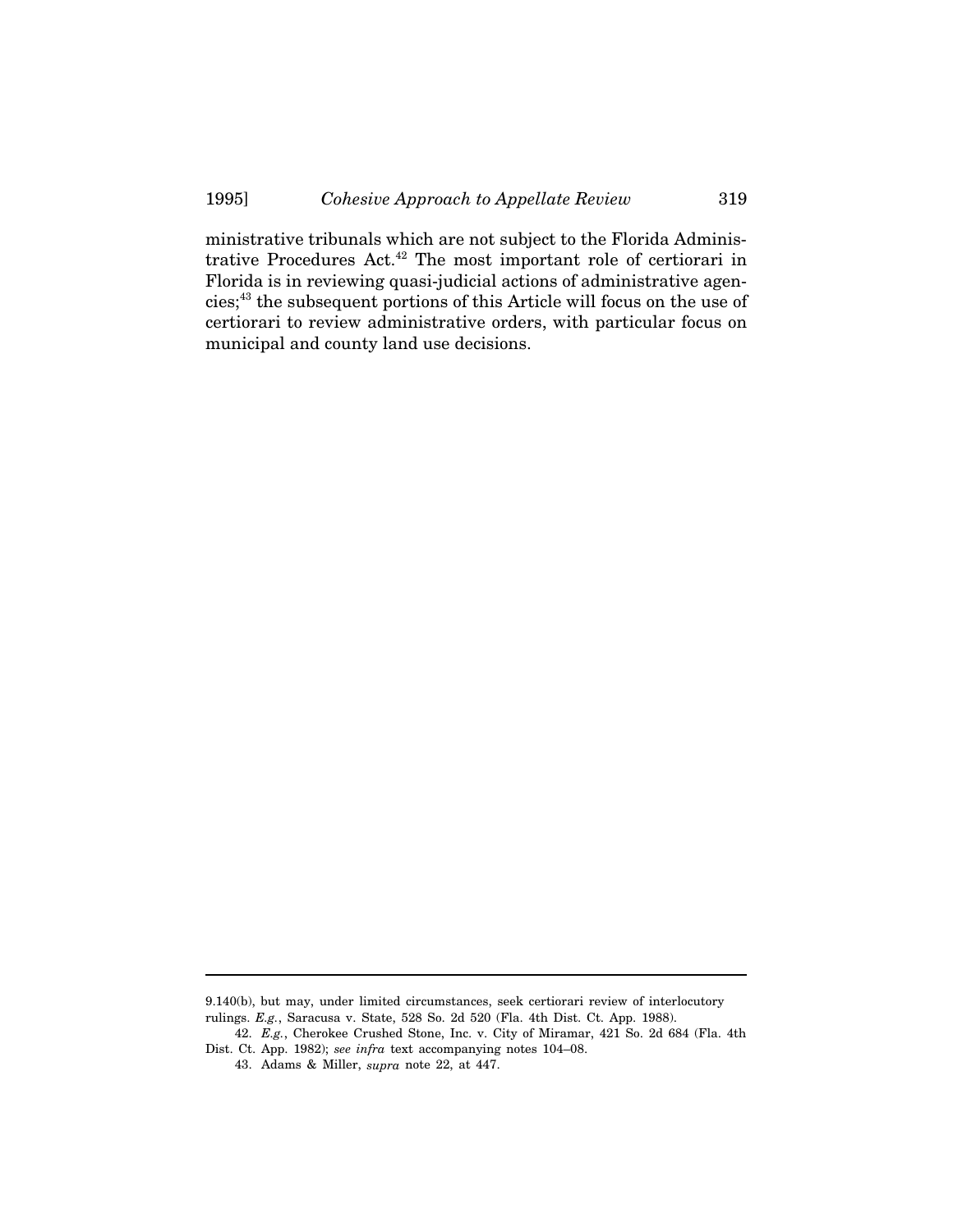ministrative tribunals which are not subject to the Florida Administrative Procedures Act.42 The most important role of certiorari in Florida is in reviewing quasi-judicial actions of administrative agencies;43 the subsequent portions of this Article will focus on the use of certiorari to review administrative orders, with particular focus on municipal and county land use decisions.

<sup>9.140(</sup>b), but may, under limited circumstances, seek certiorari review of interlocutory rulings. *E.g.*, Saracusa v. State, 528 So. 2d 520 (Fla. 4th Dist. Ct. App. 1988).

<sup>42.</sup> *E.g.*, Cherokee Crushed Stone, Inc. v. City of Miramar, 421 So. 2d 684 (Fla. 4th Dist. Ct. App. 1982); *see infra* text accompanying notes 104–08.

<sup>43.</sup> Adams & Miller, *supra* note 22, at 447.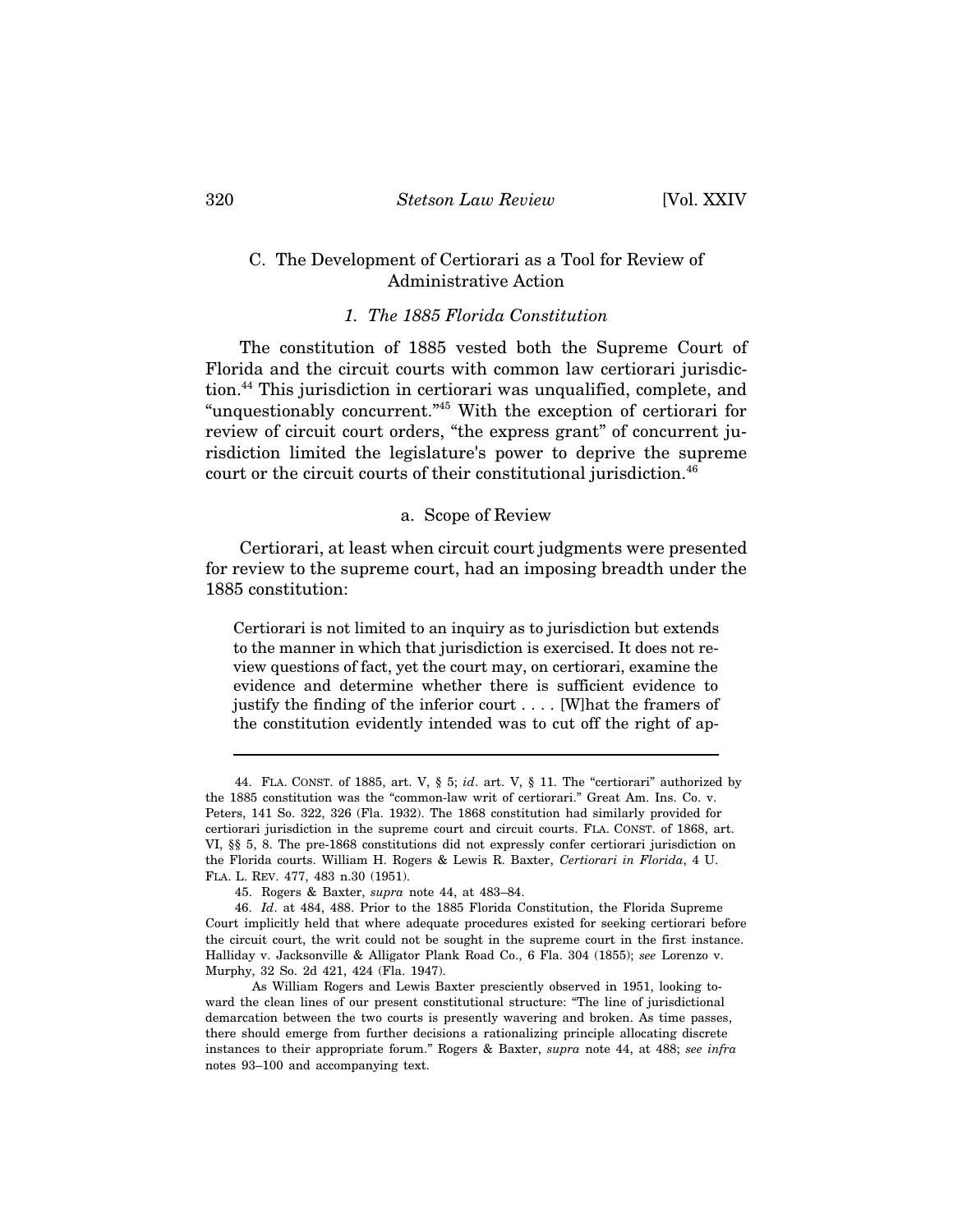## C. The Development of Certiorari as a Tool for Review of Administrative Action

## *1. The 1885 Florida Constitution*

The constitution of 1885 vested both the Supreme Court of Florida and the circuit courts with common law certiorari jurisdiction.44 This jurisdiction in certiorari was unqualified, complete, and "unquestionably concurrent."45 With the exception of certiorari for review of circuit court orders, "the express grant" of concurrent jurisdiction limited the legislature's power to deprive the supreme court or the circuit courts of their constitutional jurisdiction.<sup>46</sup>

#### a. Scope of Review

Certiorari, at least when circuit court judgments were presented for review to the supreme court, had an imposing breadth under the 1885 constitution:

Certiorari is not limited to an inquiry as to jurisdiction but extends to the manner in which that jurisdiction is exercised. It does not review questions of fact, yet the court may, on certiorari, examine the evidence and determine whether there is sufficient evidence to justify the finding of the inferior court . . . . [W]hat the framers of the constitution evidently intended was to cut off the right of ap-

<sup>44.</sup> FLA. CONST. of 1885, art. V, § 5; *id*. art. V, § 11. The "certiorari" authorized by the 1885 constitution was the "common-law writ of certiorari." Great Am. Ins. Co. v. Peters, 141 So. 322, 326 (Fla. 1932). The 1868 constitution had similarly provided for certiorari jurisdiction in the supreme court and circuit courts. FLA. CONST. of 1868, art. VI, §§ 5, 8. The pre-1868 constitutions did not expressly confer certiorari jurisdiction on the Florida courts. William H. Rogers & Lewis R. Baxter, *Certiorari in Florida*, 4 U. FLA. L. REV. 477, 483 n.30 (1951).

<sup>45.</sup> Rogers & Baxter, *supra* note 44, at 483–84.

<sup>46.</sup> *Id*. at 484, 488. Prior to the 1885 Florida Constitution, the Florida Supreme Court implicitly held that where adequate procedures existed for seeking certiorari before the circuit court, the writ could not be sought in the supreme court in the first instance. Halliday v. Jacksonville & Alligator Plank Road Co., 6 Fla. 304 (1855); *see* Lorenzo v. Murphy, 32 So. 2d 421, 424 (Fla. 1947).

As William Rogers and Lewis Baxter presciently observed in 1951, looking toward the clean lines of our present constitutional structure: "The line of jurisdictional demarcation between the two courts is presently wavering and broken. As time passes, there should emerge from further decisions a rationalizing principle allocating discrete instances to their appropriate forum." Rogers & Baxter, *supra* note 44, at 488; *see infra* notes 93–100 and accompanying text.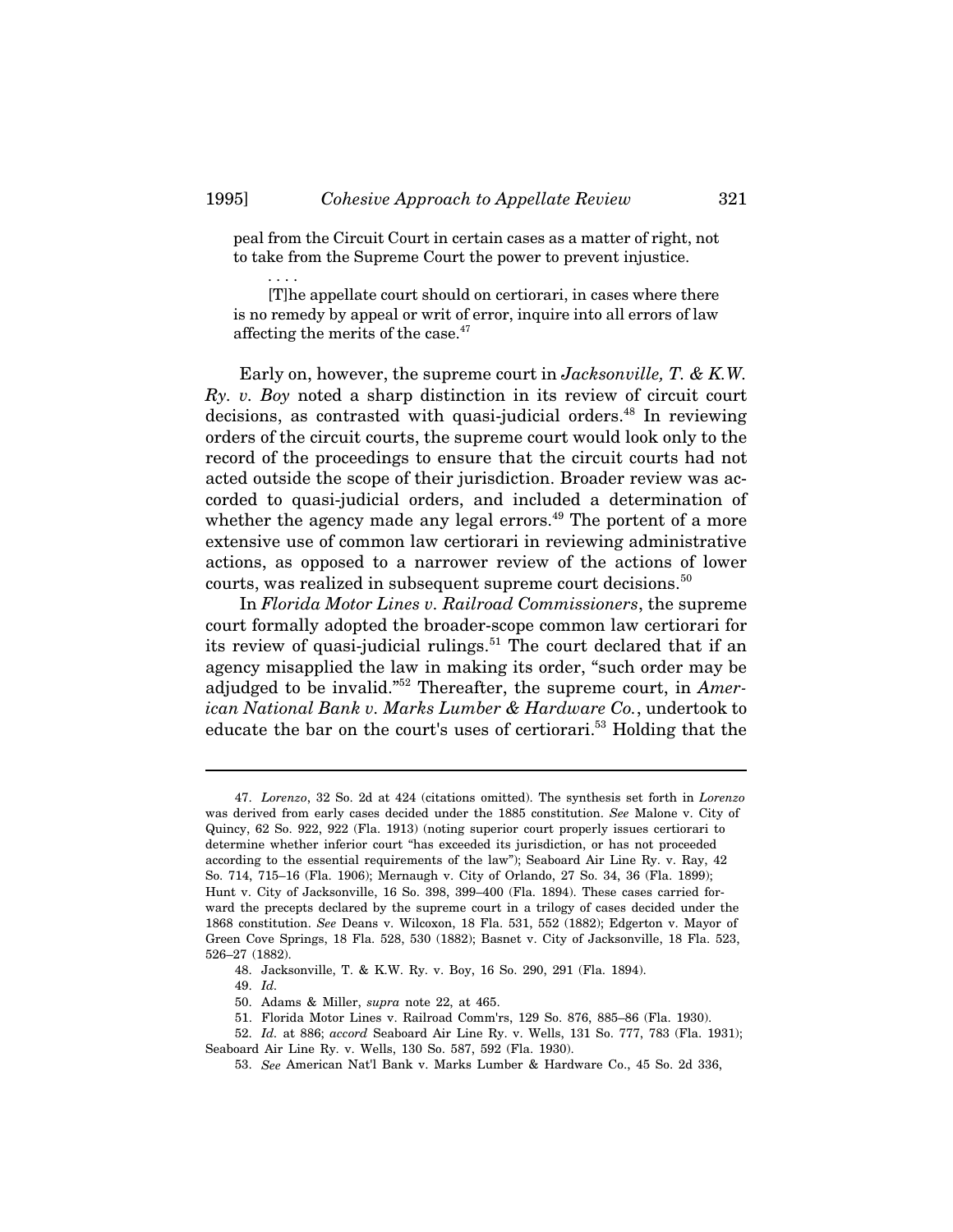peal from the Circuit Court in certain cases as a matter of right, not to take from the Supreme Court the power to prevent injustice.

[T]he appellate court should on certiorari, in cases where there is no remedy by appeal or writ of error, inquire into all errors of law affecting the merits of the case.<sup>47</sup>

Early on, however, the supreme court in *Jacksonville, T. & K.W. Ry. v. Boy* noted a sharp distinction in its review of circuit court decisions, as contrasted with quasi-judicial orders.<sup>48</sup> In reviewing orders of the circuit courts, the supreme court would look only to the record of the proceedings to ensure that the circuit courts had not acted outside the scope of their jurisdiction. Broader review was accorded to quasi-judicial orders, and included a determination of whether the agency made any legal errors.<sup> $49$ </sup> The portent of a more extensive use of common law certiorari in reviewing administrative actions, as opposed to a narrower review of the actions of lower courts, was realized in subsequent supreme court decisions.<sup>50</sup>

In *Florida Motor Lines v. Railroad Commissioners*, the supreme court formally adopted the broader-scope common law certiorari for its review of quasi-judicial rulings.<sup>51</sup> The court declared that if an agency misapplied the law in making its order, "such order may be adjudged to be invalid."52 Thereafter, the supreme court, in *American National Bank v. Marks Lumber & Hardware Co.*, undertook to educate the bar on the court's uses of certiorari.<sup>53</sup> Holding that the

- 50. Adams & Miller, *supra* note 22, at 465.
- 51. Florida Motor Lines v. Railroad Comm'rs, 129 So. 876, 885–86 (Fla. 1930).

. . . .

<sup>47.</sup> *Lorenzo*, 32 So. 2d at 424 (citations omitted). The synthesis set forth in *Lorenzo* was derived from early cases decided under the 1885 constitution. *See* Malone v. City of Quincy, 62 So. 922, 922 (Fla. 1913) (noting superior court properly issues certiorari to determine whether inferior court "has exceeded its jurisdiction, or has not proceeded according to the essential requirements of the law"); Seaboard Air Line Ry. v. Ray, 42 So. 714, 715–16 (Fla. 1906); Mernaugh v. City of Orlando, 27 So. 34, 36 (Fla. 1899); Hunt v. City of Jacksonville, 16 So. 398, 399–400 (Fla. 1894). These cases carried forward the precepts declared by the supreme court in a trilogy of cases decided under the 1868 constitution. *See* Deans v. Wilcoxon, 18 Fla. 531, 552 (1882); Edgerton v. Mayor of Green Cove Springs, 18 Fla. 528, 530 (1882); Basnet v. City of Jacksonville, 18 Fla. 523, 526–27 (1882).

<sup>48.</sup> Jacksonville, T. & K.W. Ry. v. Boy, 16 So. 290, 291 (Fla. 1894).

<sup>49.</sup> *Id.*

<sup>52.</sup> *Id.* at 886; *accord* Seaboard Air Line Ry. v. Wells, 131 So. 777, 783 (Fla. 1931); Seaboard Air Line Ry. v. Wells, 130 So. 587, 592 (Fla. 1930).

<sup>53.</sup> *See* American Nat'l Bank v. Marks Lumber & Hardware Co., 45 So. 2d 336,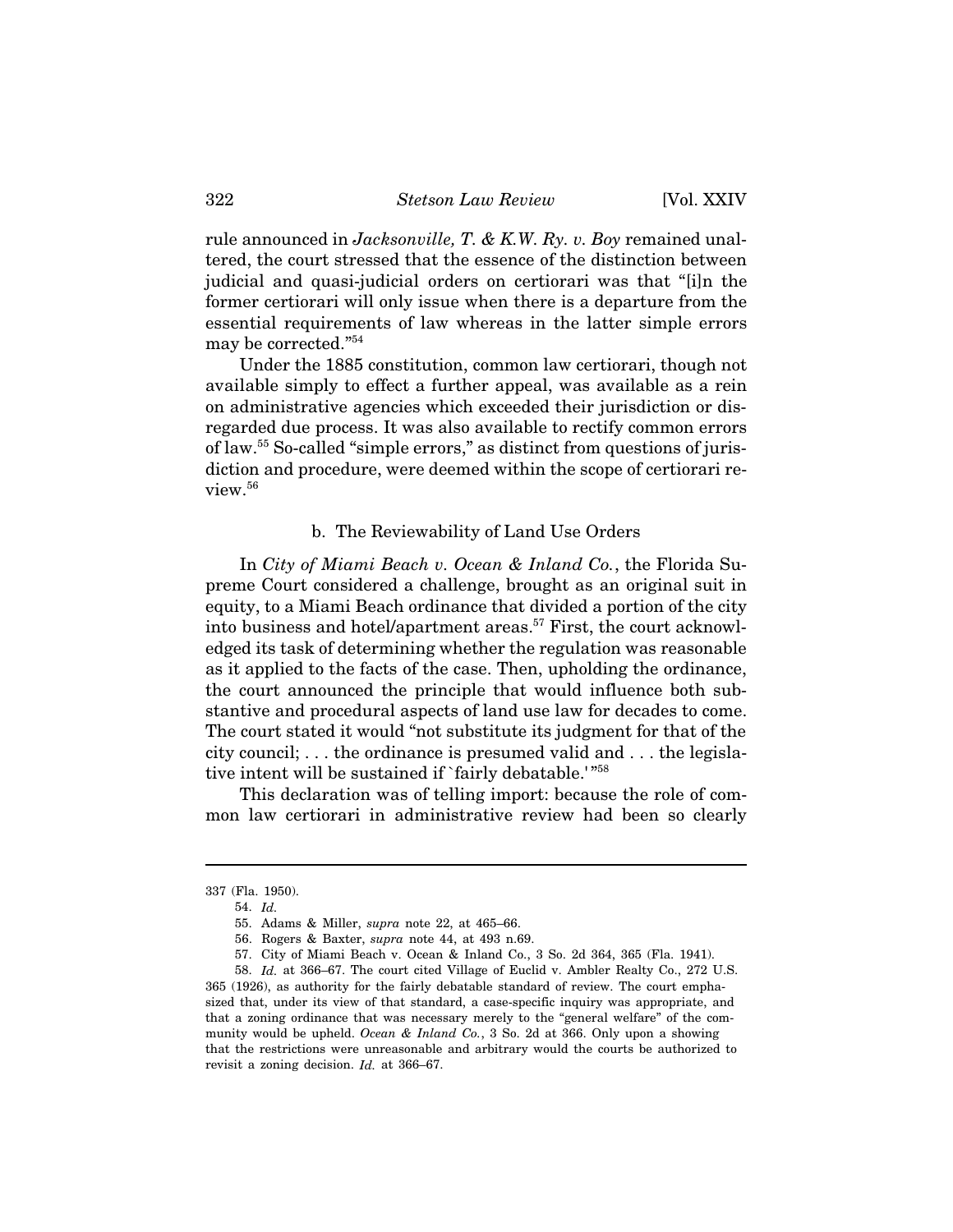rule announced in *Jacksonville, T. & K.W. Ry. v. Boy* remained unaltered, the court stressed that the essence of the distinction between judicial and quasi-judicial orders on certiorari was that "[i]n the former certiorari will only issue when there is a departure from the essential requirements of law whereas in the latter simple errors may be corrected."54

Under the 1885 constitution, common law certiorari, though not available simply to effect a further appeal, was available as a rein on administrative agencies which exceeded their jurisdiction or disregarded due process. It was also available to rectify common errors of law.55 So-called "simple errors," as distinct from questions of jurisdiction and procedure, were deemed within the scope of certiorari review.<sup>56</sup>

#### b. The Reviewability of Land Use Orders

In *City of Miami Beach v. Ocean & Inland Co.*, the Florida Supreme Court considered a challenge, brought as an original suit in equity, to a Miami Beach ordinance that divided a portion of the city into business and hotel/apartment areas.<sup>57</sup> First, the court acknowledged its task of determining whether the regulation was reasonable as it applied to the facts of the case. Then, upholding the ordinance, the court announced the principle that would influence both substantive and procedural aspects of land use law for decades to come. The court stated it would "not substitute its judgment for that of the city council; . . . the ordinance is presumed valid and . . . the legislative intent will be sustained if `fairly debatable.'"<sup>58</sup>

This declaration was of telling import: because the role of common law certiorari in administrative review had been so clearly

57. City of Miami Beach v. Ocean & Inland Co., 3 So. 2d 364, 365 (Fla. 1941).

<sup>337 (</sup>Fla. 1950).

<sup>54.</sup> *Id.*

<sup>55.</sup> Adams & Miller, *supra* note 22, at 465–66.

<sup>56.</sup> Rogers & Baxter, *supra* note 44, at 493 n.69.

<sup>58.</sup> *Id.* at 366–67. The court cited Village of Euclid v. Ambler Realty Co., 272 U.S. 365 (1926), as authority for the fairly debatable standard of review. The court emphasized that, under its view of that standard, a case-specific inquiry was appropriate, and that a zoning ordinance that was necessary merely to the "general welfare" of the community would be upheld. *Ocean & Inland Co.*, 3 So. 2d at 366. Only upon a showing that the restrictions were unreasonable and arbitrary would the courts be authorized to revisit a zoning decision. *Id.* at 366–67.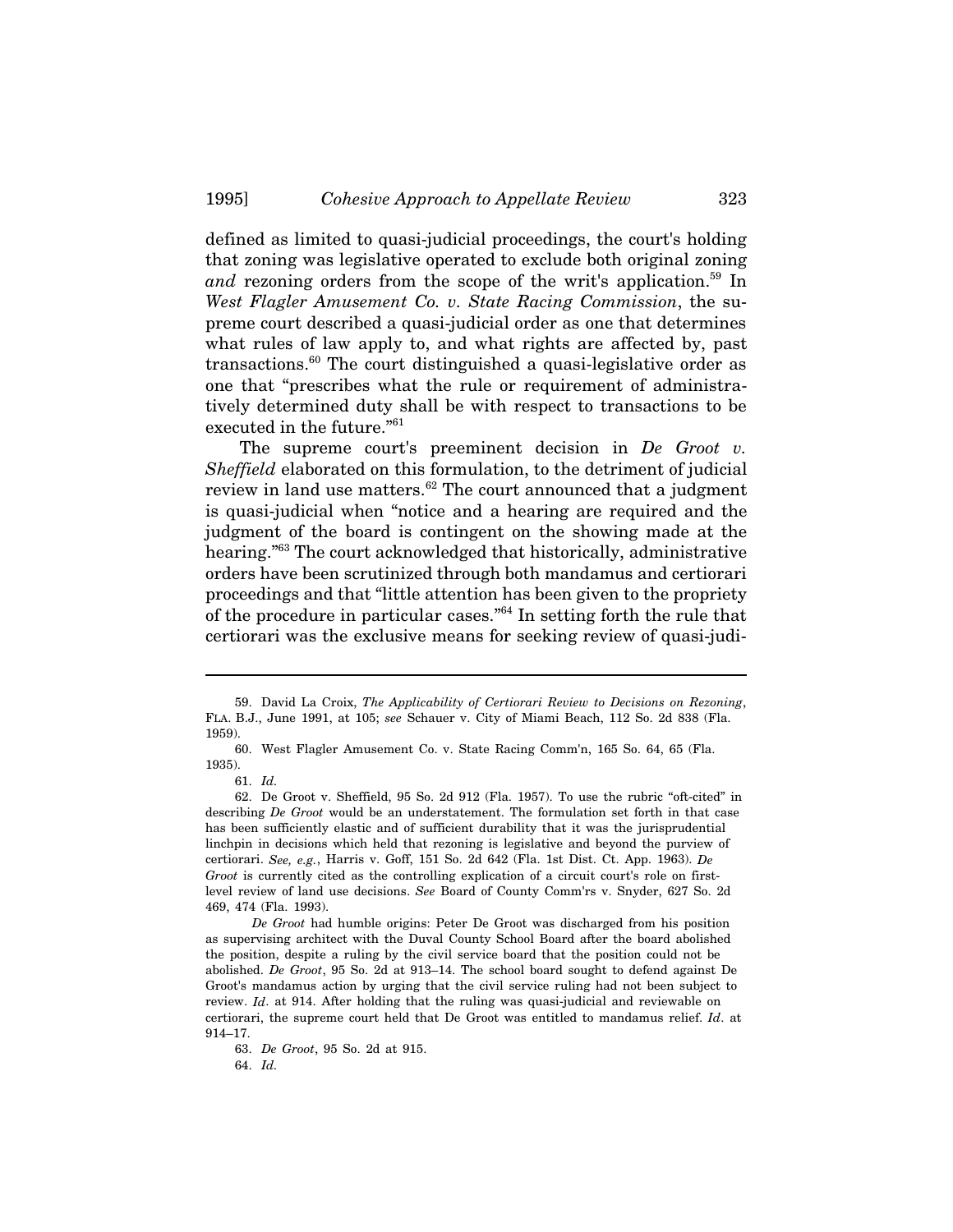defined as limited to quasi-judicial proceedings, the court's holding that zoning was legislative operated to exclude both original zoning *and* rezoning orders from the scope of the writ's application.<sup>59</sup> In *West Flagler Amusement Co. v. State Racing Commission*, the supreme court described a quasi-judicial order as one that determines what rules of law apply to, and what rights are affected by, past transactions.60 The court distinguished a quasi-legislative order as one that "prescribes what the rule or requirement of administratively determined duty shall be with respect to transactions to be executed in the future."61

The supreme court's preeminent decision in *De Groot v. Sheffield* elaborated on this formulation, to the detriment of judicial review in land use matters.<sup>62</sup> The court announced that a judgment is quasi-judicial when "notice and a hearing are required and the judgment of the board is contingent on the showing made at the hearing.<sup>"63</sup> The court acknowledged that historically, administrative orders have been scrutinized through both mandamus and certiorari proceedings and that "little attention has been given to the propriety of the procedure in particular cases."64 In setting forth the rule that certiorari was the exclusive means for seeking review of quasi-judi-

63. *De Groot*, 95 So. 2d at 915.

64. *Id.*

<sup>59.</sup> David La Croix, *The Applicability of Certiorari Review to Decisions on Rezoning*, FLA. B.J., June 1991, at 105; *see* Schauer v. City of Miami Beach, 112 So. 2d 838 (Fla. 1959).

<sup>60.</sup> West Flagler Amusement Co. v. State Racing Comm'n, 165 So. 64, 65 (Fla. 1935).

<sup>61.</sup> *Id.*

<sup>62.</sup> De Groot v. Sheffield, 95 So. 2d 912 (Fla. 1957). To use the rubric "oft-cited" in describing *De Groot* would be an understatement. The formulation set forth in that case has been sufficiently elastic and of sufficient durability that it was the jurisprudential linchpin in decisions which held that rezoning is legislative and beyond the purview of certiorari. *See, e.g.*, Harris v. Goff, 151 So. 2d 642 (Fla. 1st Dist. Ct. App. 1963). *De Groot* is currently cited as the controlling explication of a circuit court's role on firstlevel review of land use decisions. *See* Board of County Comm'rs v. Snyder, 627 So. 2d 469, 474 (Fla. 1993).

*De Groot* had humble origins: Peter De Groot was discharged from his position as supervising architect with the Duval County School Board after the board abolished the position, despite a ruling by the civil service board that the position could not be abolished. *De Groot*, 95 So. 2d at 913–14. The school board sought to defend against De Groot's mandamus action by urging that the civil service ruling had not been subject to review. *Id*. at 914. After holding that the ruling was quasi-judicial and reviewable on certiorari, the supreme court held that De Groot was entitled to mandamus relief. *Id*. at 914–17.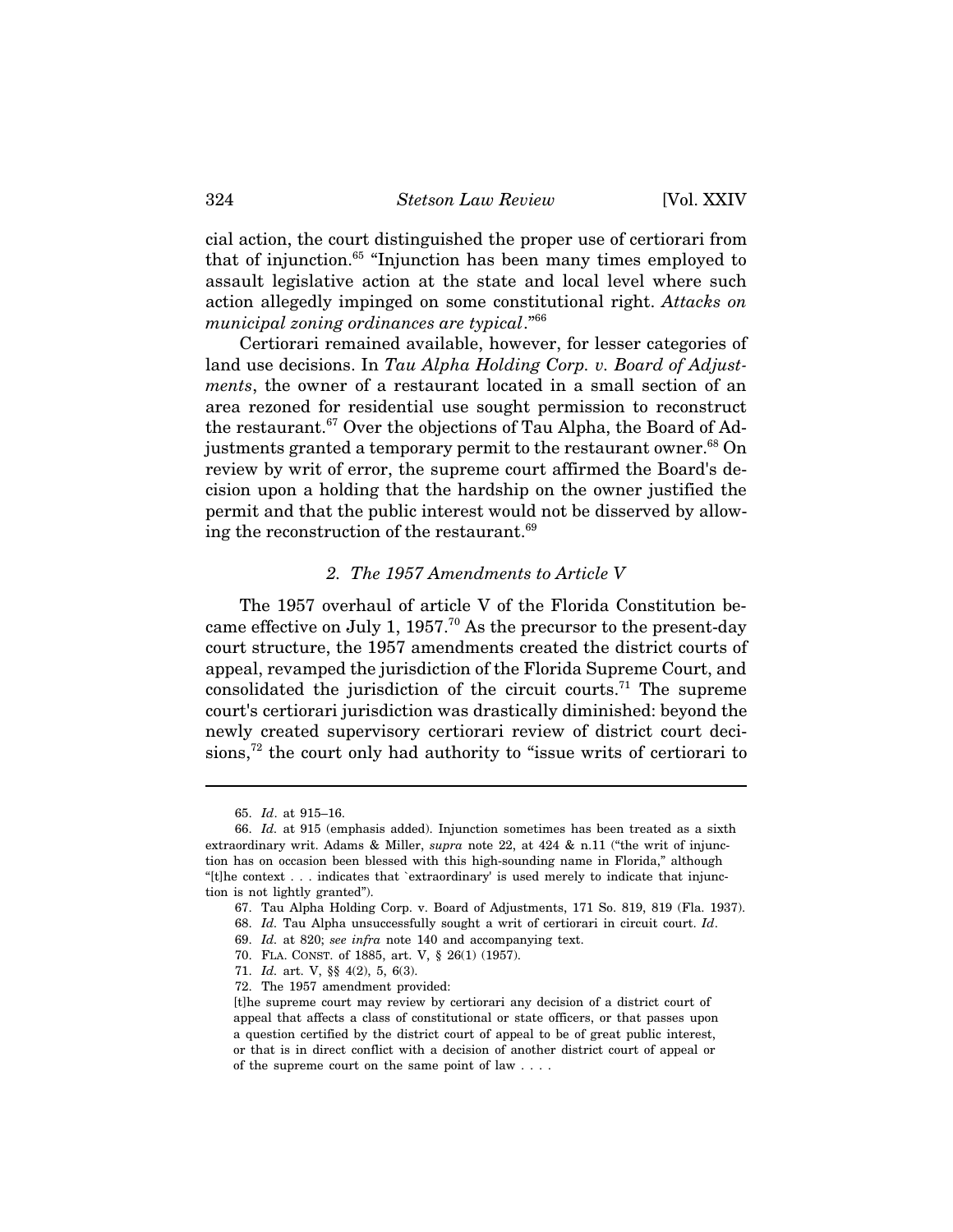cial action, the court distinguished the proper use of certiorari from that of injunction.65 "Injunction has been many times employed to assault legislative action at the state and local level where such action allegedly impinged on some constitutional right. *Attacks on municipal zoning ordinances are typical*."66

Certiorari remained available, however, for lesser categories of land use decisions. In *Tau Alpha Holding Corp. v. Board of Adjustments*, the owner of a restaurant located in a small section of an area rezoned for residential use sought permission to reconstruct the restaurant.<sup>67</sup> Over the objections of Tau Alpha, the Board of Adjustments granted a temporary permit to the restaurant owner.<sup>68</sup> On review by writ of error, the supreme court affirmed the Board's decision upon a holding that the hardship on the owner justified the permit and that the public interest would not be disserved by allowing the reconstruction of the restaurant.<sup>69</sup>

## *2. The 1957 Amendments to Article V*

The 1957 overhaul of article V of the Florida Constitution became effective on July 1, 1957.<sup>70</sup> As the precursor to the present-day court structure, the 1957 amendments created the district courts of appeal, revamped the jurisdiction of the Florida Supreme Court, and consolidated the jurisdiction of the circuit courts.<sup>71</sup> The supreme court's certiorari jurisdiction was drastically diminished: beyond the newly created supervisory certiorari review of district court decisions, $72$  the court only had authority to "issue writs of certiorari to

<sup>65.</sup> *Id*. at 915–16.

<sup>66.</sup> *Id.* at 915 (emphasis added). Injunction sometimes has been treated as a sixth extraordinary writ. Adams & Miller, *supra* note 22, at 424 & n.11 ("the writ of injunction has on occasion been blessed with this high-sounding name in Florida," although "[t]he context . . . indicates that `extraordinary' is used merely to indicate that injunction is not lightly granted").

<sup>67.</sup> Tau Alpha Holding Corp. v. Board of Adjustments, 171 So. 819, 819 (Fla. 1937).

<sup>68.</sup> *Id.* Tau Alpha unsuccessfully sought a writ of certiorari in circuit court. *Id*.

<sup>69.</sup> *Id.* at 820; *see infra* note 140 and accompanying text.

<sup>70.</sup> FLA. CONST. of 1885, art. V, § 26(1) (1957).

<sup>71.</sup> *Id.* art. V, §§ 4(2), 5, 6(3).

<sup>72.</sup> The 1957 amendment provided:

<sup>[</sup>t]he supreme court may review by certiorari any decision of a district court of appeal that affects a class of constitutional or state officers, or that passes upon a question certified by the district court of appeal to be of great public interest, or that is in direct conflict with a decision of another district court of appeal or of the supreme court on the same point of law . . . .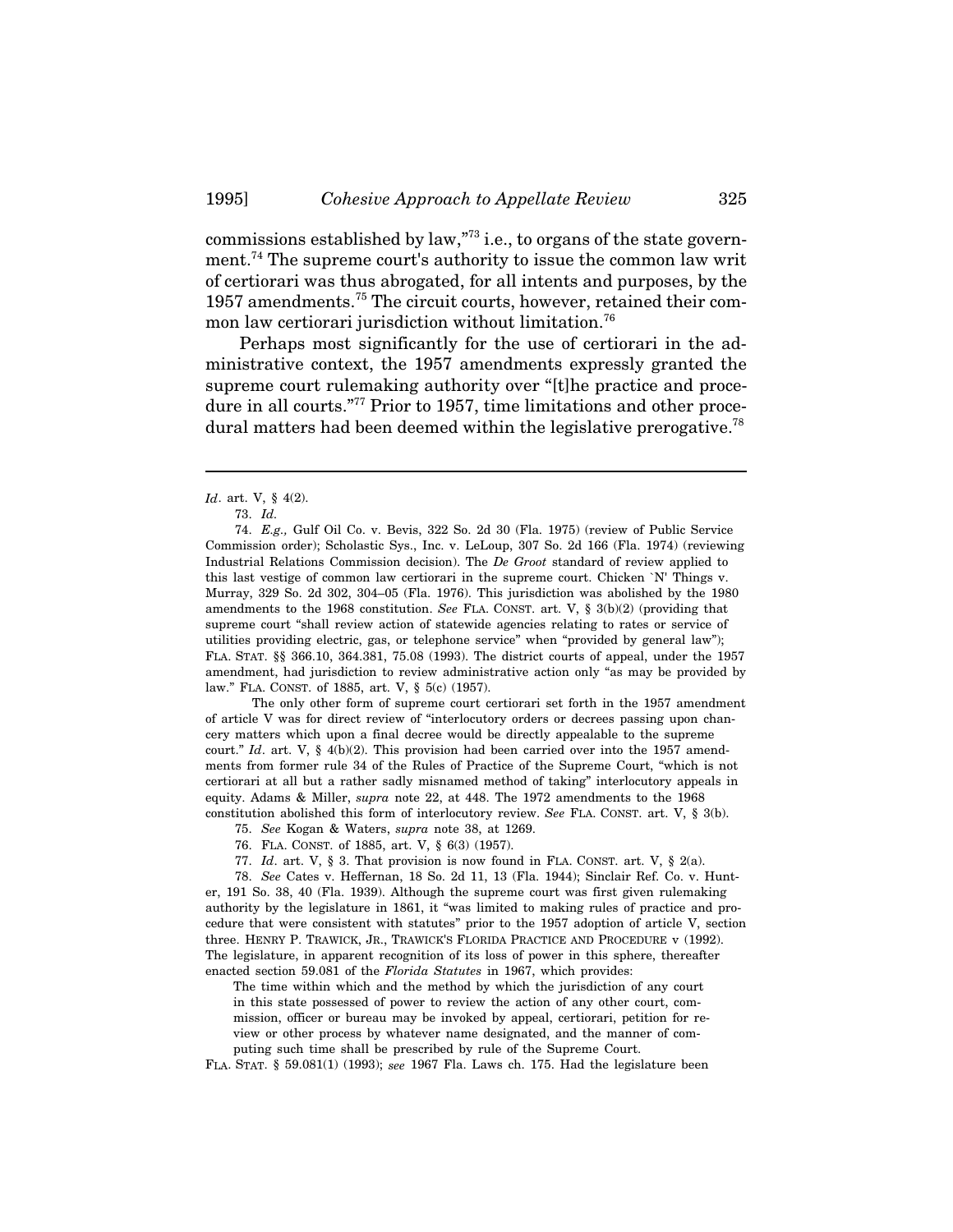commissions established by law,"73 i.e., to organs of the state government.74 The supreme court's authority to issue the common law writ of certiorari was thus abrogated, for all intents and purposes, by the 1957 amendments.75 The circuit courts, however, retained their common law certiorari jurisdiction without limitation.<sup>76</sup>

Perhaps most significantly for the use of certiorari in the administrative context, the 1957 amendments expressly granted the supreme court rulemaking authority over "[t]he practice and procedure in all courts."<sup>77</sup> Prior to 1957, time limitations and other procedural matters had been deemed within the legislative prerogative.<sup>78</sup>

74. *E.g.,* Gulf Oil Co. v. Bevis, 322 So. 2d 30 (Fla. 1975) (review of Public Service Commission order); Scholastic Sys., Inc. v. LeLoup, 307 So. 2d 166 (Fla. 1974) (reviewing Industrial Relations Commission decision). The *De Groot* standard of review applied to this last vestige of common law certiorari in the supreme court. Chicken `N' Things v. Murray, 329 So. 2d 302, 304–05 (Fla. 1976). This jurisdiction was abolished by the 1980 amendments to the 1968 constitution. *See* FLA. CONST. art. V, § 3(b)(2) (providing that supreme court "shall review action of statewide agencies relating to rates or service of utilities providing electric, gas, or telephone service" when "provided by general law"); FLA. STAT. §§ 366.10, 364.381, 75.08 (1993). The district courts of appeal, under the 1957 amendment, had jurisdiction to review administrative action only "as may be provided by law." FLA. CONST. of 1885, art. V, § 5(c) (1957).

The only other form of supreme court certiorari set forth in the 1957 amendment of article V was for direct review of "interlocutory orders or decrees passing upon chancery matters which upon a final decree would be directly appealable to the supreme court." *Id*. art. V, § 4(b)(2). This provision had been carried over into the 1957 amendments from former rule 34 of the Rules of Practice of the Supreme Court, "which is not certiorari at all but a rather sadly misnamed method of taking" interlocutory appeals in equity. Adams & Miller, *supra* note 22, at 448. The 1972 amendments to the 1968 constitution abolished this form of interlocutory review. *See* FLA. CONST. art. V, § 3(b).

- 75. *See* Kogan & Waters, *supra* note 38, at 1269.
- 76. FLA. CONST. of 1885, art. V, § 6(3) (1957).
- 77. *Id*. art. V, § 3. That provision is now found in FLA. CONST. art. V, § 2(a).

78. *See* Cates v. Heffernan, 18 So. 2d 11, 13 (Fla. 1944); Sinclair Ref. Co. v. Hunter, 191 So. 38, 40 (Fla. 1939). Although the supreme court was first given rulemaking authority by the legislature in 1861, it "was limited to making rules of practice and procedure that were consistent with statutes" prior to the 1957 adoption of article V, section three. HENRY P. TRAWICK, JR., TRAWICK'S FLORIDA PRACTICE AND PROCEDURE v (1992). The legislature, in apparent recognition of its loss of power in this sphere, thereafter enacted section 59.081 of the *Florida Statutes* in 1967, which provides:

The time within which and the method by which the jurisdiction of any court in this state possessed of power to review the action of any other court, commission, officer or bureau may be invoked by appeal, certiorari, petition for review or other process by whatever name designated, and the manner of computing such time shall be prescribed by rule of the Supreme Court.

FLA. STAT. § 59.081(1) (1993); *see* 1967 Fla. Laws ch. 175. Had the legislature been

*Id*. art. V, § 4(2).

<sup>73.</sup> *Id.*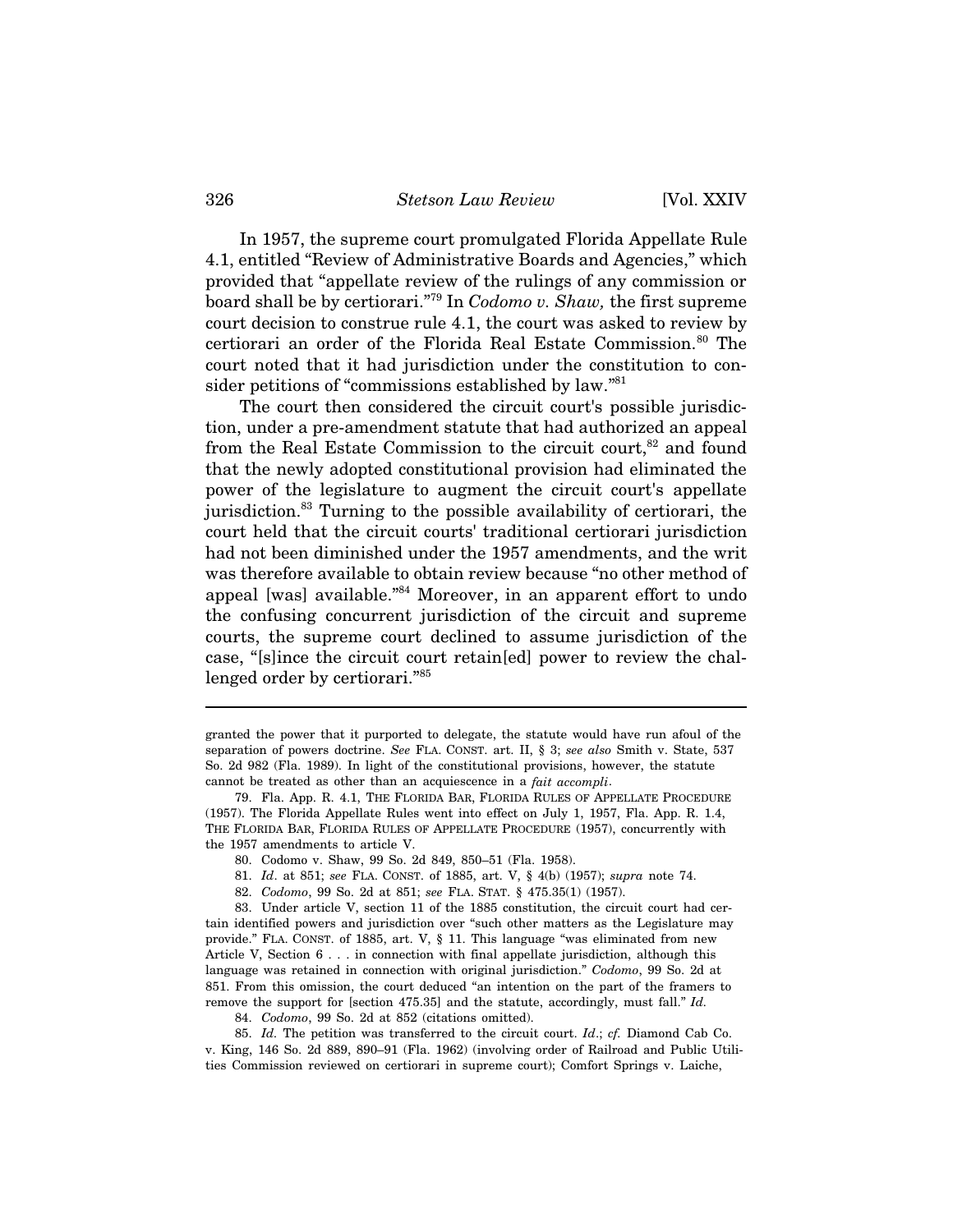#### 326 *Stetson Law Review* [Vol. XXIV

In 1957, the supreme court promulgated Florida Appellate Rule 4.1, entitled "Review of Administrative Boards and Agencies," which provided that "appellate review of the rulings of any commission or board shall be by certiorari."79 In *Codomo v. Shaw,* the first supreme court decision to construe rule 4.1, the court was asked to review by certiorari an order of the Florida Real Estate Commission.<sup>80</sup> The court noted that it had jurisdiction under the constitution to consider petitions of "commissions established by law."81

The court then considered the circuit court's possible jurisdiction, under a pre-amendment statute that had authorized an appeal from the Real Estate Commission to the circuit court, $82$  and found that the newly adopted constitutional provision had eliminated the power of the legislature to augment the circuit court's appellate jurisdiction.83 Turning to the possible availability of certiorari, the court held that the circuit courts' traditional certiorari jurisdiction had not been diminished under the 1957 amendments, and the writ was therefore available to obtain review because "no other method of appeal [was] available."84 Moreover, in an apparent effort to undo the confusing concurrent jurisdiction of the circuit and supreme courts, the supreme court declined to assume jurisdiction of the case, "[s]ince the circuit court retain[ed] power to review the challenged order by certiorari."85

83. Under article V, section 11 of the 1885 constitution, the circuit court had certain identified powers and jurisdiction over "such other matters as the Legislature may provide." FLA. CONST. of 1885, art. V, § 11. This language "was eliminated from new Article V, Section 6 . . . in connection with final appellate jurisdiction, although this language was retained in connection with original jurisdiction." *Codomo*, 99 So. 2d at 851. From this omission, the court deduced "an intention on the part of the framers to remove the support for [section 475.35] and the statute, accordingly, must fall." *Id.*

84. *Codomo*, 99 So. 2d at 852 (citations omitted).

85. *Id.* The petition was transferred to the circuit court. *Id*.; *cf.* Diamond Cab Co. v. King, 146 So. 2d 889, 890–91 (Fla. 1962) (involving order of Railroad and Public Utilities Commission reviewed on certiorari in supreme court); Comfort Springs v. Laiche,

granted the power that it purported to delegate, the statute would have run afoul of the separation of powers doctrine. *See* FLA. CONST. art. II, § 3; *see also* Smith v. State, 537 So. 2d 982 (Fla. 1989). In light of the constitutional provisions, however, the statute cannot be treated as other than an acquiescence in a *fait accompli*.

<sup>79.</sup> Fla. App. R. 4.1, THE FLORIDA BAR, FLORIDA RULES OF APPELLATE PROCEDURE (1957). The Florida Appellate Rules went into effect on July 1, 1957, Fla. App. R. 1.4, THE FLORIDA BAR, FLORIDA RULES OF APPELLATE PROCEDURE (1957), concurrently with the 1957 amendments to article V.

<sup>80.</sup> Codomo v. Shaw, 99 So. 2d 849, 850–51 (Fla. 1958).

<sup>81.</sup> *Id*. at 851; *see* FLA. CONST. of 1885, art. V, § 4(b) (1957); *supra* note 74.

<sup>82.</sup> *Codomo*, 99 So. 2d at 851; *see* FLA. STAT. § 475.35(1) (1957).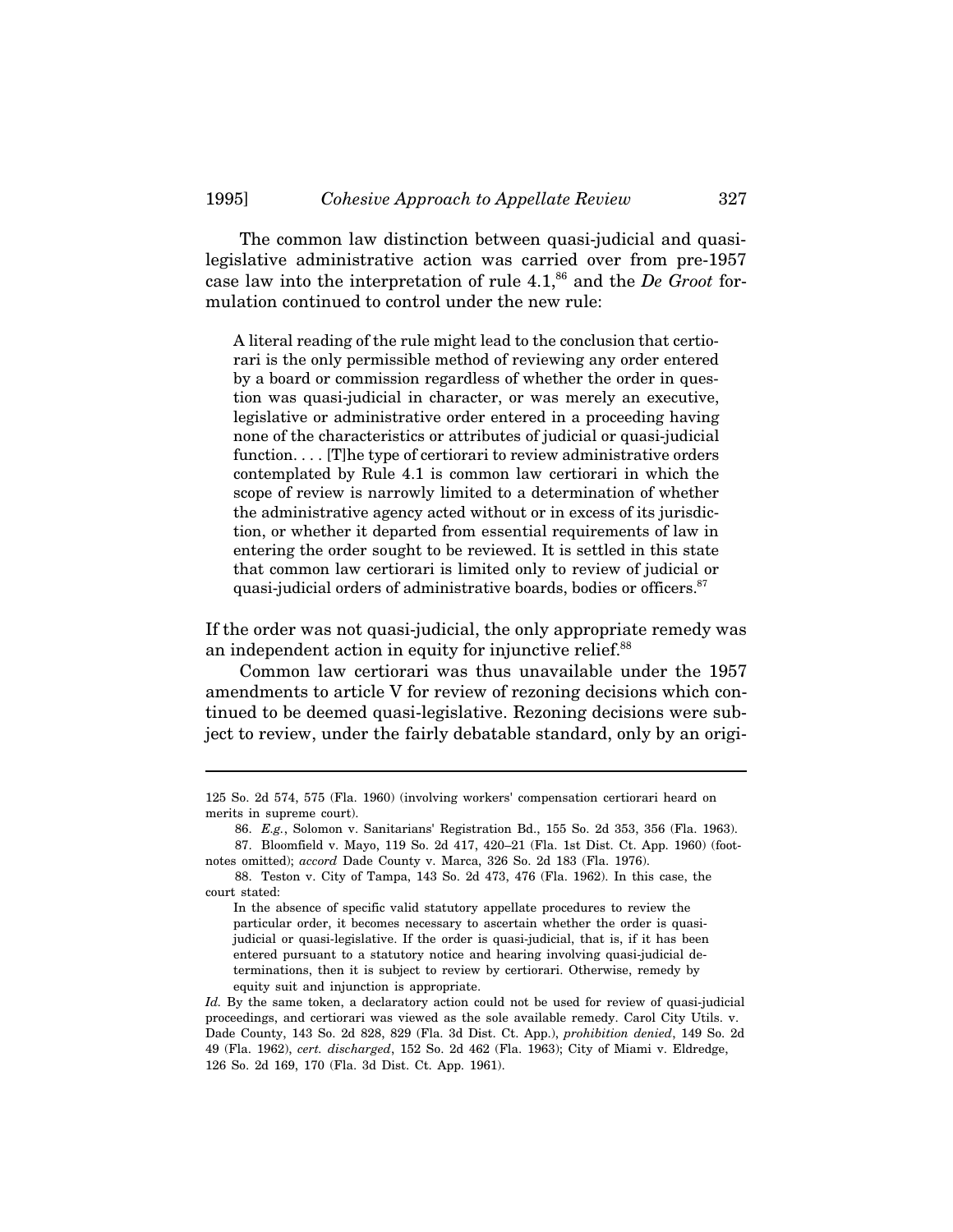The common law distinction between quasi-judicial and quasilegislative administrative action was carried over from pre-1957 case law into the interpretation of rule 4.1,86 and the *De Groot* formulation continued to control under the new rule:

A literal reading of the rule might lead to the conclusion that certiorari is the only permissible method of reviewing any order entered by a board or commission regardless of whether the order in question was quasi-judicial in character, or was merely an executive, legislative or administrative order entered in a proceeding having none of the characteristics or attributes of judicial or quasi-judicial function. . . . [T]he type of certiorari to review administrative orders contemplated by Rule 4.1 is common law certiorari in which the scope of review is narrowly limited to a determination of whether the administrative agency acted without or in excess of its jurisdiction, or whether it departed from essential requirements of law in entering the order sought to be reviewed. It is settled in this state that common law certiorari is limited only to review of judicial or quasi-judicial orders of administrative boards, bodies or officers.<sup>87</sup>

If the order was not quasi-judicial, the only appropriate remedy was an independent action in equity for injunctive relief.<sup>88</sup>

Common law certiorari was thus unavailable under the 1957 amendments to article V for review of rezoning decisions which continued to be deemed quasi-legislative. Rezoning decisions were subject to review, under the fairly debatable standard, only by an origi-

<sup>125</sup> So. 2d 574, 575 (Fla. 1960) (involving workers' compensation certiorari heard on merits in supreme court).

<sup>86.</sup> *E.g.*, Solomon v. Sanitarians' Registration Bd., 155 So. 2d 353, 356 (Fla. 1963). 87. Bloomfield v. Mayo, 119 So. 2d 417, 420–21 (Fla. 1st Dist. Ct. App. 1960) (foot-

notes omitted); *accord* Dade County v. Marca, 326 So. 2d 183 (Fla. 1976).

<sup>88.</sup> Teston v. City of Tampa, 143 So. 2d 473, 476 (Fla. 1962). In this case, the court stated:

In the absence of specific valid statutory appellate procedures to review the particular order, it becomes necessary to ascertain whether the order is quasijudicial or quasi-legislative. If the order is quasi-judicial, that is, if it has been entered pursuant to a statutory notice and hearing involving quasi-judicial determinations, then it is subject to review by certiorari. Otherwise, remedy by equity suit and injunction is appropriate.

*Id.* By the same token, a declaratory action could not be used for review of quasi-judicial proceedings, and certiorari was viewed as the sole available remedy. Carol City Utils. v. Dade County, 143 So. 2d 828, 829 (Fla. 3d Dist. Ct. App.), *prohibition denied*, 149 So. 2d 49 (Fla. 1962), *cert. discharged*, 152 So. 2d 462 (Fla. 1963); City of Miami v. Eldredge, 126 So. 2d 169, 170 (Fla. 3d Dist. Ct. App. 1961).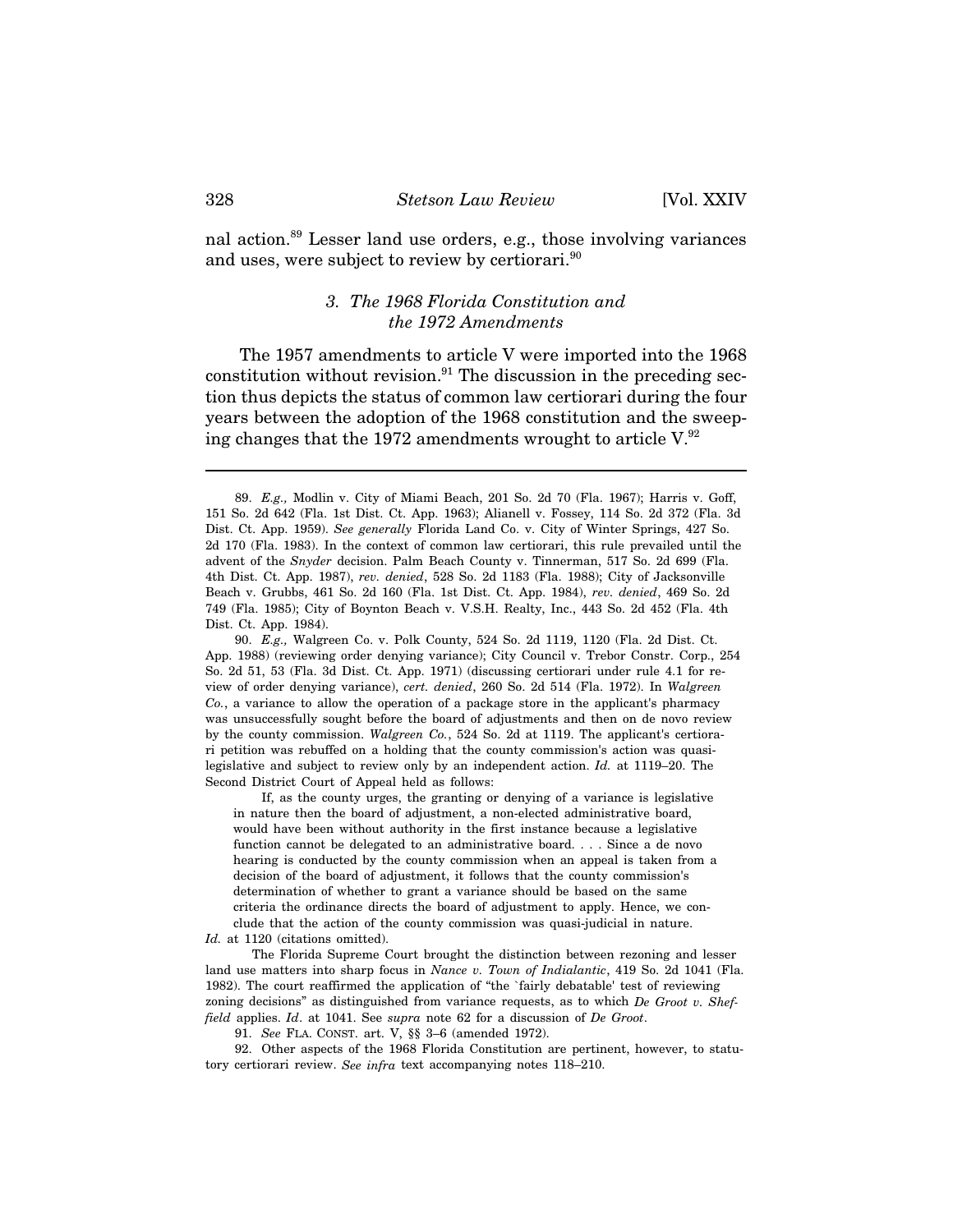nal action.89 Lesser land use orders, e.g., those involving variances and uses, were subject to review by certiorari.<sup>90</sup>

## *3. The 1968 Florida Constitution and the 1972 Amendments*

The 1957 amendments to article V were imported into the 1968 constitution without revision. $91$  The discussion in the preceding section thus depicts the status of common law certiorari during the four years between the adoption of the 1968 constitution and the sweeping changes that the 1972 amendments wrought to article  $V^{92}$ .

90. *E.g.,* Walgreen Co. v. Polk County, 524 So. 2d 1119, 1120 (Fla. 2d Dist. Ct. App. 1988) (reviewing order denying variance); City Council v. Trebor Constr. Corp., 254 So. 2d 51, 53 (Fla. 3d Dist. Ct. App. 1971) (discussing certiorari under rule 4.1 for review of order denying variance), *cert. denied*, 260 So. 2d 514 (Fla. 1972). In *Walgreen Co.*, a variance to allow the operation of a package store in the applicant's pharmacy was unsuccessfully sought before the board of adjustments and then on de novo review by the county commission. *Walgreen Co.*, 524 So. 2d at 1119. The applicant's certiorari petition was rebuffed on a holding that the county commission's action was quasilegislative and subject to review only by an independent action. *Id.* at 1119–20. The Second District Court of Appeal held as follows:

If, as the county urges, the granting or denying of a variance is legislative in nature then the board of adjustment, a non-elected administrative board, would have been without authority in the first instance because a legislative function cannot be delegated to an administrative board. . . . Since a de novo hearing is conducted by the county commission when an appeal is taken from a decision of the board of adjustment, it follows that the county commission's determination of whether to grant a variance should be based on the same criteria the ordinance directs the board of adjustment to apply. Hence, we conclude that the action of the county commission was quasi-judicial in nature. *Id.* at 1120 (citations omitted).

The Florida Supreme Court brought the distinction between rezoning and lesser land use matters into sharp focus in *Nance v. Town of Indialantic*, 419 So. 2d 1041 (Fla. 1982). The court reaffirmed the application of "the `fairly debatable' test of reviewing zoning decisions" as distinguished from variance requests, as to which *De Groot v. Sheffield* applies. *Id*. at 1041. See *supra* note 62 for a discussion of *De Groot*.

91. *See* FLA. CONST. art. V, §§ 3–6 (amended 1972).

92. Other aspects of the 1968 Florida Constitution are pertinent, however, to statutory certiorari review. *See infra* text accompanying notes 118–210.

<sup>89.</sup> *E.g.,* Modlin v. City of Miami Beach, 201 So. 2d 70 (Fla. 1967); Harris v. Goff, 151 So. 2d 642 (Fla. 1st Dist. Ct. App. 1963); Alianell v. Fossey, 114 So. 2d 372 (Fla. 3d Dist. Ct. App. 1959). *See generally* Florida Land Co. v. City of Winter Springs, 427 So. 2d 170 (Fla. 1983). In the context of common law certiorari, this rule prevailed until the advent of the *Snyder* decision. Palm Beach County v. Tinnerman, 517 So. 2d 699 (Fla. 4th Dist. Ct. App. 1987), *rev. denied*, 528 So. 2d 1183 (Fla. 1988); City of Jacksonville Beach v. Grubbs, 461 So. 2d 160 (Fla. 1st Dist. Ct. App. 1984), *rev. denied*, 469 So. 2d 749 (Fla. 1985); City of Boynton Beach v. V.S.H. Realty, Inc., 443 So. 2d 452 (Fla. 4th Dist. Ct. App. 1984).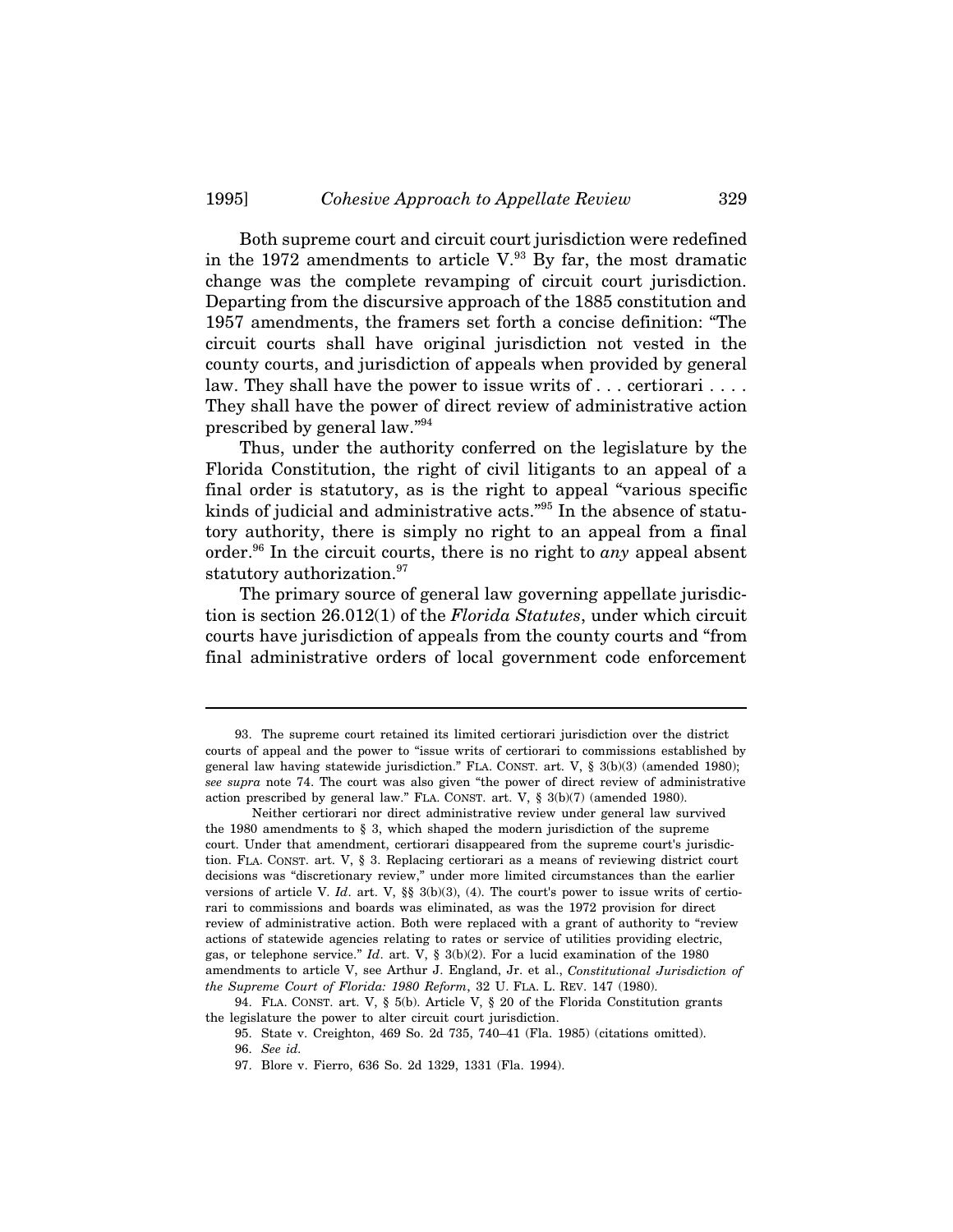Both supreme court and circuit court jurisdiction were redefined in the 1972 amendments to article  $V^{\,93}$  By far, the most dramatic change was the complete revamping of circuit court jurisdiction. Departing from the discursive approach of the 1885 constitution and 1957 amendments, the framers set forth a concise definition: "The circuit courts shall have original jurisdiction not vested in the county courts, and jurisdiction of appeals when provided by general law. They shall have the power to issue writs of ... certiorari ... They shall have the power of direct review of administrative action prescribed by general law."94

Thus, under the authority conferred on the legislature by the Florida Constitution, the right of civil litigants to an appeal of a final order is statutory, as is the right to appeal "various specific kinds of judicial and administrative acts."95 In the absence of statutory authority, there is simply no right to an appeal from a final order.96 In the circuit courts, there is no right to *any* appeal absent statutory authorization.<sup>97</sup>

The primary source of general law governing appellate jurisdiction is section 26.012(1) of the *Florida Statutes*, under which circuit courts have jurisdiction of appeals from the county courts and "from final administrative orders of local government code enforcement

<sup>93.</sup> The supreme court retained its limited certiorari jurisdiction over the district courts of appeal and the power to "issue writs of certiorari to commissions established by general law having statewide jurisdiction." FLA. CONST. art. V, § 3(b)(3) (amended 1980); *see supra* note 74. The court was also given "the power of direct review of administrative action prescribed by general law." FLA. CONST. art. V, § 3(b)(7) (amended 1980).

Neither certiorari nor direct administrative review under general law survived the 1980 amendments to  $\S$  3, which shaped the modern jurisdiction of the supreme court. Under that amendment, certiorari disappeared from the supreme court's jurisdiction. FLA. CONST. art. V, § 3. Replacing certiorari as a means of reviewing district court decisions was "discretionary review," under more limited circumstances than the earlier versions of article V. *Id*. art. V, §§ 3(b)(3), (4). The court's power to issue writs of certiorari to commissions and boards was eliminated, as was the 1972 provision for direct review of administrative action. Both were replaced with a grant of authority to "review actions of statewide agencies relating to rates or service of utilities providing electric, gas, or telephone service." *Id*. art. V, § 3(b)(2). For a lucid examination of the 1980 amendments to article V, see Arthur J. England, Jr. et al., *Constitutional Jurisdiction of the Supreme Court of Florida: 1980 Reform*, 32 U. FLA. L. REV. 147 (1980).

<sup>94.</sup> FLA. CONST. art. V, § 5(b). Article V, § 20 of the Florida Constitution grants the legislature the power to alter circuit court jurisdiction.

<sup>95.</sup> State v. Creighton, 469 So. 2d 735, 740–41 (Fla. 1985) (citations omitted). 96. *See id.*

<sup>97.</sup> Blore v. Fierro, 636 So. 2d 1329, 1331 (Fla. 1994).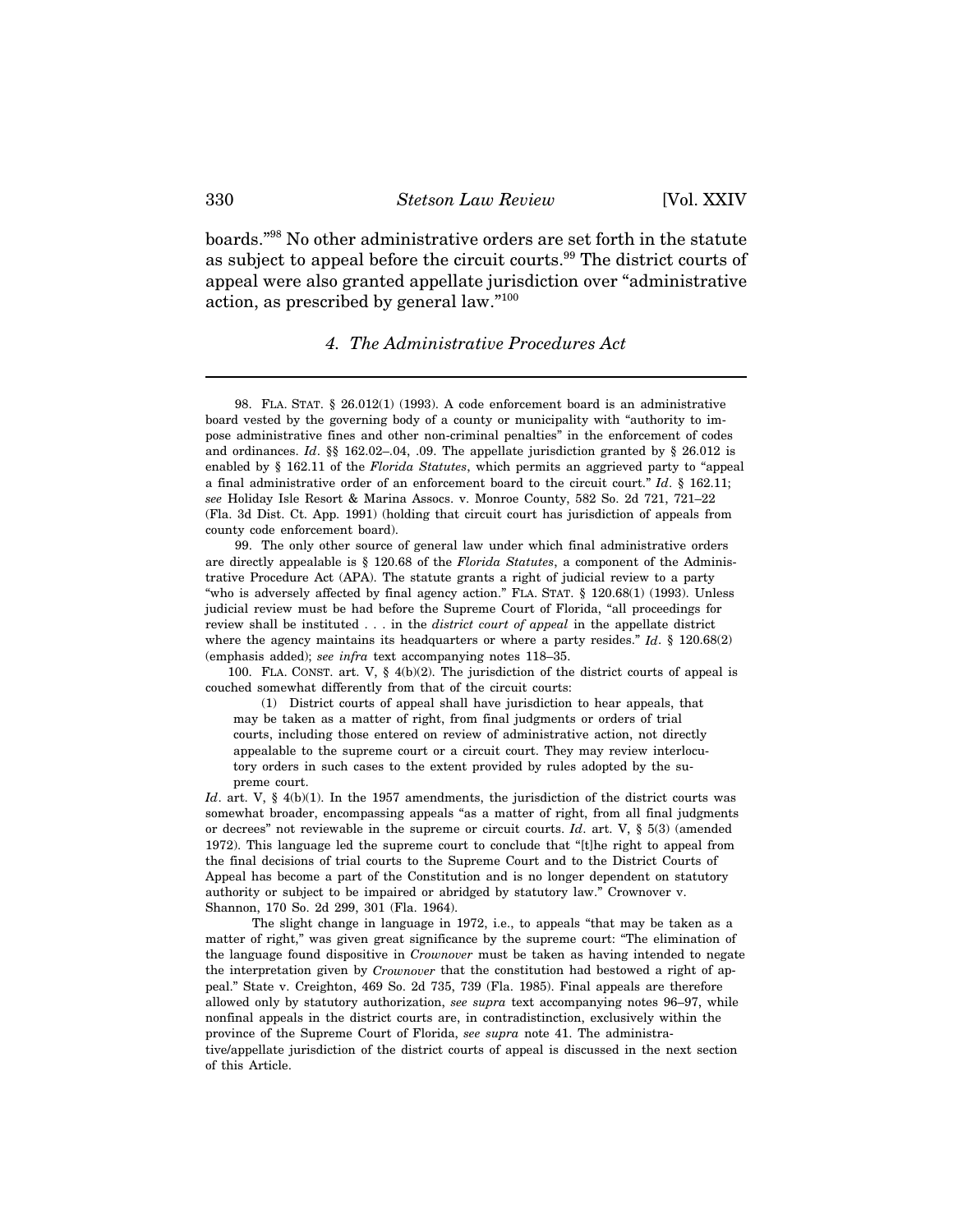boards."98 No other administrative orders are set forth in the statute as subject to appeal before the circuit courts.<sup>99</sup> The district courts of appeal were also granted appellate jurisdiction over "administrative action, as prescribed by general law."100

#### *4. The Administrative Procedures Act*

98. FLA. STAT. § 26.012(1) (1993). A code enforcement board is an administrative board vested by the governing body of a county or municipality with "authority to impose administrative fines and other non-criminal penalties" in the enforcement of codes and ordinances. *Id*. §§ 162.02–.04, .09. The appellate jurisdiction granted by § 26.012 is enabled by § 162.11 of the *Florida Statutes*, which permits an aggrieved party to "appeal a final administrative order of an enforcement board to the circuit court." *Id*. § 162.11; *see* Holiday Isle Resort & Marina Assocs. v. Monroe County, 582 So. 2d 721, 721–22 (Fla. 3d Dist. Ct. App. 1991) (holding that circuit court has jurisdiction of appeals from county code enforcement board).

99. The only other source of general law under which final administrative orders are directly appealable is § 120.68 of the *Florida Statutes*, a component of the Administrative Procedure Act (APA). The statute grants a right of judicial review to a party "who is adversely affected by final agency action." FLA. STAT. § 120.68(1) (1993). Unless judicial review must be had before the Supreme Court of Florida, "all proceedings for review shall be instituted . . . in the *district court of appeal* in the appellate district where the agency maintains its headquarters or where a party resides." *Id*. § 120.68(2) (emphasis added); *see infra* text accompanying notes 118–35.

100. FLA. CONST. art. V, § 4(b)(2). The jurisdiction of the district courts of appeal is couched somewhat differently from that of the circuit courts:

(1) District courts of appeal shall have jurisdiction to hear appeals, that may be taken as a matter of right, from final judgments or orders of trial courts, including those entered on review of administrative action, not directly appealable to the supreme court or a circuit court. They may review interlocutory orders in such cases to the extent provided by rules adopted by the supreme court.

*Id.* art. V, § 4(b)(1). In the 1957 amendments, the jurisdiction of the district courts was somewhat broader, encompassing appeals "as a matter of right, from all final judgments or decrees" not reviewable in the supreme or circuit courts. *Id*. art. V, § 5(3) (amended 1972). This language led the supreme court to conclude that "[t]he right to appeal from the final decisions of trial courts to the Supreme Court and to the District Courts of Appeal has become a part of the Constitution and is no longer dependent on statutory authority or subject to be impaired or abridged by statutory law." Crownover v. Shannon, 170 So. 2d 299, 301 (Fla. 1964).

The slight change in language in 1972, i.e., to appeals "that may be taken as a matter of right," was given great significance by the supreme court: "The elimination of the language found dispositive in *Crownover* must be taken as having intended to negate the interpretation given by *Crownover* that the constitution had bestowed a right of appeal." State v. Creighton, 469 So. 2d 735, 739 (Fla. 1985). Final appeals are therefore allowed only by statutory authorization, *see supra* text accompanying notes 96–97, while nonfinal appeals in the district courts are, in contradistinction, exclusively within the province of the Supreme Court of Florida, *see supra* note 41. The administrative/appellate jurisdiction of the district courts of appeal is discussed in the next section of this Article.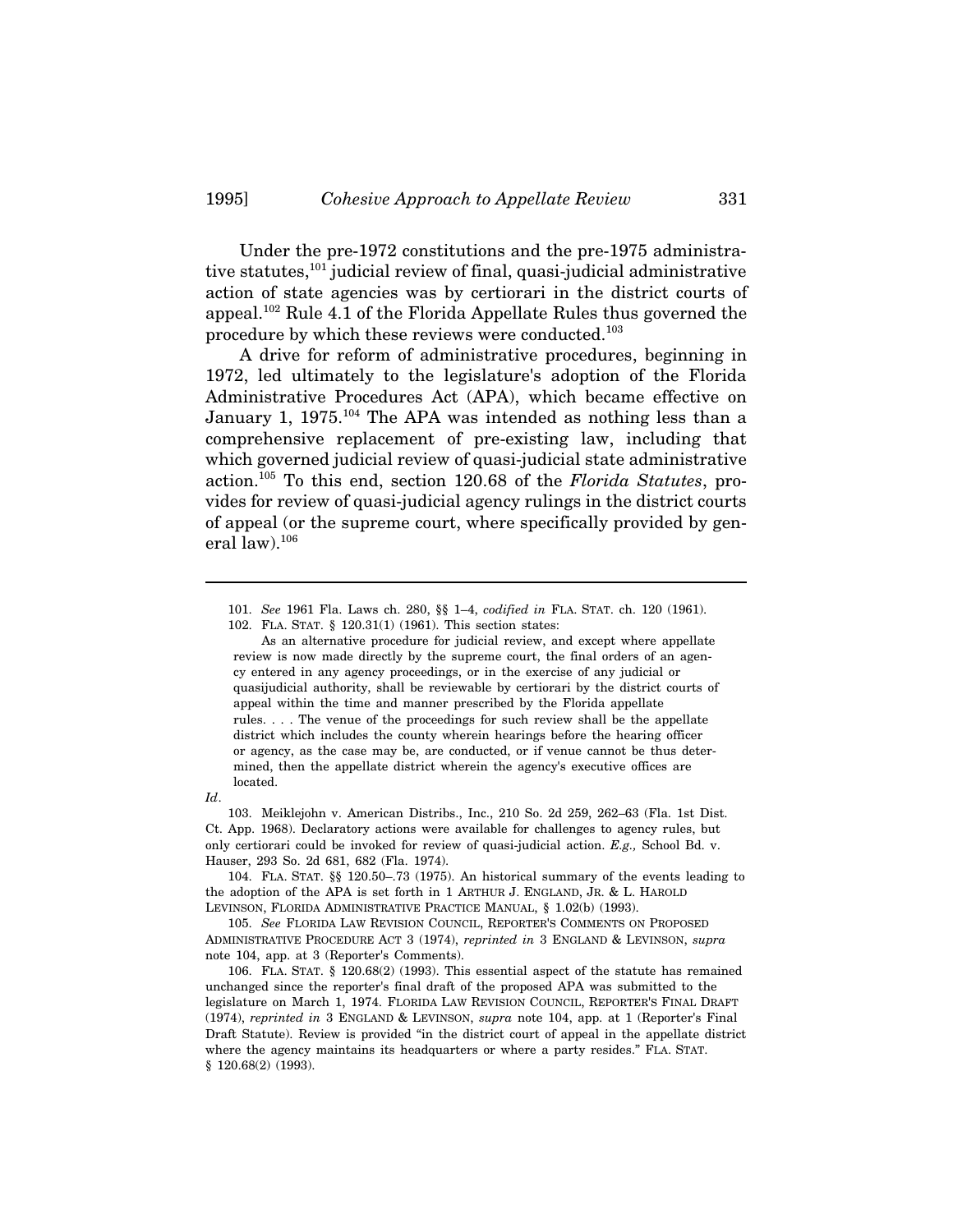Under the pre-1972 constitutions and the pre-1975 administrative statutes,<sup>101</sup> judicial review of final, quasi-judicial administrative action of state agencies was by certiorari in the district courts of appeal.<sup>102</sup> Rule 4.1 of the Florida Appellate Rules thus governed the procedure by which these reviews were conducted.103

A drive for reform of administrative procedures, beginning in 1972, led ultimately to the legislature's adoption of the Florida Administrative Procedures Act (APA), which became effective on January 1,  $1975$ <sup> $104$ </sup> The APA was intended as nothing less than a comprehensive replacement of pre-existing law, including that which governed judicial review of quasi-judicial state administrative action.105 To this end, section 120.68 of the *Florida Statutes*, provides for review of quasi-judicial agency rulings in the district courts of appeal (or the supreme court, where specifically provided by general law). $106$ 

<sup>101.</sup> *See* 1961 Fla. Laws ch. 280, §§ 1–4, *codified in* FLA. STAT. ch. 120 (1961). 102. FLA. STAT. § 120.31(1) (1961). This section states:

As an alternative procedure for judicial review, and except where appellate review is now made directly by the supreme court, the final orders of an agency entered in any agency proceedings, or in the exercise of any judicial or quasijudicial authority, shall be reviewable by certiorari by the district courts of appeal within the time and manner prescribed by the Florida appellate rules. . . . The venue of the proceedings for such review shall be the appellate district which includes the county wherein hearings before the hearing officer or agency, as the case may be, are conducted, or if venue cannot be thus determined, then the appellate district wherein the agency's executive offices are located.

*Id*.

<sup>103.</sup> Meiklejohn v. American Distribs., Inc., 210 So. 2d 259, 262–63 (Fla. 1st Dist. Ct. App. 1968). Declaratory actions were available for challenges to agency rules, but only certiorari could be invoked for review of quasi-judicial action. *E.g.,* School Bd. v. Hauser, 293 So. 2d 681, 682 (Fla. 1974).

<sup>104.</sup> FLA. STAT. §§ 120.50–.73 (1975). An historical summary of the events leading to the adoption of the APA is set forth in 1 ARTHUR J. ENGLAND, JR. & L. HAROLD LEVINSON, FLORIDA ADMINISTRATIVE PRACTICE MANUAL, § 1.02(b) (1993).

<sup>105.</sup> *See* FLORIDA LAW REVISION COUNCIL, REPORTER'S COMMENTS ON PROPOSED ADMINISTRATIVE PROCEDURE ACT 3 (1974), *reprinted in* 3 ENGLAND & LEVINSON, *supra* note 104, app. at 3 (Reporter's Comments).

<sup>106.</sup> FLA. STAT. § 120.68(2) (1993). This essential aspect of the statute has remained unchanged since the reporter's final draft of the proposed APA was submitted to the legislature on March 1, 1974. FLORIDA LAW REVISION COUNCIL, REPORTER'S FINAL DRAFT (1974), *reprinted in* 3 ENGLAND & LEVINSON, *supra* note 104, app. at 1 (Reporter's Final Draft Statute). Review is provided "in the district court of appeal in the appellate district where the agency maintains its headquarters or where a party resides." FLA. STAT. § 120.68(2) (1993).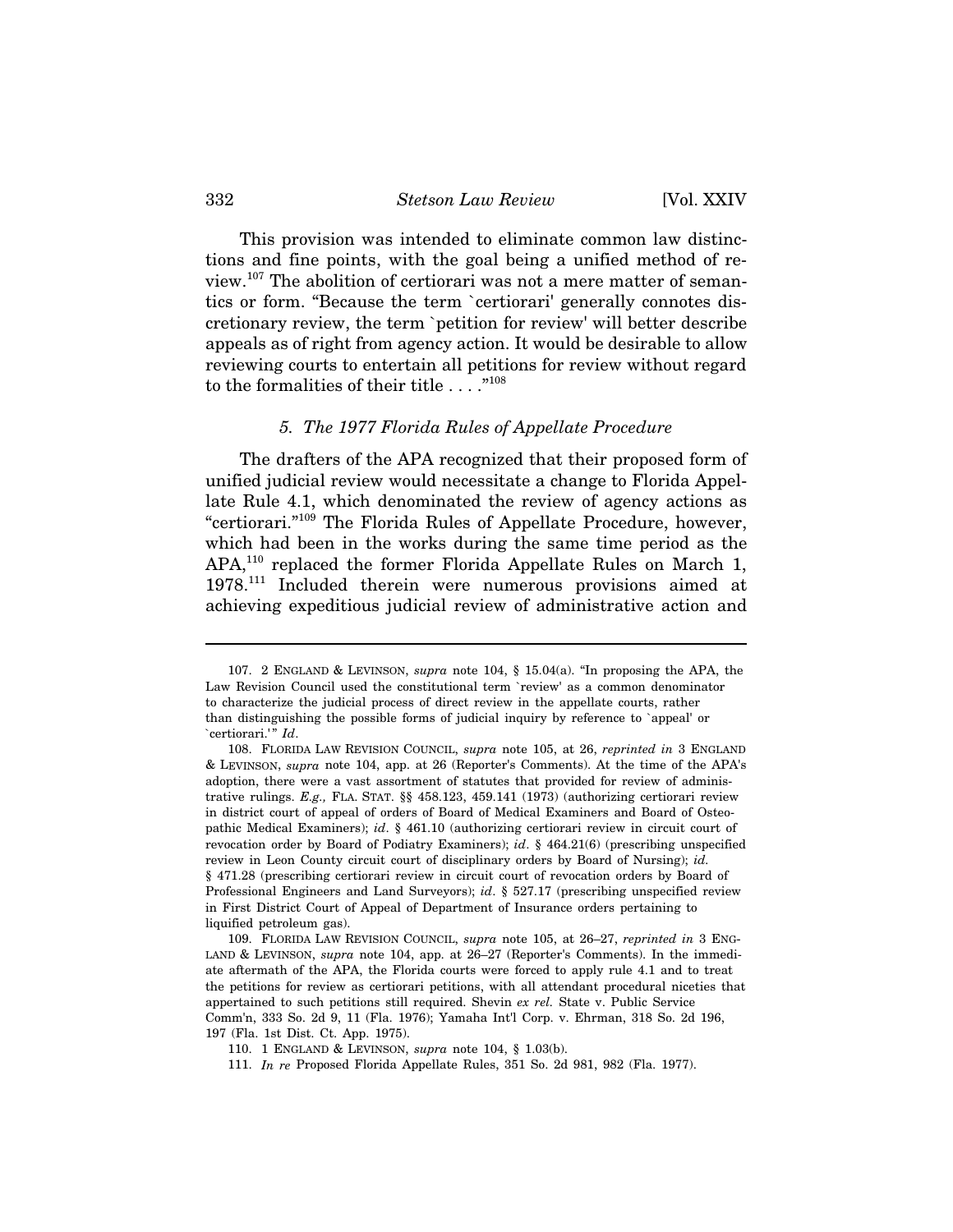#### 332 *Stetson Law Review* [Vol. XXIV

This provision was intended to eliminate common law distinctions and fine points, with the goal being a unified method of review.107 The abolition of certiorari was not a mere matter of semantics or form. "Because the term `certiorari' generally connotes discretionary review, the term `petition for review' will better describe appeals as of right from agency action. It would be desirable to allow reviewing courts to entertain all petitions for review without regard to the formalities of their title . . . . "<sup>108</sup>

## *5. The 1977 Florida Rules of Appellate Procedure*

The drafters of the APA recognized that their proposed form of unified judicial review would necessitate a change to Florida Appellate Rule 4.1, which denominated the review of agency actions as "certiorari."109 The Florida Rules of Appellate Procedure, however, which had been in the works during the same time period as the APA,<sup>110</sup> replaced the former Florida Appellate Rules on March 1, 1978.111 Included therein were numerous provisions aimed at achieving expeditious judicial review of administrative action and

<sup>107. 2</sup> ENGLAND & LEVINSON, *supra* note 104, § 15.04(a). "In proposing the APA, the Law Revision Council used the constitutional term `review' as a common denominator to characterize the judicial process of direct review in the appellate courts, rather than distinguishing the possible forms of judicial inquiry by reference to `appeal' or `certiorari.'" *Id*.

<sup>108.</sup> FLORIDA LAW REVISION COUNCIL, *supra* note 105, at 26, *reprinted in* 3 ENGLAND & LEVINSON, *supra* note 104, app. at 26 (Reporter's Comments). At the time of the APA's adoption, there were a vast assortment of statutes that provided for review of administrative rulings. *E.g.,* FLA. STAT. §§ 458.123, 459.141 (1973) (authorizing certiorari review in district court of appeal of orders of Board of Medical Examiners and Board of Osteopathic Medical Examiners); *id*. § 461.10 (authorizing certiorari review in circuit court of revocation order by Board of Podiatry Examiners); *id*. § 464.21(6) (prescribing unspecified review in Leon County circuit court of disciplinary orders by Board of Nursing); *id.* § 471.28 (prescribing certiorari review in circuit court of revocation orders by Board of Professional Engineers and Land Surveyors); *id*. § 527.17 (prescribing unspecified review in First District Court of Appeal of Department of Insurance orders pertaining to liquified petroleum gas).

<sup>109.</sup> FLORIDA LAW REVISION COUNCIL, *supra* note 105, at 26–27, *reprinted in* 3 ENG-LAND & LEVINSON, *supra* note 104, app. at 26–27 (Reporter's Comments). In the immediate aftermath of the APA, the Florida courts were forced to apply rule 4.1 and to treat the petitions for review as certiorari petitions, with all attendant procedural niceties that appertained to such petitions still required. Shevin *ex rel.* State v. Public Service Comm'n, 333 So. 2d 9, 11 (Fla. 1976); Yamaha Int'l Corp. v. Ehrman, 318 So. 2d 196, 197 (Fla. 1st Dist. Ct. App. 1975).

<sup>110. 1</sup> ENGLAND & LEVINSON, *supra* note 104, § 1.03(b).

<sup>111.</sup> *In re* Proposed Florida Appellate Rules, 351 So. 2d 981, 982 (Fla. 1977).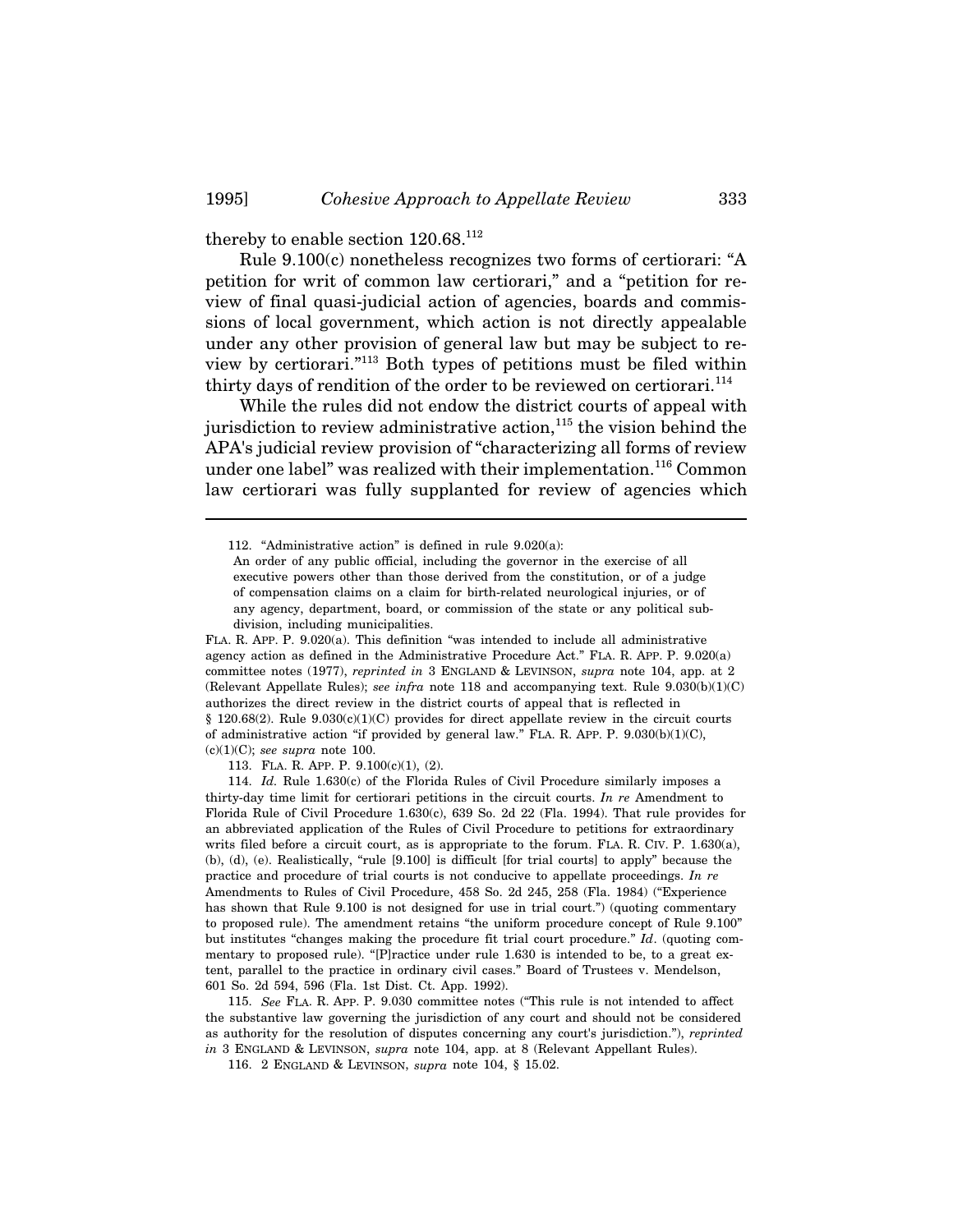thereby to enable section  $120.68$ .<sup>112</sup>

Rule 9.100(c) nonetheless recognizes two forms of certiorari: "A petition for writ of common law certiorari," and a "petition for review of final quasi-judicial action of agencies, boards and commissions of local government, which action is not directly appealable under any other provision of general law but may be subject to review by certiorari."113 Both types of petitions must be filed within thirty days of rendition of the order to be reviewed on certiorari.<sup>114</sup>

While the rules did not endow the district courts of appeal with jurisdiction to review administrative action, $115$  the vision behind the APA's judicial review provision of "characterizing all forms of review under one label" was realized with their implementation.<sup>116</sup> Common law certiorari was fully supplanted for review of agencies which

FLA. R. APP. P. 9.020(a). This definition "was intended to include all administrative agency action as defined in the Administrative Procedure Act." FLA. R. APP. P. 9.020(a) committee notes (1977), *reprinted in* 3 ENGLAND & LEVINSON, *supra* note 104, app. at 2 (Relevant Appellate Rules); *see infra* note 118 and accompanying text. Rule 9.030(b)(1)(C) authorizes the direct review in the district courts of appeal that is reflected in  $§$  120.68(2). Rule 9.030(c)(1)(C) provides for direct appellate review in the circuit courts of administrative action "if provided by general law." FLA. R. APP. P. 9.030(b)(1)(C), (c)(1)(C); *see supra* note 100.

113. FLA. R. APP. P. 9.100(c)(1), (2).

114. *Id.* Rule 1.630(c) of the Florida Rules of Civil Procedure similarly imposes a thirty-day time limit for certiorari petitions in the circuit courts. *In re* Amendment to Florida Rule of Civil Procedure 1.630(c), 639 So. 2d 22 (Fla. 1994). That rule provides for an abbreviated application of the Rules of Civil Procedure to petitions for extraordinary writs filed before a circuit court, as is appropriate to the forum. FLA. R. CIV. P. 1.630(a), (b), (d), (e). Realistically, "rule [9.100] is difficult [for trial courts] to apply" because the practice and procedure of trial courts is not conducive to appellate proceedings. *In re* Amendments to Rules of Civil Procedure, 458 So. 2d 245, 258 (Fla. 1984) ("Experience has shown that Rule 9.100 is not designed for use in trial court.") (quoting commentary to proposed rule). The amendment retains "the uniform procedure concept of Rule 9.100" but institutes "changes making the procedure fit trial court procedure." *Id*. (quoting commentary to proposed rule). "[P]ractice under rule 1.630 is intended to be, to a great extent, parallel to the practice in ordinary civil cases." Board of Trustees v. Mendelson, 601 So. 2d 594, 596 (Fla. 1st Dist. Ct. App. 1992).

115. *See* FLA. R. APP. P. 9.030 committee notes ("This rule is not intended to affect the substantive law governing the jurisdiction of any court and should not be considered as authority for the resolution of disputes concerning any court's jurisdiction."), *reprinted in* 3 ENGLAND & LEVINSON, *supra* note 104, app. at 8 (Relevant Appellant Rules).

116. 2 ENGLAND & LEVINSON, *supra* note 104, § 15.02.

<sup>112. &</sup>quot;Administrative action" is defined in rule 9.020(a):

An order of any public official, including the governor in the exercise of all executive powers other than those derived from the constitution, or of a judge of compensation claims on a claim for birth-related neurological injuries, or of any agency, department, board, or commission of the state or any political subdivision, including municipalities.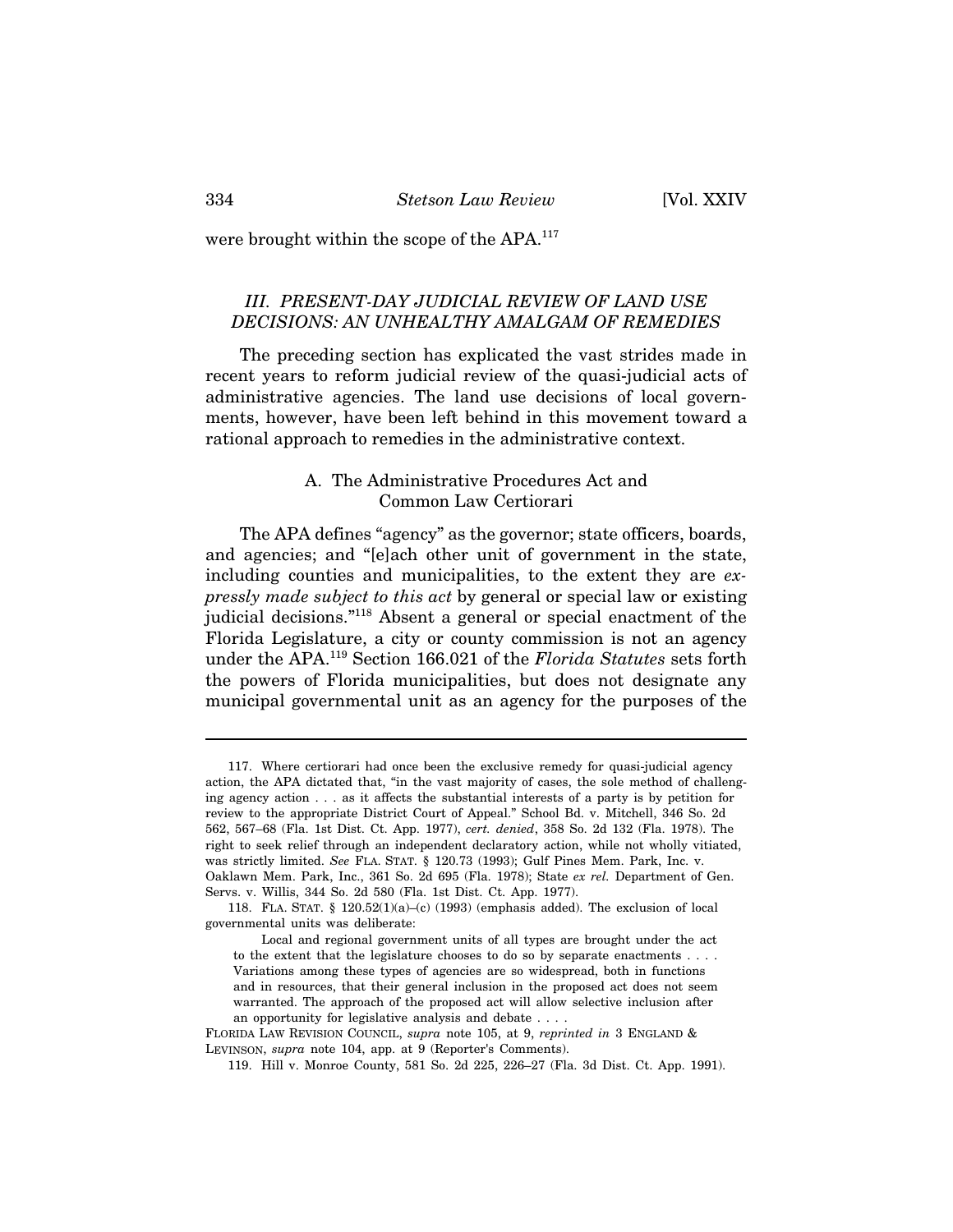were brought within the scope of the APA.<sup>117</sup>

## *III. PRESENT-DAY JUDICIAL REVIEW OF LAND USE DECISIONS: AN UNHEALTHY AMALGAM OF REMEDIES*

The preceding section has explicated the vast strides made in recent years to reform judicial review of the quasi-judicial acts of administrative agencies. The land use decisions of local governments, however, have been left behind in this movement toward a rational approach to remedies in the administrative context.

## A. The Administrative Procedures Act and Common Law Certiorari

The APA defines "agency" as the governor; state officers, boards, and agencies; and "[e]ach other unit of government in the state, including counties and municipalities, to the extent they are *expressly made subject to this act* by general or special law or existing judicial decisions."118 Absent a general or special enactment of the Florida Legislature, a city or county commission is not an agency under the APA.119 Section 166.021 of the *Florida Statutes* sets forth the powers of Florida municipalities, but does not designate any municipal governmental unit as an agency for the purposes of the

<sup>117.</sup> Where certiorari had once been the exclusive remedy for quasi-judicial agency action, the APA dictated that, "in the vast majority of cases, the sole method of challenging agency action . . . as it affects the substantial interests of a party is by petition for review to the appropriate District Court of Appeal." School Bd. v. Mitchell, 346 So. 2d 562, 567–68 (Fla. 1st Dist. Ct. App. 1977), *cert. denied*, 358 So. 2d 132 (Fla. 1978). The right to seek relief through an independent declaratory action, while not wholly vitiated, was strictly limited. *See* FLA. STAT. § 120.73 (1993); Gulf Pines Mem. Park, Inc. v. Oaklawn Mem. Park, Inc., 361 So. 2d 695 (Fla. 1978); State *ex rel.* Department of Gen. Servs. v. Willis, 344 So. 2d 580 (Fla. 1st Dist. Ct. App. 1977).

<sup>118.</sup> FLA. STAT. § 120.52(1)(a)–(c) (1993) (emphasis added). The exclusion of local governmental units was deliberate:

Local and regional government units of all types are brought under the act to the extent that the legislature chooses to do so by separate enactments . . . . Variations among these types of agencies are so widespread, both in functions and in resources, that their general inclusion in the proposed act does not seem warranted. The approach of the proposed act will allow selective inclusion after an opportunity for legislative analysis and debate . . . .

FLORIDA LAW REVISION COUNCIL, *supra* note 105, at 9, *reprinted in* 3 ENGLAND & LEVINSON, *supra* note 104, app. at 9 (Reporter's Comments).

<sup>119.</sup> Hill v. Monroe County, 581 So. 2d 225, 226–27 (Fla. 3d Dist. Ct. App. 1991).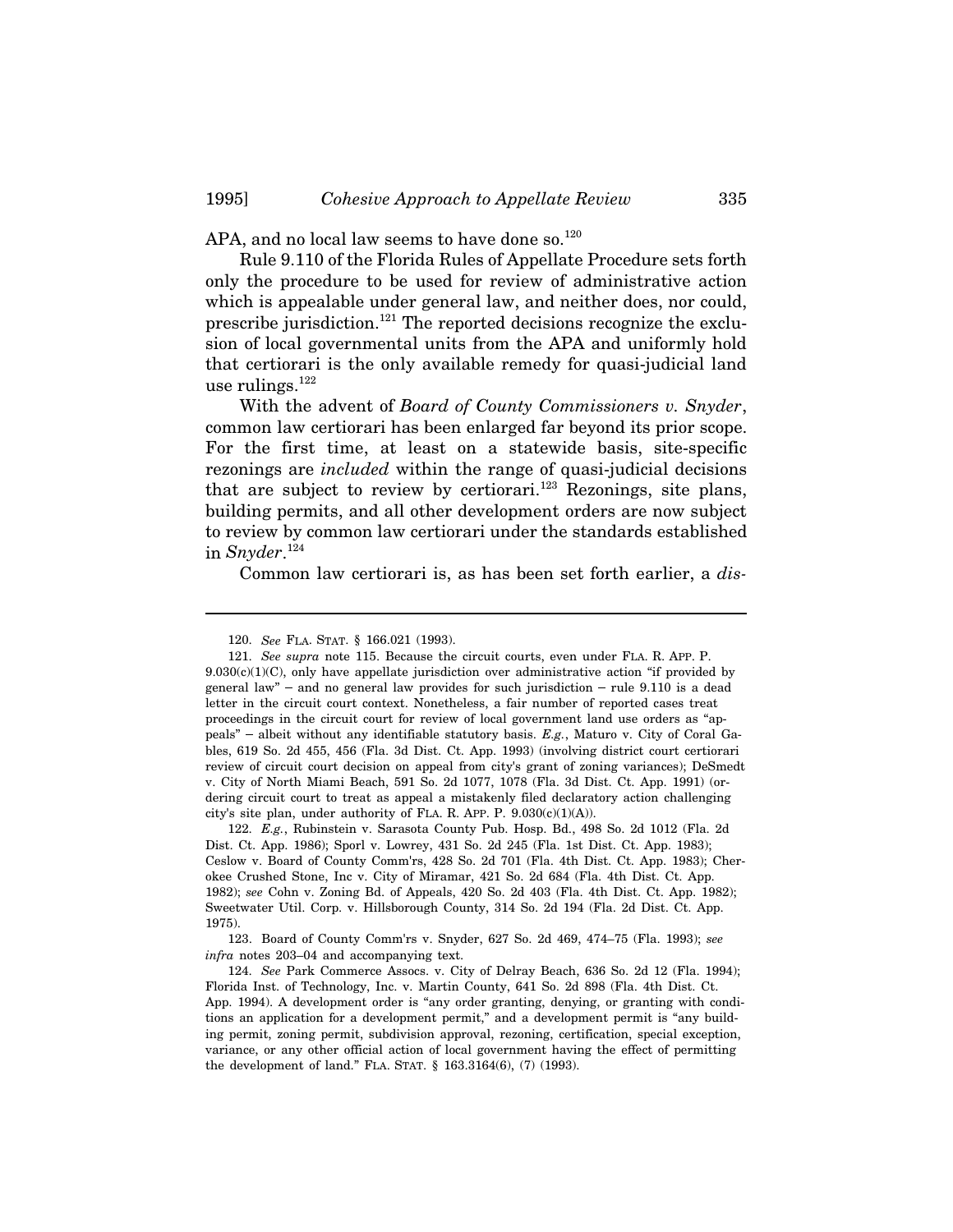APA, and no local law seems to have done so. $120$ 

Rule 9.110 of the Florida Rules of Appellate Procedure sets forth only the procedure to be used for review of administrative action which is appealable under general law, and neither does, nor could, prescribe jurisdiction.<sup>121</sup> The reported decisions recognize the exclusion of local governmental units from the APA and uniformly hold that certiorari is the only available remedy for quasi-judicial land use rulings.<sup>122</sup>

With the advent of *Board of County Commissioners v. Snyder*, common law certiorari has been enlarged far beyond its prior scope. For the first time, at least on a statewide basis, site-specific rezonings are *included* within the range of quasi-judicial decisions that are subject to review by certiorari.<sup>123</sup> Rezonings, site plans, building permits, and all other development orders are now subject to review by common law certiorari under the standards established in *Snyder*. 124

Common law certiorari is, as has been set forth earlier, a *dis-*

122. *E.g.*, Rubinstein v. Sarasota County Pub. Hosp. Bd., 498 So. 2d 1012 (Fla. 2d Dist. Ct. App. 1986); Sporl v. Lowrey, 431 So. 2d 245 (Fla. 1st Dist. Ct. App. 1983); Ceslow v. Board of County Comm'rs, 428 So. 2d 701 (Fla. 4th Dist. Ct. App. 1983); Cherokee Crushed Stone, Inc v. City of Miramar, 421 So. 2d 684 (Fla. 4th Dist. Ct. App. 1982); *see* Cohn v. Zoning Bd. of Appeals, 420 So. 2d 403 (Fla. 4th Dist. Ct. App. 1982); Sweetwater Util. Corp. v. Hillsborough County, 314 So. 2d 194 (Fla. 2d Dist. Ct. App. 1975).

123. Board of County Comm'rs v. Snyder, 627 So. 2d 469, 474–75 (Fla. 1993); *see infra* notes 203–04 and accompanying text.

124. *See* Park Commerce Assocs. v. City of Delray Beach, 636 So. 2d 12 (Fla. 1994); Florida Inst. of Technology, Inc. v. Martin County, 641 So. 2d 898 (Fla. 4th Dist. Ct. App. 1994). A development order is "any order granting, denying, or granting with conditions an application for a development permit," and a development permit is "any building permit, zoning permit, subdivision approval, rezoning, certification, special exception, variance, or any other official action of local government having the effect of permitting the development of land." FLA. STAT. § 163.3164(6), (7) (1993).

<sup>120.</sup> *See* FLA. STAT. § 166.021 (1993).

<sup>121.</sup> *See supra* note 115. Because the circuit courts, even under FLA. R. APP. P.  $9.030(c)(1)(C)$ , only have appellate jurisdiction over administrative action "if provided by 120. *See* FLA. STAT. § 166.021 (1993).<br>121. *See supra* note 115. Because the circuit courts, even under FLA. R. APP. P.<br>9.030(c)(1)(C), only have appellate jurisdiction over administrative action "if provided by<br>general letter in the circuit court context. Nonetheless, a fair number of reported cases treat proceedings in the circuit court for review of local government land use orders as "apgeneral law" – and no general law provides for such jurisdiction – rule 9.110 is a dead<br>letter in the circuit court context. Nonetheless, a fair number of reported cases treat<br>proceedings in the circuit court for review o bles, 619 So. 2d 455, 456 (Fla. 3d Dist. Ct. App. 1993) (involving district court certiorari review of circuit court decision on appeal from city's grant of zoning variances); DeSmedt v. City of North Miami Beach, 591 So. 2d 1077, 1078 (Fla. 3d Dist. Ct. App. 1991) (ordering circuit court to treat as appeal a mistakenly filed declaratory action challenging city's site plan, under authority of FLA. R. APP. P.  $9.030(c)(1)(A)$ .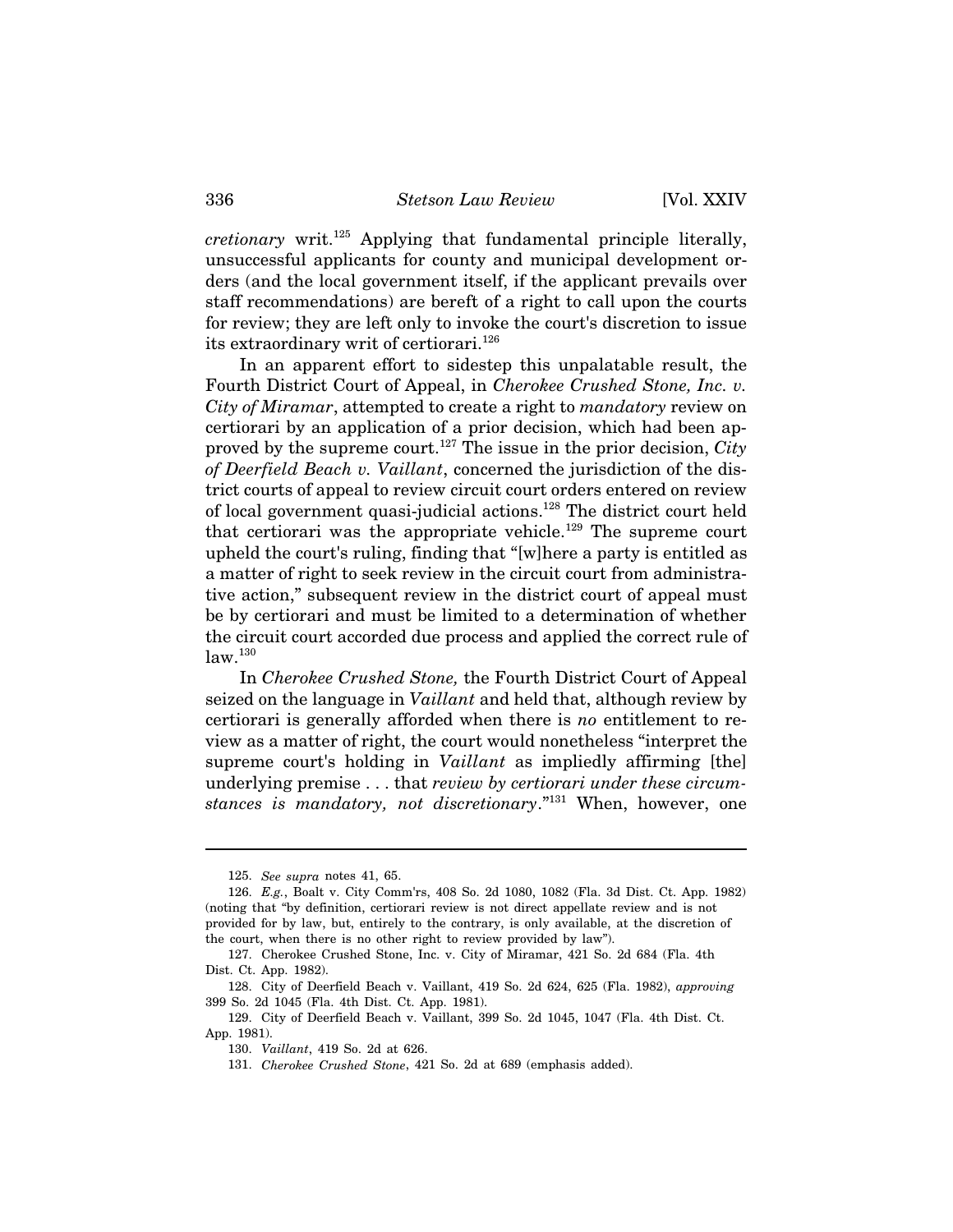*cretionary* writ.125 Applying that fundamental principle literally, unsuccessful applicants for county and municipal development orders (and the local government itself, if the applicant prevails over staff recommendations) are bereft of a right to call upon the courts for review; they are left only to invoke the court's discretion to issue its extraordinary writ of certiorari.<sup>126</sup>

In an apparent effort to sidestep this unpalatable result, the Fourth District Court of Appeal, in *Cherokee Crushed Stone, Inc. v. City of Miramar*, attempted to create a right to *mandatory* review on certiorari by an application of a prior decision, which had been approved by the supreme court.127 The issue in the prior decision, *City of Deerfield Beach v. Vaillant*, concerned the jurisdiction of the district courts of appeal to review circuit court orders entered on review of local government quasi-judicial actions.128 The district court held that certiorari was the appropriate vehicle.<sup>129</sup> The supreme court upheld the court's ruling, finding that "[w]here a party is entitled as a matter of right to seek review in the circuit court from administrative action," subsequent review in the district court of appeal must be by certiorari and must be limited to a determination of whether the circuit court accorded due process and applied the correct rule of  $law.<sup>130</sup>$ 

In *Cherokee Crushed Stone,* the Fourth District Court of Appeal seized on the language in *Vaillant* and held that, although review by certiorari is generally afforded when there is *no* entitlement to review as a matter of right, the court would nonetheless "interpret the supreme court's holding in *Vaillant* as impliedly affirming [the] underlying premise . . . that *review by certiorari under these circumstances is mandatory, not discretionary*."131 When, however, one

<sup>125.</sup> *See supra* notes 41, 65.

<sup>126.</sup> *E.g.*, Boalt v. City Comm'rs, 408 So. 2d 1080, 1082 (Fla. 3d Dist. Ct. App. 1982) (noting that "by definition, certiorari review is not direct appellate review and is not provided for by law, but, entirely to the contrary, is only available, at the discretion of the court, when there is no other right to review provided by law").

<sup>127.</sup> Cherokee Crushed Stone, Inc. v. City of Miramar, 421 So. 2d 684 (Fla. 4th Dist. Ct. App. 1982).

<sup>128.</sup> City of Deerfield Beach v. Vaillant, 419 So. 2d 624, 625 (Fla. 1982), *approving* 399 So. 2d 1045 (Fla. 4th Dist. Ct. App. 1981).

<sup>129.</sup> City of Deerfield Beach v. Vaillant, 399 So. 2d 1045, 1047 (Fla. 4th Dist. Ct. App. 1981).

<sup>130.</sup> *Vaillant*, 419 So. 2d at 626.

<sup>131.</sup> *Cherokee Crushed Stone*, 421 So. 2d at 689 (emphasis added).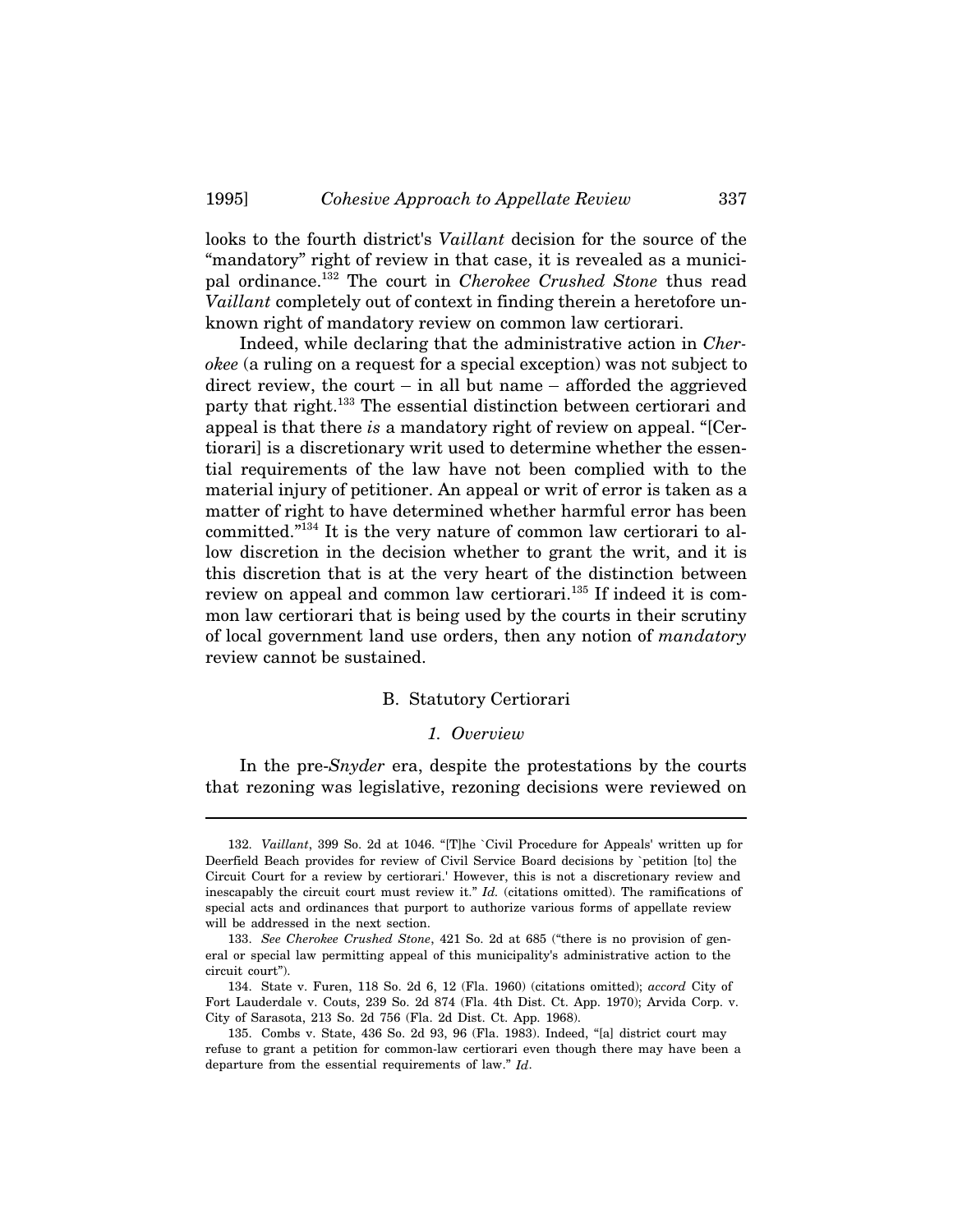looks to the fourth district's *Vaillant* decision for the source of the "mandatory" right of review in that case, it is revealed as a municipal ordinance.132 The court in *Cherokee Crushed Stone* thus read *Vaillant* completely out of context in finding therein a heretofore unknown right of mandatory review on common law certiorari.

Indeed, while declaring that the administrative action in *Cherokee* (a ruling on a request for a special exception) was not subject to direct review, the court  $-$  in all but name  $-$  afforded the aggrieved party that right.<sup>133</sup> The essential distinction between certiorari and appeal is that there *is* a mandatory right of review on appeal. "[Certiorari] is a discretionary writ used to determine whether the essential requirements of the law have not been complied with to the material injury of petitioner. An appeal or writ of error is taken as a matter of right to have determined whether harmful error has been committed."134 It is the very nature of common law certiorari to allow discretion in the decision whether to grant the writ, and it is this discretion that is at the very heart of the distinction between review on appeal and common law certiorari.<sup>135</sup> If indeed it is common law certiorari that is being used by the courts in their scrutiny of local government land use orders, then any notion of *mandatory* review cannot be sustained.

#### B. Statutory Certiorari

#### *1. Overview*

In the pre-*Snyder* era, despite the protestations by the courts that rezoning was legislative, rezoning decisions were reviewed on

<sup>132.</sup> *Vaillant*, 399 So. 2d at 1046. "[T]he `Civil Procedure for Appeals' written up for Deerfield Beach provides for review of Civil Service Board decisions by `petition [to] the Circuit Court for a review by certiorari.' However, this is not a discretionary review and inescapably the circuit court must review it." *Id.* (citations omitted). The ramifications of special acts and ordinances that purport to authorize various forms of appellate review will be addressed in the next section.

<sup>133.</sup> *See Cherokee Crushed Stone*, 421 So. 2d at 685 ("there is no provision of general or special law permitting appeal of this municipality's administrative action to the circuit court").

<sup>134.</sup> State v. Furen, 118 So. 2d 6, 12 (Fla. 1960) (citations omitted); *accord* City of Fort Lauderdale v. Couts, 239 So. 2d 874 (Fla. 4th Dist. Ct. App. 1970); Arvida Corp. v. City of Sarasota, 213 So. 2d 756 (Fla. 2d Dist. Ct. App. 1968).

<sup>135.</sup> Combs v. State, 436 So. 2d 93, 96 (Fla. 1983). Indeed, "[a] district court may refuse to grant a petition for common-law certiorari even though there may have been a departure from the essential requirements of law." *Id*.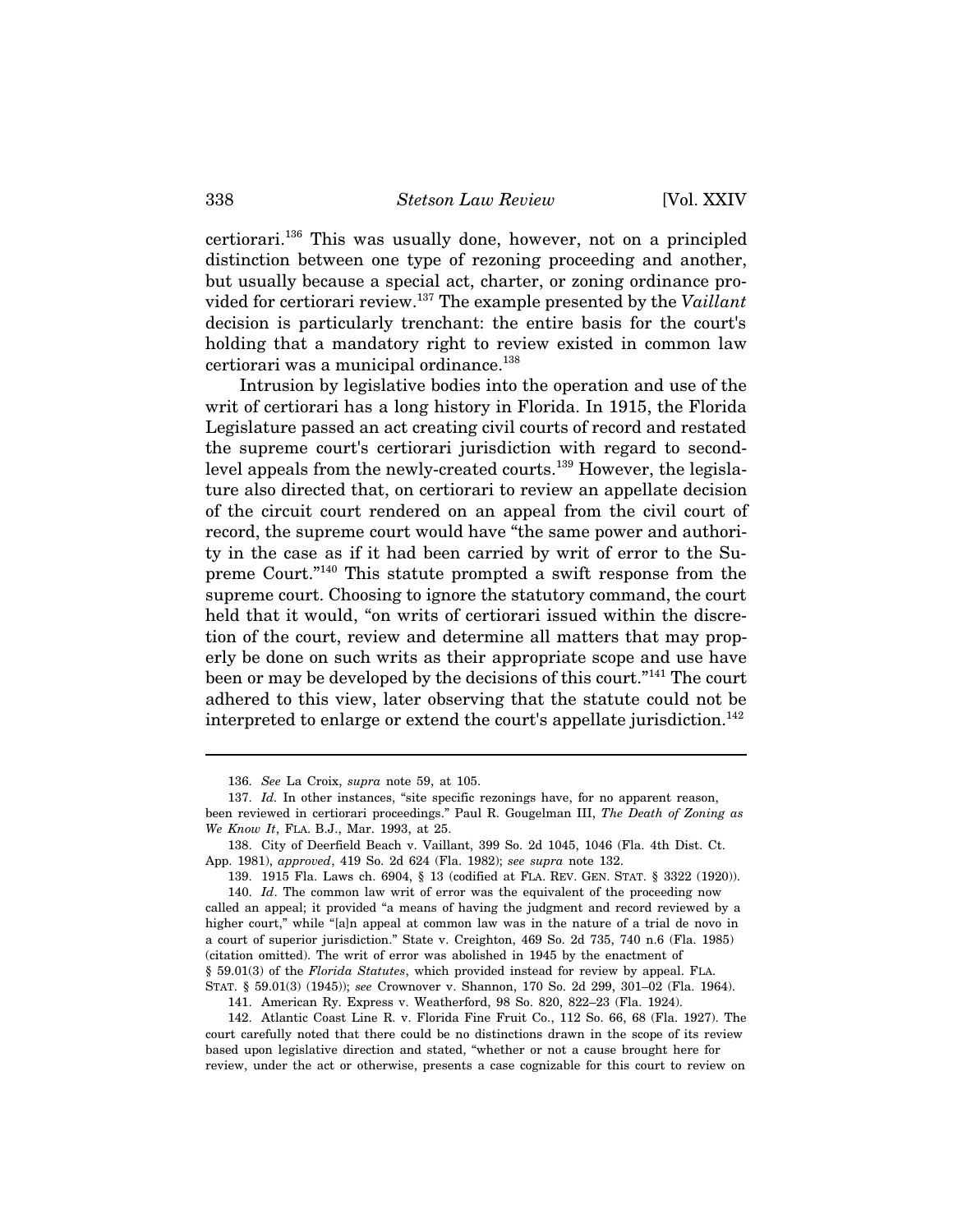certiorari.136 This was usually done, however, not on a principled distinction between one type of rezoning proceeding and another, but usually because a special act, charter, or zoning ordinance provided for certiorari review.137 The example presented by the *Vaillant* decision is particularly trenchant: the entire basis for the court's holding that a mandatory right to review existed in common law certiorari was a municipal ordinance.<sup>138</sup>

Intrusion by legislative bodies into the operation and use of the writ of certiorari has a long history in Florida. In 1915, the Florida Legislature passed an act creating civil courts of record and restated the supreme court's certiorari jurisdiction with regard to secondlevel appeals from the newly-created courts.139 However, the legislature also directed that, on certiorari to review an appellate decision of the circuit court rendered on an appeal from the civil court of record, the supreme court would have "the same power and authority in the case as if it had been carried by writ of error to the Supreme Court."140 This statute prompted a swift response from the supreme court. Choosing to ignore the statutory command, the court held that it would, "on writs of certiorari issued within the discretion of the court, review and determine all matters that may properly be done on such writs as their appropriate scope and use have been or may be developed by the decisions of this court."141 The court adhered to this view, later observing that the statute could not be interpreted to enlarge or extend the court's appellate jurisdiction.<sup>142</sup>

140. *Id*. The common law writ of error was the equivalent of the proceeding now called an appeal; it provided "a means of having the judgment and record reviewed by a higher court," while "[a]n appeal at common law was in the nature of a trial de novo in a court of superior jurisdiction." State v. Creighton, 469 So. 2d 735, 740 n.6 (Fla. 1985) (citation omitted). The writ of error was abolished in 1945 by the enactment of § 59.01(3) of the *Florida Statutes*, which provided instead for review by appeal. FLA. STAT. § 59.01(3) (1945)); *see* Crownover v. Shannon, 170 So. 2d 299, 301–02 (Fla. 1964).

<sup>136.</sup> *See* La Croix, *supra* note 59, at 105.

<sup>137.</sup> *Id.* In other instances, "site specific rezonings have, for no apparent reason,

been reviewed in certiorari proceedings." Paul R. Gougelman III, *The Death of Zoning as We Know It*, FLA. B.J., Mar. 1993, at 25.

<sup>138.</sup> City of Deerfield Beach v. Vaillant, 399 So. 2d 1045, 1046 (Fla. 4th Dist. Ct. App. 1981), *approved*, 419 So. 2d 624 (Fla. 1982); *see supra* note 132.

<sup>139. 1915</sup> Fla. Laws ch. 6904, § 13 (codified at FLA. REV. GEN. STAT. § 3322 (1920)).

<sup>141.</sup> American Ry. Express v. Weatherford, 98 So. 820, 822–23 (Fla. 1924).

<sup>142.</sup> Atlantic Coast Line R. v. Florida Fine Fruit Co., 112 So. 66, 68 (Fla. 1927). The court carefully noted that there could be no distinctions drawn in the scope of its review based upon legislative direction and stated, "whether or not a cause brought here for review, under the act or otherwise, presents a case cognizable for this court to review on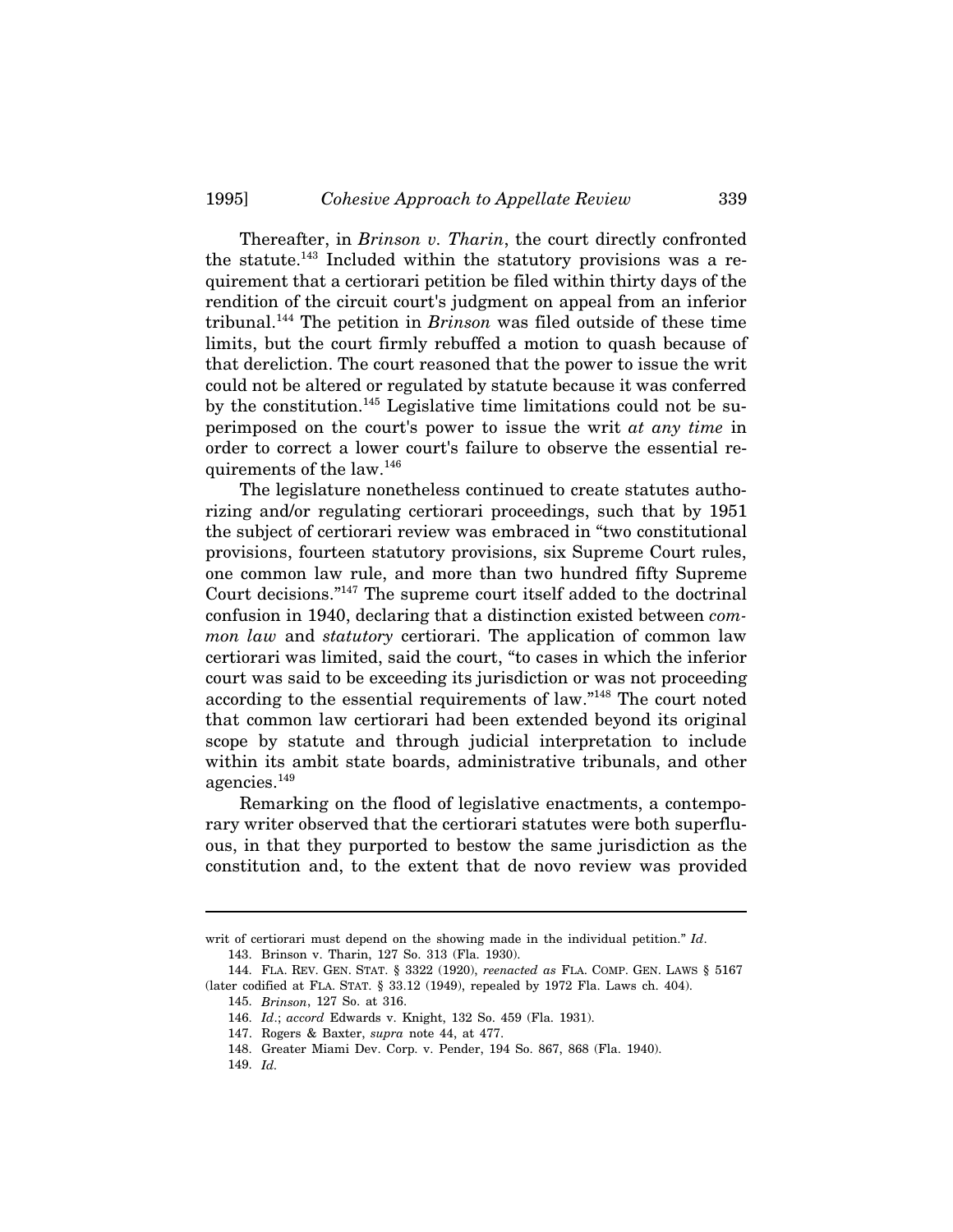Thereafter, in *Brinson v. Tharin*, the court directly confronted the statute.<sup>143</sup> Included within the statutory provisions was a requirement that a certiorari petition be filed within thirty days of the rendition of the circuit court's judgment on appeal from an inferior tribunal.144 The petition in *Brinson* was filed outside of these time limits, but the court firmly rebuffed a motion to quash because of that dereliction. The court reasoned that the power to issue the writ could not be altered or regulated by statute because it was conferred by the constitution.<sup>145</sup> Legislative time limitations could not be superimposed on the court's power to issue the writ *at any time* in order to correct a lower court's failure to observe the essential requirements of the law.146

The legislature nonetheless continued to create statutes authorizing and/or regulating certiorari proceedings, such that by 1951 the subject of certiorari review was embraced in "two constitutional provisions, fourteen statutory provisions, six Supreme Court rules, one common law rule, and more than two hundred fifty Supreme Court decisions."147 The supreme court itself added to the doctrinal confusion in 1940, declaring that a distinction existed between *common law* and *statutory* certiorari. The application of common law certiorari was limited, said the court, "to cases in which the inferior court was said to be exceeding its jurisdiction or was not proceeding according to the essential requirements of law."148 The court noted that common law certiorari had been extended beyond its original scope by statute and through judicial interpretation to include within its ambit state boards, administrative tribunals, and other agencies.149

Remarking on the flood of legislative enactments, a contemporary writer observed that the certiorari statutes were both superfluous, in that they purported to bestow the same jurisdiction as the constitution and, to the extent that de novo review was provided

writ of certiorari must depend on the showing made in the individual petition." *Id*.

<sup>143.</sup> Brinson v. Tharin, 127 So. 313 (Fla. 1930).

<sup>144.</sup> FLA. REV. GEN. STAT. § 3322 (1920), *reenacted as* FLA. COMP. GEN. LAWS § 5167 (later codified at FLA. STAT. § 33.12 (1949), repealed by 1972 Fla. Laws ch. 404).

<sup>145.</sup> *Brinson*, 127 So. at 316.

<sup>146.</sup> *Id*.; *accord* Edwards v. Knight, 132 So. 459 (Fla. 1931).

<sup>147.</sup> Rogers & Baxter, *supra* note 44, at 477.

<sup>148.</sup> Greater Miami Dev. Corp. v. Pender, 194 So. 867, 868 (Fla. 1940).

<sup>149.</sup> *Id.*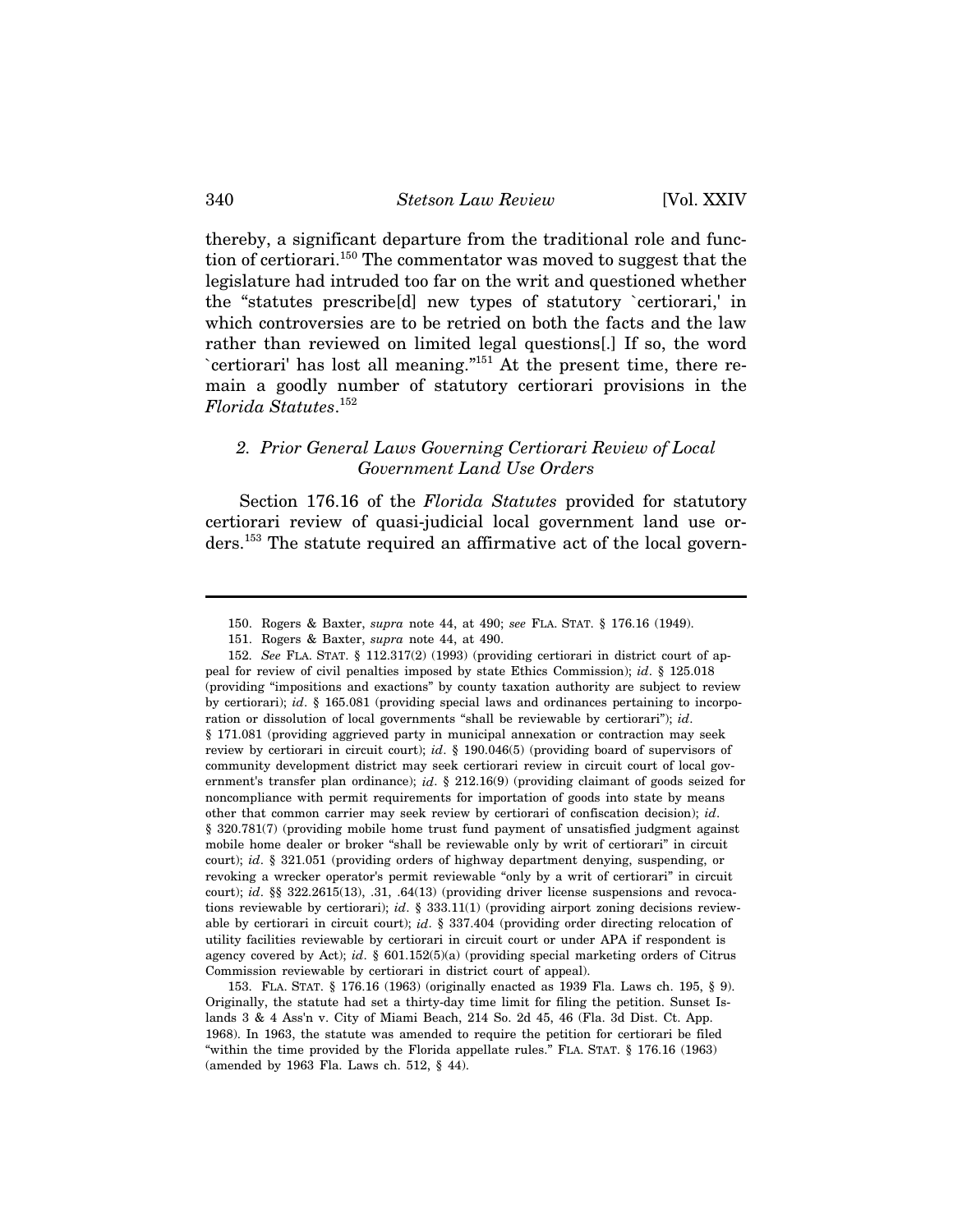thereby, a significant departure from the traditional role and function of certiorari.150 The commentator was moved to suggest that the legislature had intruded too far on the writ and questioned whether the "statutes prescribe[d] new types of statutory `certiorari,' in which controversies are to be retried on both the facts and the law rather than reviewed on limited legal questions[.] If so, the word `certiorari' has lost all meaning."151 At the present time, there remain a goodly number of statutory certiorari provisions in the *Florida Statutes*. 152

## *2. Prior General Laws Governing Certiorari Review of Local Government Land Use Orders*

Section 176.16 of the *Florida Statutes* provided for statutory certiorari review of quasi-judicial local government land use orders.153 The statute required an affirmative act of the local govern-

153. FLA. STAT. § 176.16 (1963) (originally enacted as 1939 Fla. Laws ch. 195, § 9). Originally, the statute had set a thirty-day time limit for filing the petition. Sunset Islands 3 & 4 Ass'n v. City of Miami Beach, 214 So. 2d 45, 46 (Fla. 3d Dist. Ct. App. 1968). In 1963, the statute was amended to require the petition for certiorari be filed "within the time provided by the Florida appellate rules." FLA. STAT. § 176.16 (1963) (amended by 1963 Fla. Laws ch. 512, § 44).

<sup>150.</sup> Rogers & Baxter, *supra* note 44, at 490; *see* FLA. STAT. § 176.16 (1949).

<sup>151.</sup> Rogers & Baxter, *supra* note 44, at 490.

<sup>152.</sup> *See* FLA. STAT. § 112.317(2) (1993) (providing certiorari in district court of appeal for review of civil penalties imposed by state Ethics Commission); *id*. § 125.018 (providing "impositions and exactions" by county taxation authority are subject to review by certiorari); *id*. § 165.081 (providing special laws and ordinances pertaining to incorporation or dissolution of local governments "shall be reviewable by certiorari"); *id*. § 171.081 (providing aggrieved party in municipal annexation or contraction may seek review by certiorari in circuit court); *id*. § 190.046(5) (providing board of supervisors of community development district may seek certiorari review in circuit court of local government's transfer plan ordinance); *id*. § 212.16(9) (providing claimant of goods seized for noncompliance with permit requirements for importation of goods into state by means other that common carrier may seek review by certiorari of confiscation decision); *id*. § 320.781(7) (providing mobile home trust fund payment of unsatisfied judgment against mobile home dealer or broker "shall be reviewable only by writ of certiorari" in circuit court); *id*. § 321.051 (providing orders of highway department denying, suspending, or revoking a wrecker operator's permit reviewable "only by a writ of certiorari" in circuit court); *id.* §§ 322.2615(13), .31, .64(13) (providing driver license suspensions and revocations reviewable by certiorari); *id*. § 333.11(1) (providing airport zoning decisions reviewable by certiorari in circuit court); *id*. § 337.404 (providing order directing relocation of utility facilities reviewable by certiorari in circuit court or under APA if respondent is agency covered by Act); *id*. § 601.152(5)(a) (providing special marketing orders of Citrus Commission reviewable by certiorari in district court of appeal).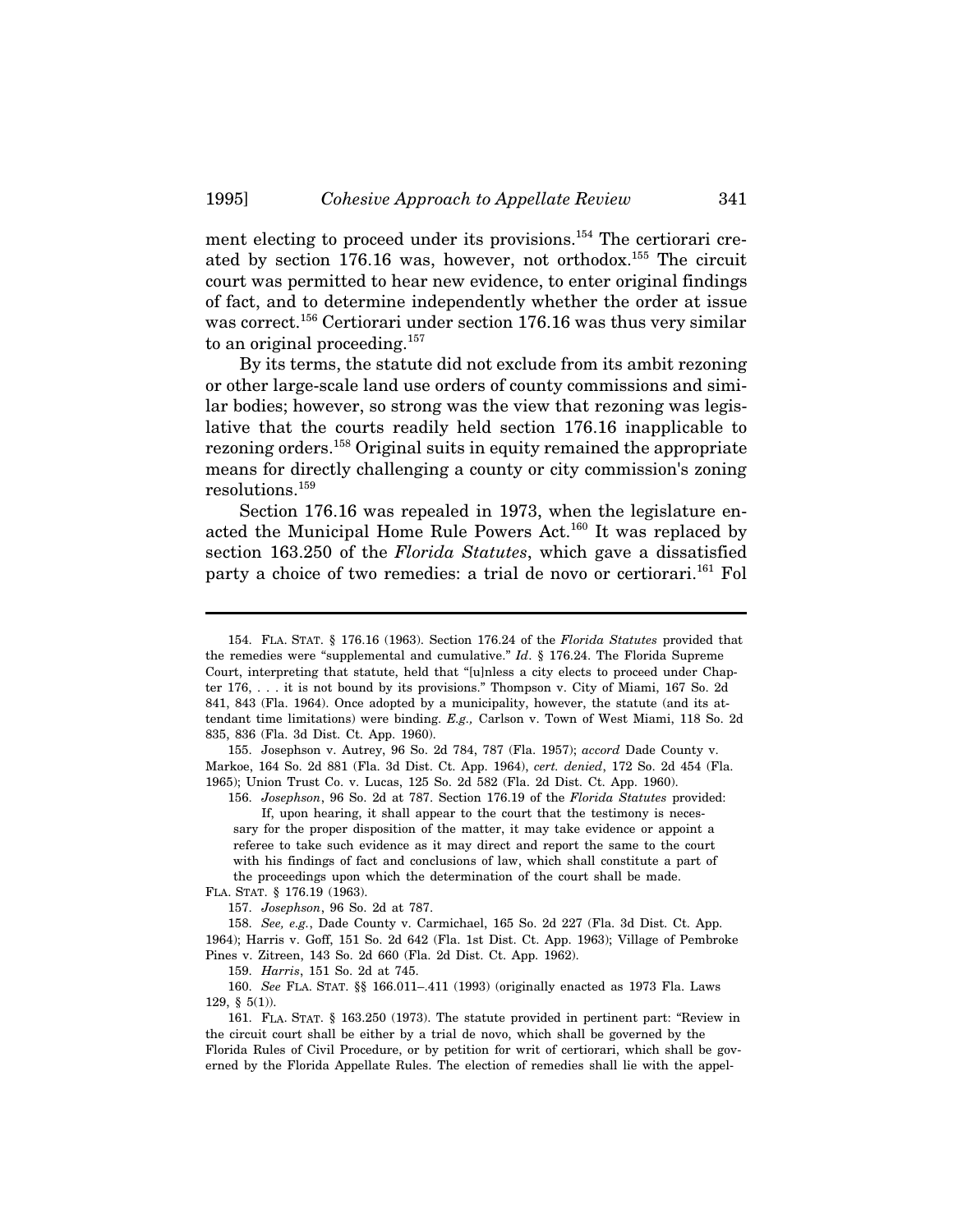ment electing to proceed under its provisions.<sup>154</sup> The certiorari created by section 176.16 was, however, not orthodox.<sup>155</sup> The circuit court was permitted to hear new evidence, to enter original findings of fact, and to determine independently whether the order at issue was correct.<sup>156</sup> Certiorari under section 176.16 was thus very similar to an original proceeding.<sup>157</sup>

By its terms, the statute did not exclude from its ambit rezoning or other large-scale land use orders of county commissions and similar bodies; however, so strong was the view that rezoning was legislative that the courts readily held section 176.16 inapplicable to rezoning orders.158 Original suits in equity remained the appropriate means for directly challenging a county or city commission's zoning resolutions.159

Section 176.16 was repealed in 1973, when the legislature enacted the Municipal Home Rule Powers Act.<sup>160</sup> It was replaced by section 163.250 of the *Florida Statutes*, which gave a dissatisfied party a choice of two remedies: a trial de novo or certiorari.<sup>161</sup> Fol

155. Josephson v. Autrey, 96 So. 2d 784, 787 (Fla. 1957); *accord* Dade County v. Markoe, 164 So. 2d 881 (Fla. 3d Dist. Ct. App. 1964), *cert. denied*, 172 So. 2d 454 (Fla. 1965); Union Trust Co. v. Lucas, 125 So. 2d 582 (Fla. 2d Dist. Ct. App. 1960).

156. *Josephson*, 96 So. 2d at 787. Section 176.19 of the *Florida Statutes* provided: If, upon hearing, it shall appear to the court that the testimony is neces-

sary for the proper disposition of the matter, it may take evidence or appoint a referee to take such evidence as it may direct and report the same to the court with his findings of fact and conclusions of law, which shall constitute a part of the proceedings upon which the determination of the court shall be made. FLA. STAT. § 176.19 (1963).

157. *Josephson*, 96 So. 2d at 787.

158. *See, e.g.*, Dade County v. Carmichael, 165 So. 2d 227 (Fla. 3d Dist. Ct. App. 1964); Harris v. Goff, 151 So. 2d 642 (Fla. 1st Dist. Ct. App. 1963); Village of Pembroke Pines v. Zitreen, 143 So. 2d 660 (Fla. 2d Dist. Ct. App. 1962).

159. *Harris*, 151 So. 2d at 745.

160. *See* FLA. STAT. §§ 166.011–.411 (1993) (originally enacted as 1973 Fla. Laws 129, § 5(1)).

161. FLA. STAT. § 163.250 (1973). The statute provided in pertinent part: "Review in the circuit court shall be either by a trial de novo, which shall be governed by the Florida Rules of Civil Procedure, or by petition for writ of certiorari, which shall be governed by the Florida Appellate Rules. The election of remedies shall lie with the appel-

<sup>154.</sup> FLA. STAT. § 176.16 (1963). Section 176.24 of the *Florida Statutes* provided that the remedies were "supplemental and cumulative." *Id*. § 176.24. The Florida Supreme Court, interpreting that statute, held that "[u]nless a city elects to proceed under Chapter 176, . . . it is not bound by its provisions." Thompson v. City of Miami, 167 So. 2d 841, 843 (Fla. 1964). Once adopted by a municipality, however, the statute (and its attendant time limitations) were binding. *E.g.,* Carlson v. Town of West Miami, 118 So. 2d 835, 836 (Fla. 3d Dist. Ct. App. 1960).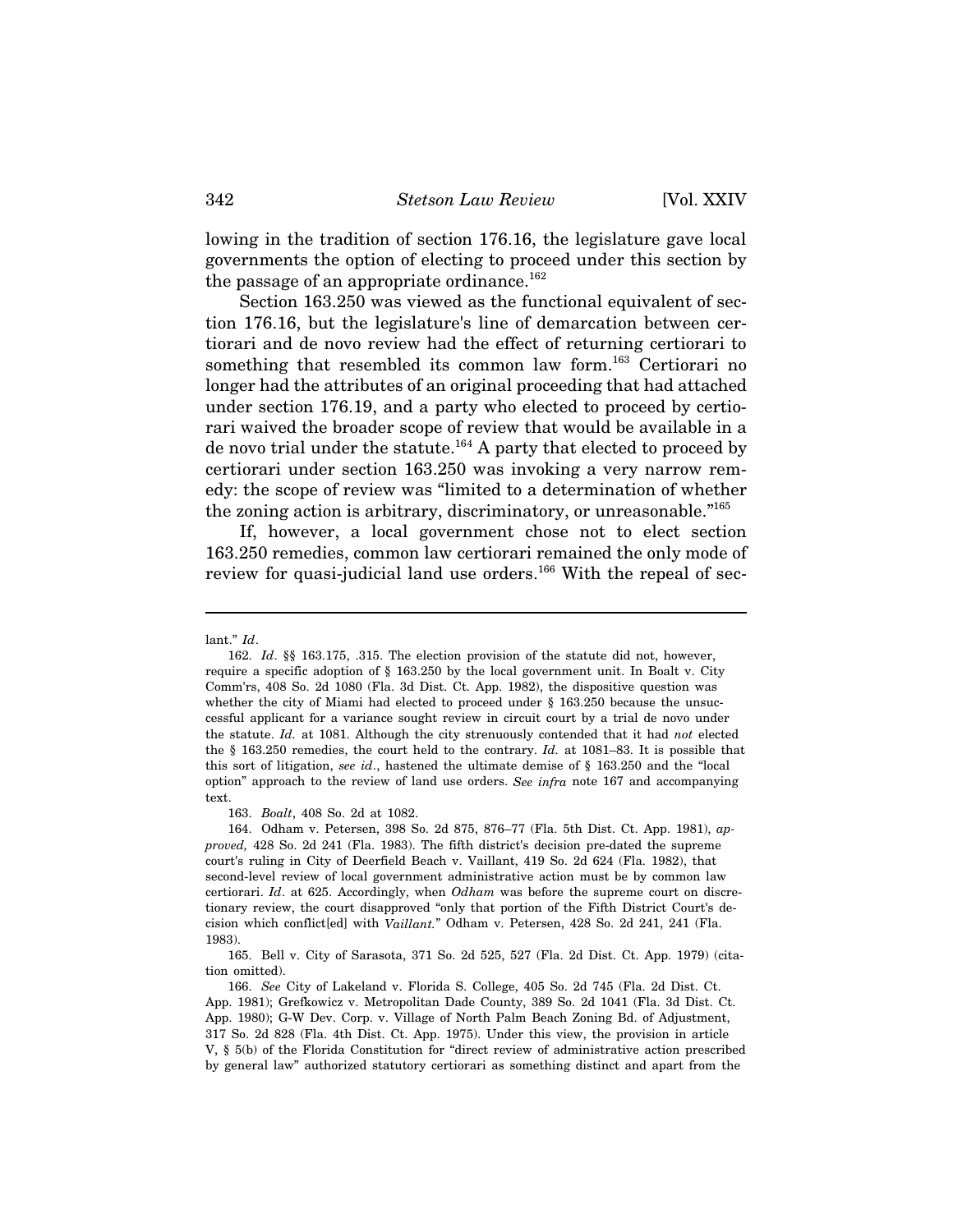lowing in the tradition of section 176.16, the legislature gave local governments the option of electing to proceed under this section by the passage of an appropriate ordinance.<sup>162</sup>

Section 163.250 was viewed as the functional equivalent of section 176.16, but the legislature's line of demarcation between certiorari and de novo review had the effect of returning certiorari to something that resembled its common law form.<sup>163</sup> Certiorari no longer had the attributes of an original proceeding that had attached under section 176.19, and a party who elected to proceed by certiorari waived the broader scope of review that would be available in a de novo trial under the statute.<sup>164</sup> A party that elected to proceed by certiorari under section 163.250 was invoking a very narrow remedy: the scope of review was "limited to a determination of whether the zoning action is arbitrary, discriminatory, or unreasonable."<sup>165</sup>

If, however, a local government chose not to elect section 163.250 remedies, common law certiorari remained the only mode of review for quasi-judicial land use orders.<sup>166</sup> With the repeal of sec-

163. *Boalt*, 408 So. 2d at 1082.

164. Odham v. Petersen, 398 So. 2d 875, 876–77 (Fla. 5th Dist. Ct. App. 1981), *approved,* 428 So. 2d 241 (Fla. 1983). The fifth district's decision pre-dated the supreme court's ruling in City of Deerfield Beach v. Vaillant, 419 So. 2d 624 (Fla. 1982), that second-level review of local government administrative action must be by common law certiorari. *Id*. at 625. Accordingly, when *Odham* was before the supreme court on discretionary review, the court disapproved "only that portion of the Fifth District Court's decision which conflict[ed] with *Vaillant.*" Odham v. Petersen, 428 So. 2d 241, 241 (Fla. 1983).

lant." *Id*.

<sup>162.</sup> *Id*. §§ 163.175, .315. The election provision of the statute did not, however, require a specific adoption of § 163.250 by the local government unit. In Boalt v. City Comm'rs, 408 So. 2d 1080 (Fla. 3d Dist. Ct. App. 1982), the dispositive question was whether the city of Miami had elected to proceed under § 163.250 because the unsuccessful applicant for a variance sought review in circuit court by a trial de novo under the statute. *Id.* at 1081. Although the city strenuously contended that it had *not* elected the § 163.250 remedies, the court held to the contrary. *Id.* at 1081–83. It is possible that this sort of litigation, *see id*., hastened the ultimate demise of § 163.250 and the "local option" approach to the review of land use orders. *See infra* note 167 and accompanying text.

<sup>165.</sup> Bell v. City of Sarasota, 371 So. 2d 525, 527 (Fla. 2d Dist. Ct. App. 1979) (citation omitted).

<sup>166.</sup> *See* City of Lakeland v. Florida S. College, 405 So. 2d 745 (Fla. 2d Dist. Ct. App. 1981); Grefkowicz v. Metropolitan Dade County, 389 So. 2d 1041 (Fla. 3d Dist. Ct. App. 1980); G-W Dev. Corp. v. Village of North Palm Beach Zoning Bd. of Adjustment, 317 So. 2d 828 (Fla. 4th Dist. Ct. App. 1975). Under this view, the provision in article V, § 5(b) of the Florida Constitution for "direct review of administrative action prescribed by general law" authorized statutory certiorari as something distinct and apart from the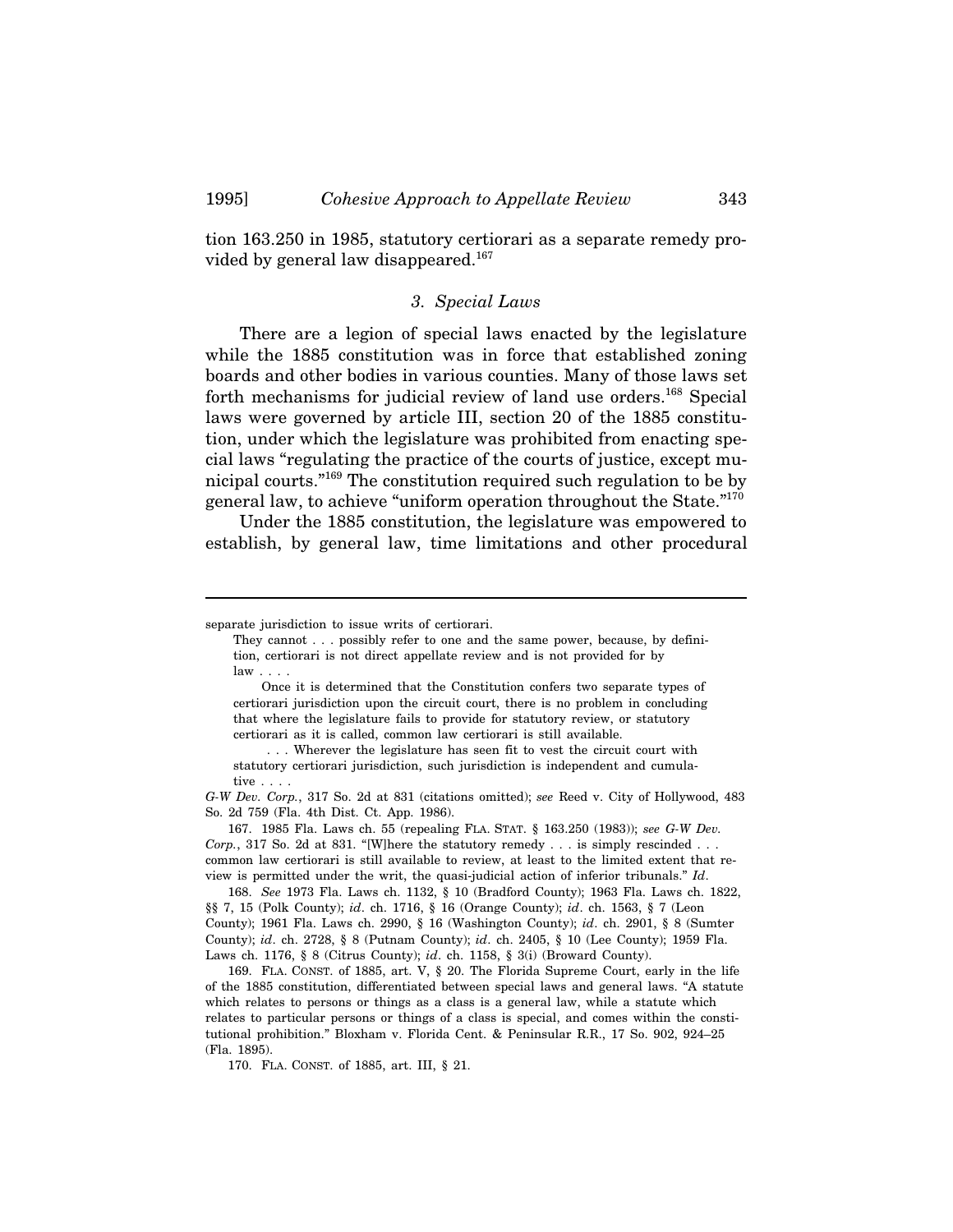tion 163.250 in 1985, statutory certiorari as a separate remedy provided by general law disappeared.<sup>167</sup>

### *3. Special Laws*

There are a legion of special laws enacted by the legislature while the 1885 constitution was in force that established zoning boards and other bodies in various counties. Many of those laws set forth mechanisms for judicial review of land use orders.<sup>168</sup> Special laws were governed by article III, section 20 of the 1885 constitution, under which the legislature was prohibited from enacting special laws "regulating the practice of the courts of justice, except municipal courts."169 The constitution required such regulation to be by general law, to achieve "uniform operation throughout the State."170

Under the 1885 constitution, the legislature was empowered to establish, by general law, time limitations and other procedural

168. *See* 1973 Fla. Laws ch. 1132, § 10 (Bradford County); 1963 Fla. Laws ch. 1822, §§ 7, 15 (Polk County); *id*. ch. 1716, § 16 (Orange County); *id*. ch. 1563, § 7 (Leon County); 1961 Fla. Laws ch. 2990, § 16 (Washington County); *id*. ch. 2901, § 8 (Sumter County); *id*. ch. 2728, § 8 (Putnam County); *id*. ch. 2405, § 10 (Lee County); 1959 Fla. Laws ch. 1176, § 8 (Citrus County); *id*. ch. 1158, § 3(i) (Broward County).

169. FLA. CONST. of 1885, art. V, § 20. The Florida Supreme Court, early in the life of the 1885 constitution, differentiated between special laws and general laws. "A statute which relates to persons or things as a class is a general law, while a statute which relates to particular persons or things of a class is special, and comes within the constitutional prohibition." Bloxham v. Florida Cent. & Peninsular R.R., 17 So. 902, 924–25 (Fla. 1895).

170. FLA. CONST. of 1885, art. III, § 21.

separate jurisdiction to issue writs of certiorari.

They cannot . . . possibly refer to one and the same power, because, by definition, certiorari is not direct appellate review and is not provided for by  $law \dots$ 

Once it is determined that the Constitution confers two separate types of certiorari jurisdiction upon the circuit court, there is no problem in concluding that where the legislature fails to provide for statutory review, or statutory certiorari as it is called, common law certiorari is still available.

 <sup>. . .</sup> Wherever the legislature has seen fit to vest the circuit court with statutory certiorari jurisdiction, such jurisdiction is independent and cumulative . . . .

*G-W Dev. Corp.*, 317 So. 2d at 831 (citations omitted); *see* Reed v. City of Hollywood, 483 So. 2d 759 (Fla. 4th Dist. Ct. App. 1986).

<sup>167. 1985</sup> Fla. Laws ch. 55 (repealing FLA. STAT. § 163.250 (1983)); *see G-W Dev. Corp.*, 317 So. 2d at 831. "[W]here the statutory remedy . . . is simply rescinded . . . common law certiorari is still available to review, at least to the limited extent that review is permitted under the writ, the quasi-judicial action of inferior tribunals." *Id*.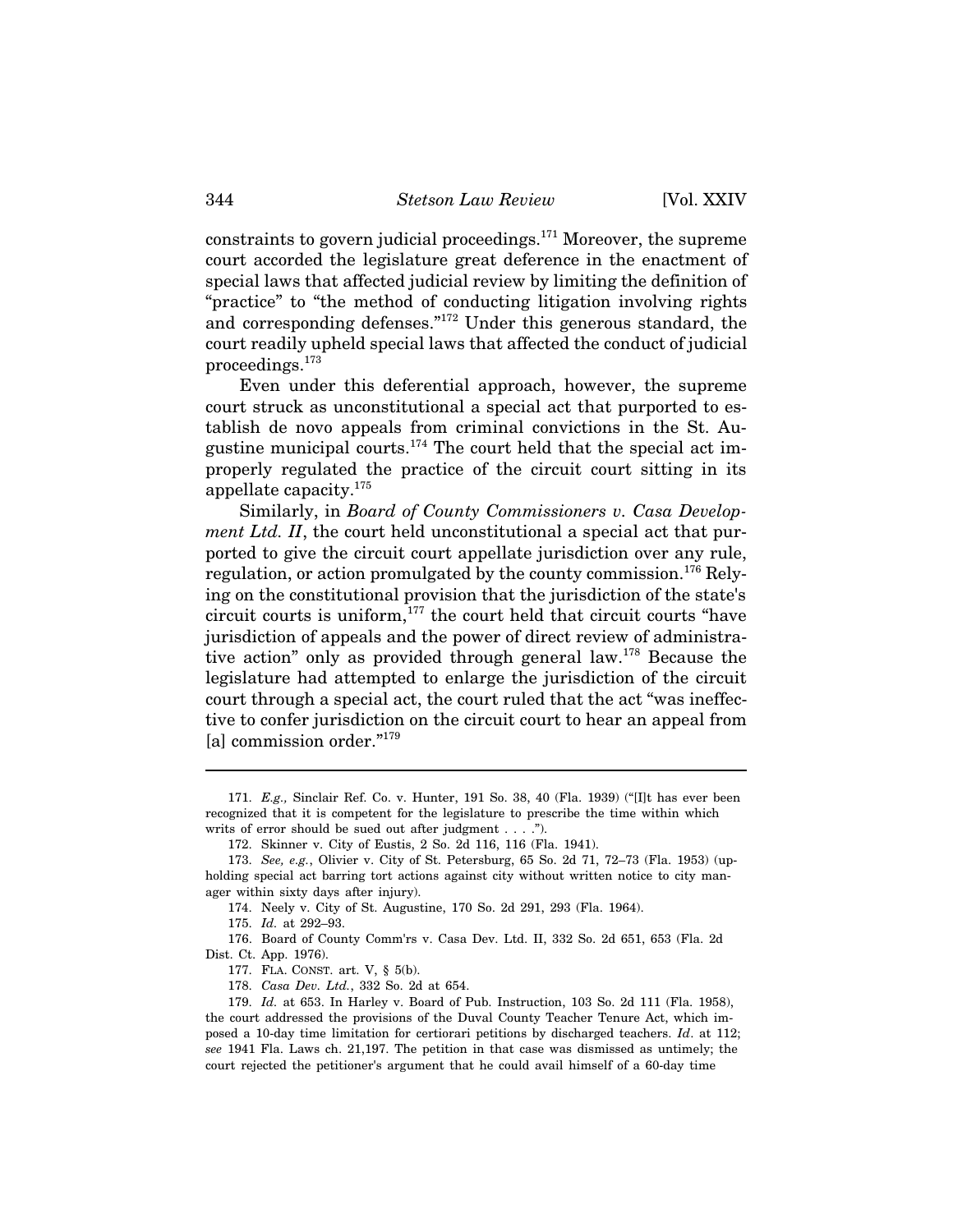constraints to govern judicial proceedings. $171$  Moreover, the supreme court accorded the legislature great deference in the enactment of special laws that affected judicial review by limiting the definition of "practice" to "the method of conducting litigation involving rights and corresponding defenses."172 Under this generous standard, the court readily upheld special laws that affected the conduct of judicial proceedings.173

Even under this deferential approach, however, the supreme court struck as unconstitutional a special act that purported to establish de novo appeals from criminal convictions in the St. Augustine municipal courts.<sup>174</sup> The court held that the special act improperly regulated the practice of the circuit court sitting in its appellate capacity.175

Similarly, in *Board of County Commissioners v. Casa Development Ltd. II*, the court held unconstitutional a special act that purported to give the circuit court appellate jurisdiction over any rule, regulation, or action promulgated by the county commission.<sup>176</sup> Relying on the constitutional provision that the jurisdiction of the state's circuit courts is uniform,<sup>177</sup> the court held that circuit courts "have jurisdiction of appeals and the power of direct review of administrative action" only as provided through general law.178 Because the legislature had attempted to enlarge the jurisdiction of the circuit court through a special act, the court ruled that the act "was ineffective to confer jurisdiction on the circuit court to hear an appeal from [a] commission order."<sup>179</sup>

<sup>171.</sup> *E.g.,* Sinclair Ref. Co. v. Hunter, 191 So. 38, 40 (Fla. 1939) ("[I]t has ever been recognized that it is competent for the legislature to prescribe the time within which writs of error should be sued out after judgment . . . .").

<sup>172.</sup> Skinner v. City of Eustis, 2 So. 2d 116, 116 (Fla. 1941).

<sup>173.</sup> *See, e.g.*, Olivier v. City of St. Petersburg, 65 So. 2d 71, 72–73 (Fla. 1953) (upholding special act barring tort actions against city without written notice to city manager within sixty days after injury).

<sup>174.</sup> Neely v. City of St. Augustine, 170 So. 2d 291, 293 (Fla. 1964).

<sup>175.</sup> *Id.* at 292–93.

<sup>176.</sup> Board of County Comm'rs v. Casa Dev. Ltd. II, 332 So. 2d 651, 653 (Fla. 2d Dist. Ct. App. 1976).

<sup>177.</sup> FLA. CONST. art. V, § 5(b).

<sup>178.</sup> *Casa Dev. Ltd.*, 332 So. 2d at 654.

<sup>179.</sup> *Id.* at 653. In Harley v. Board of Pub. Instruction, 103 So. 2d 111 (Fla. 1958), the court addressed the provisions of the Duval County Teacher Tenure Act, which imposed a 10-day time limitation for certiorari petitions by discharged teachers. *Id*. at 112; *see* 1941 Fla. Laws ch. 21,197. The petition in that case was dismissed as untimely; the court rejected the petitioner's argument that he could avail himself of a 60-day time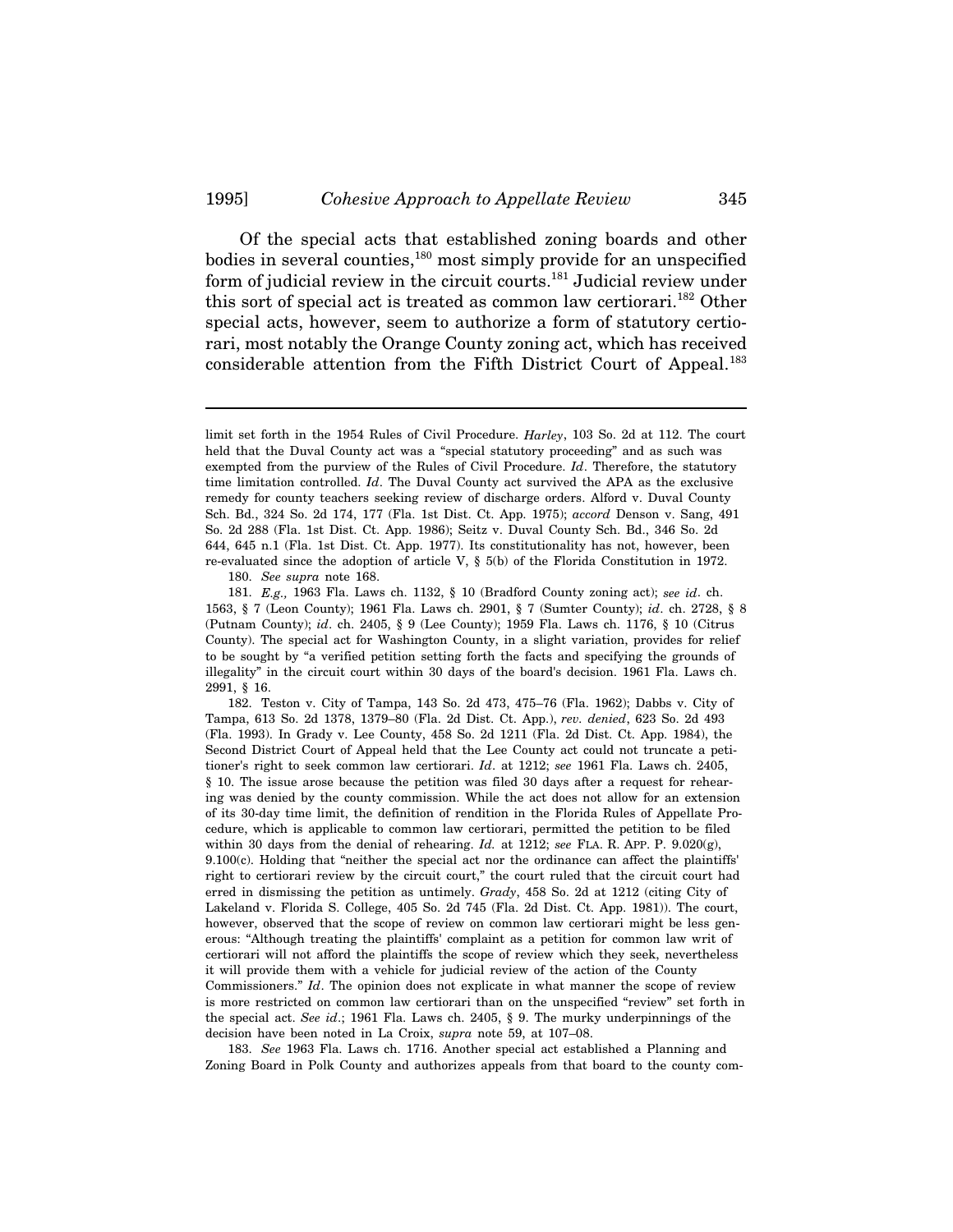Of the special acts that established zoning boards and other bodies in several counties, $180$  most simply provide for an unspecified form of judicial review in the circuit courts.<sup>181</sup> Judicial review under this sort of special act is treated as common law certiorari.<sup>182</sup> Other special acts, however, seem to authorize a form of statutory certiorari, most notably the Orange County zoning act, which has received considerable attention from the Fifth District Court of Appeal.<sup>183</sup>

180. *See supra* note 168.

181. *E.g.,* 1963 Fla. Laws ch. 1132, § 10 (Bradford County zoning act); *see id*. ch. 1563, § 7 (Leon County); 1961 Fla. Laws ch. 2901, § 7 (Sumter County); *id*. ch. 2728, § 8 (Putnam County); *id*. ch. 2405, § 9 (Lee County); 1959 Fla. Laws ch. 1176, § 10 (Citrus County). The special act for Washington County, in a slight variation, provides for relief to be sought by "a verified petition setting forth the facts and specifying the grounds of illegality" in the circuit court within 30 days of the board's decision. 1961 Fla. Laws ch. 2991, § 16.

182. Teston v. City of Tampa, 143 So. 2d 473, 475–76 (Fla. 1962); Dabbs v. City of Tampa, 613 So. 2d 1378, 1379–80 (Fla. 2d Dist. Ct. App.), *rev. denied*, 623 So. 2d 493 (Fla. 1993). In Grady v. Lee County, 458 So. 2d 1211 (Fla. 2d Dist. Ct. App. 1984), the Second District Court of Appeal held that the Lee County act could not truncate a petitioner's right to seek common law certiorari. *Id*. at 1212; *see* 1961 Fla. Laws ch. 2405, § 10. The issue arose because the petition was filed 30 days after a request for rehearing was denied by the county commission. While the act does not allow for an extension of its 30-day time limit, the definition of rendition in the Florida Rules of Appellate Procedure, which is applicable to common law certiorari, permitted the petition to be filed within 30 days from the denial of rehearing. *Id.* at 1212; *see* FLA. R. APP. P. 9.020(g), 9.100(c). Holding that "neither the special act nor the ordinance can affect the plaintiffs' right to certiorari review by the circuit court," the court ruled that the circuit court had erred in dismissing the petition as untimely. *Grady*, 458 So. 2d at 1212 (citing City of Lakeland v. Florida S. College, 405 So. 2d 745 (Fla. 2d Dist. Ct. App. 1981)). The court, however, observed that the scope of review on common law certiorari might be less generous: "Although treating the plaintiffs' complaint as a petition for common law writ of certiorari will not afford the plaintiffs the scope of review which they seek, nevertheless it will provide them with a vehicle for judicial review of the action of the County Commissioners." *Id*. The opinion does not explicate in what manner the scope of review is more restricted on common law certiorari than on the unspecified "review" set forth in the special act. *See id*.; 1961 Fla. Laws ch. 2405, § 9. The murky underpinnings of the decision have been noted in La Croix, *supra* note 59, at 107–08.

183. *See* 1963 Fla. Laws ch. 1716. Another special act established a Planning and Zoning Board in Polk County and authorizes appeals from that board to the county com-

limit set forth in the 1954 Rules of Civil Procedure. *Harley*, 103 So. 2d at 112. The court held that the Duval County act was a "special statutory proceeding" and as such was exempted from the purview of the Rules of Civil Procedure. *Id*. Therefore, the statutory time limitation controlled. *Id*. The Duval County act survived the APA as the exclusive remedy for county teachers seeking review of discharge orders. Alford v. Duval County Sch. Bd., 324 So. 2d 174, 177 (Fla. 1st Dist. Ct. App. 1975); *accord* Denson v. Sang, 491 So. 2d 288 (Fla. 1st Dist. Ct. App. 1986); Seitz v. Duval County Sch. Bd., 346 So. 2d 644, 645 n.1 (Fla. 1st Dist. Ct. App. 1977). Its constitutionality has not, however, been re-evaluated since the adoption of article V, § 5(b) of the Florida Constitution in 1972.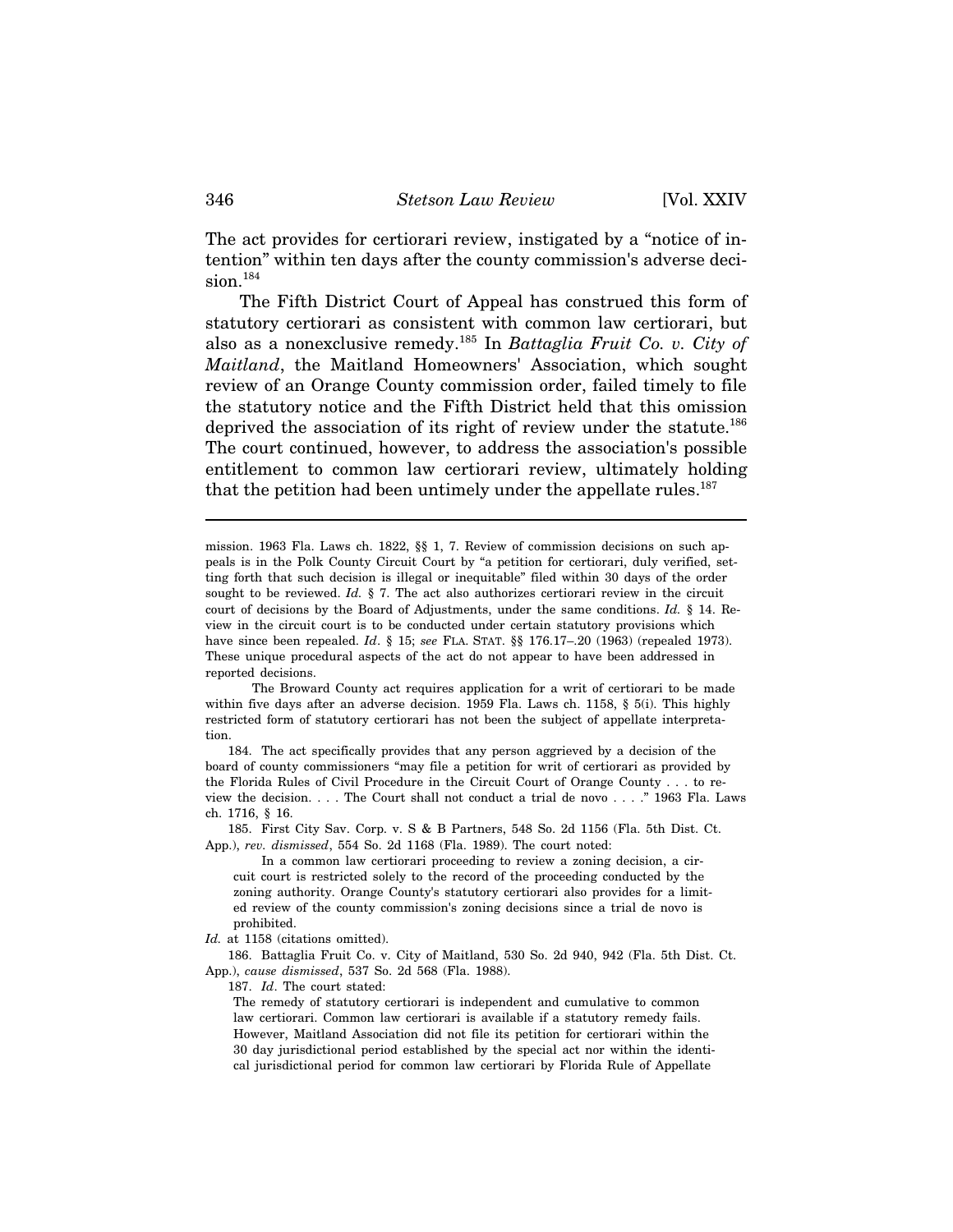The act provides for certiorari review, instigated by a "notice of intention" within ten days after the county commission's adverse decision.<sup>184</sup>

The Fifth District Court of Appeal has construed this form of statutory certiorari as consistent with common law certiorari, but also as a nonexclusive remedy.185 In *Battaglia Fruit Co. v. City of Maitland*, the Maitland Homeowners' Association, which sought review of an Orange County commission order, failed timely to file the statutory notice and the Fifth District held that this omission deprived the association of its right of review under the statute.<sup>186</sup> The court continued, however, to address the association's possible entitlement to common law certiorari review, ultimately holding that the petition had been untimely under the appellate rules.<sup>187</sup>

mission. 1963 Fla. Laws ch. 1822, §§ 1, 7. Review of commission decisions on such appeals is in the Polk County Circuit Court by "a petition for certiorari, duly verified, setting forth that such decision is illegal or inequitable" filed within 30 days of the order sought to be reviewed. *Id.* § 7. The act also authorizes certiorari review in the circuit court of decisions by the Board of Adjustments, under the same conditions. *Id.* § 14. Review in the circuit court is to be conducted under certain statutory provisions which have since been repealed. *Id*. § 15; *see* FLA. STAT. §§ 176.17–.20 (1963) (repealed 1973). These unique procedural aspects of the act do not appear to have been addressed in reported decisions.

The Broward County act requires application for a writ of certiorari to be made within five days after an adverse decision. 1959 Fla. Laws ch. 1158, § 5(i). This highly restricted form of statutory certiorari has not been the subject of appellate interpretation.

184. The act specifically provides that any person aggrieved by a decision of the board of county commissioners "may file a petition for writ of certiorari as provided by the Florida Rules of Civil Procedure in the Circuit Court of Orange County . . . to review the decision. . . . The Court shall not conduct a trial de novo . . . ." 1963 Fla. Laws ch. 1716, § 16.

185. First City Sav. Corp. v. S & B Partners, 548 So. 2d 1156 (Fla. 5th Dist. Ct. App.), *rev. dismissed*, 554 So. 2d 1168 (Fla. 1989). The court noted:

In a common law certiorari proceeding to review a zoning decision, a circuit court is restricted solely to the record of the proceeding conducted by the zoning authority. Orange County's statutory certiorari also provides for a limited review of the county commission's zoning decisions since a trial de novo is prohibited.

*Id.* at 1158 (citations omitted).

186. Battaglia Fruit Co. v. City of Maitland, 530 So. 2d 940, 942 (Fla. 5th Dist. Ct. App.), *cause dismissed*, 537 So. 2d 568 (Fla. 1988).

187. *Id*. The court stated:

The remedy of statutory certiorari is independent and cumulative to common law certiorari. Common law certiorari is available if a statutory remedy fails. However, Maitland Association did not file its petition for certiorari within the 30 day jurisdictional period established by the special act nor within the identical jurisdictional period for common law certiorari by Florida Rule of Appellate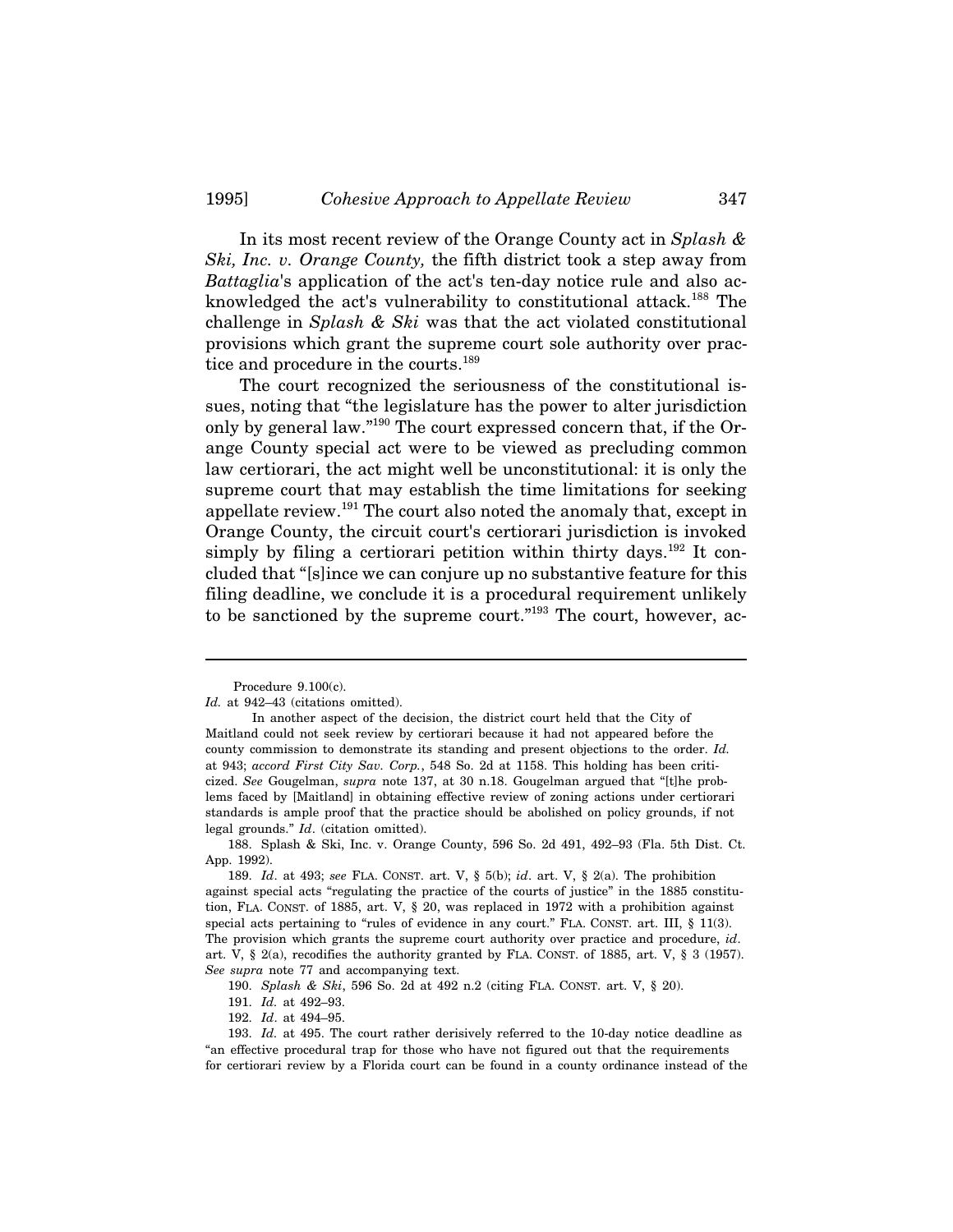In its most recent review of the Orange County act in *Splash & Ski, Inc. v. Orange County,* the fifth district took a step away from *Battaglia*'s application of the act's ten-day notice rule and also acknowledged the act's vulnerability to constitutional attack.<sup>188</sup> The challenge in *Splash & Ski* was that the act violated constitutional provisions which grant the supreme court sole authority over practice and procedure in the courts.<sup>189</sup>

The court recognized the seriousness of the constitutional issues, noting that "the legislature has the power to alter jurisdiction only by general law."190 The court expressed concern that, if the Orange County special act were to be viewed as precluding common law certiorari, the act might well be unconstitutional: it is only the supreme court that may establish the time limitations for seeking appellate review.191 The court also noted the anomaly that, except in Orange County, the circuit court's certiorari jurisdiction is invoked simply by filing a certiorari petition within thirty days.<sup>192</sup> It concluded that "[s]ince we can conjure up no substantive feature for this filing deadline, we conclude it is a procedural requirement unlikely to be sanctioned by the supreme court."<sup>193</sup> The court, however, ac-

Procedure 9.100(c).

*Id.* at 942–43 (citations omitted).

In another aspect of the decision, the district court held that the City of Maitland could not seek review by certiorari because it had not appeared before the county commission to demonstrate its standing and present objections to the order. *Id.* at 943; *accord First City Sav. Corp.*, 548 So. 2d at 1158. This holding has been criticized. *See* Gougelman, *supra* note 137, at 30 n.18. Gougelman argued that "[t]he problems faced by [Maitland] in obtaining effective review of zoning actions under certiorari standards is ample proof that the practice should be abolished on policy grounds, if not legal grounds." *Id*. (citation omitted).

<sup>188.</sup> Splash & Ski, Inc. v. Orange County, 596 So. 2d 491, 492–93 (Fla. 5th Dist. Ct. App. 1992).

<sup>189.</sup> *Id*. at 493; *see* FLA. CONST. art. V, § 5(b); *id*. art. V, § 2(a). The prohibition against special acts "regulating the practice of the courts of justice" in the 1885 constitution, FLA. CONST. of 1885, art. V, § 20, was replaced in 1972 with a prohibition against special acts pertaining to "rules of evidence in any court." FLA. CONST. art. III, § 11(3). The provision which grants the supreme court authority over practice and procedure, *id*. art. V, § 2(a), recodifies the authority granted by FLA. CONST. of 1885, art. V, § 3 (1957). *See supra* note 77 and accompanying text.

<sup>190.</sup> *Splash & Ski*, 596 So. 2d at 492 n.2 (citing FLA. CONST. art. V, § 20).

<sup>191.</sup> *Id.* at 492–93.

<sup>192.</sup> *Id*. at 494–95.

<sup>193.</sup> *Id.* at 495. The court rather derisively referred to the 10-day notice deadline as "an effective procedural trap for those who have not figured out that the requirements for certiorari review by a Florida court can be found in a county ordinance instead of the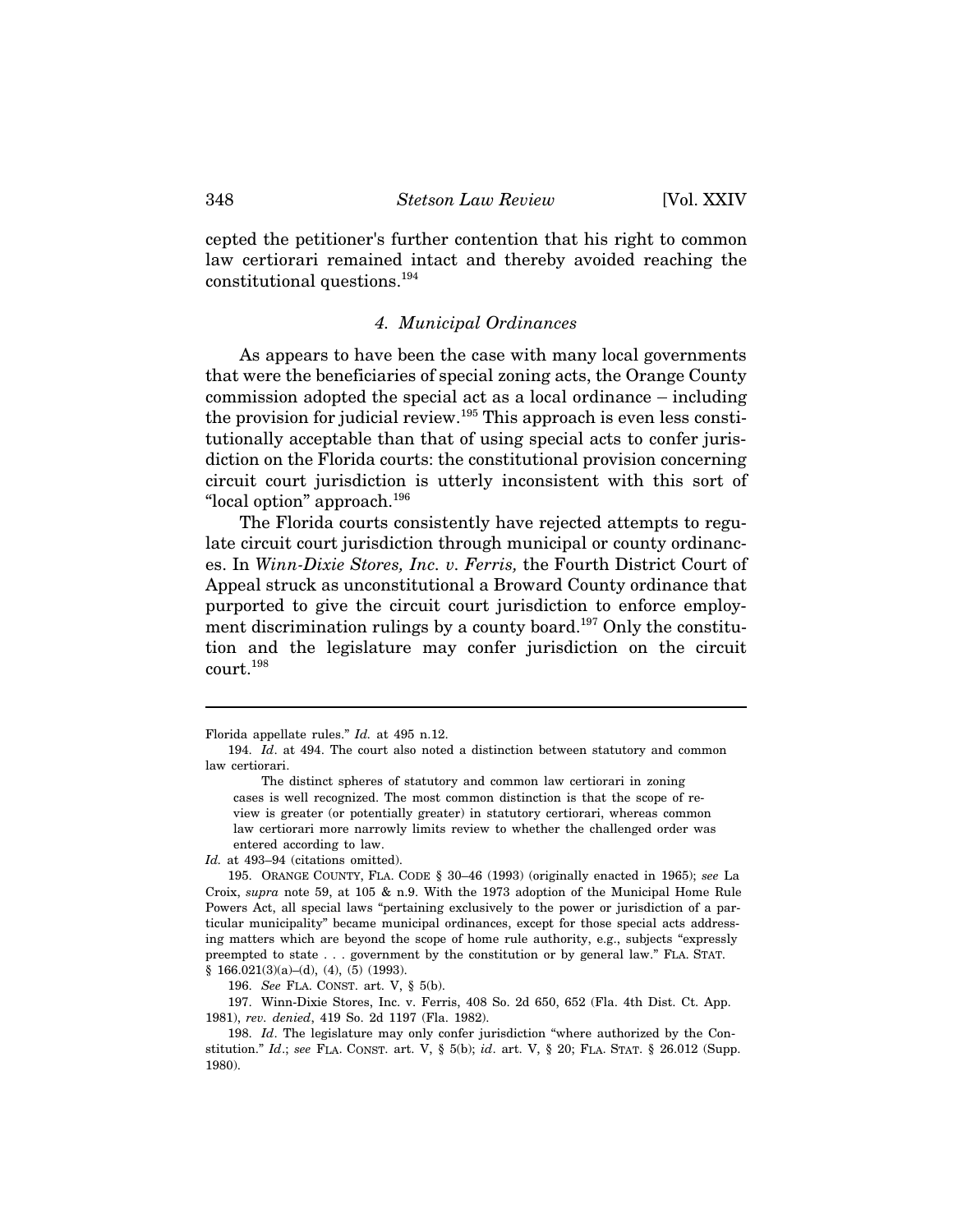cepted the petitioner's further contention that his right to common law certiorari remained intact and thereby avoided reaching the constitutional questions.194

#### *4. Municipal Ordinances*

As appears to have been the case with many local governments that were the beneficiaries of special zoning acts, the Orange County 4. Municipal Ordinances<br>As appears to have been the case with many local governments<br>that were the beneficiaries of special zoning acts, the Orange County<br>commission adopted the special act as a local ordinance – including the provision for judicial review.195 This approach is even less constitutionally acceptable than that of using special acts to confer jurisdiction on the Florida courts: the constitutional provision concerning circuit court jurisdiction is utterly inconsistent with this sort of "local option" approach.196

The Florida courts consistently have rejected attempts to regulate circuit court jurisdiction through municipal or county ordinances. In *Winn-Dixie Stores, Inc. v. Ferris,* the Fourth District Court of Appeal struck as unconstitutional a Broward County ordinance that purported to give the circuit court jurisdiction to enforce employment discrimination rulings by a county board.<sup>197</sup> Only the constitution and the legislature may confer jurisdiction on the circuit court.198

*Id.* at 493–94 (citations omitted).

196. *See* FLA. CONST. art. V, § 5(b).

197. Winn-Dixie Stores, Inc. v. Ferris, 408 So. 2d 650, 652 (Fla. 4th Dist. Ct. App. 1981), *rev. denied*, 419 So. 2d 1197 (Fla. 1982).

198. *Id*. The legislature may only confer jurisdiction "where authorized by the Constitution." *Id*.; *see* FLA. CONST. art. V, § 5(b); *id*. art. V, § 20; FLA. STAT. § 26.012 (Supp. 1980).

Florida appellate rules." *Id.* at 495 n.12.

<sup>194.</sup> *Id*. at 494. The court also noted a distinction between statutory and common law certiorari.

The distinct spheres of statutory and common law certiorari in zoning cases is well recognized. The most common distinction is that the scope of review is greater (or potentially greater) in statutory certiorari, whereas common law certiorari more narrowly limits review to whether the challenged order was entered according to law.

<sup>195.</sup> ORANGE COUNTY, FLA. CODE § 30–46 (1993) (originally enacted in 1965); *see* La Croix, *supra* note 59, at 105 & n.9. With the 1973 adoption of the Municipal Home Rule Powers Act, all special laws "pertaining exclusively to the power or jurisdiction of a particular municipality" became municipal ordinances, except for those special acts addressing matters which are beyond the scope of home rule authority, e.g., subjects "expressly preempted to state . . . government by the constitution or by general law." FLA. STAT.  $§ 166.021(3)(a)–(d), (4), (5) (1993).$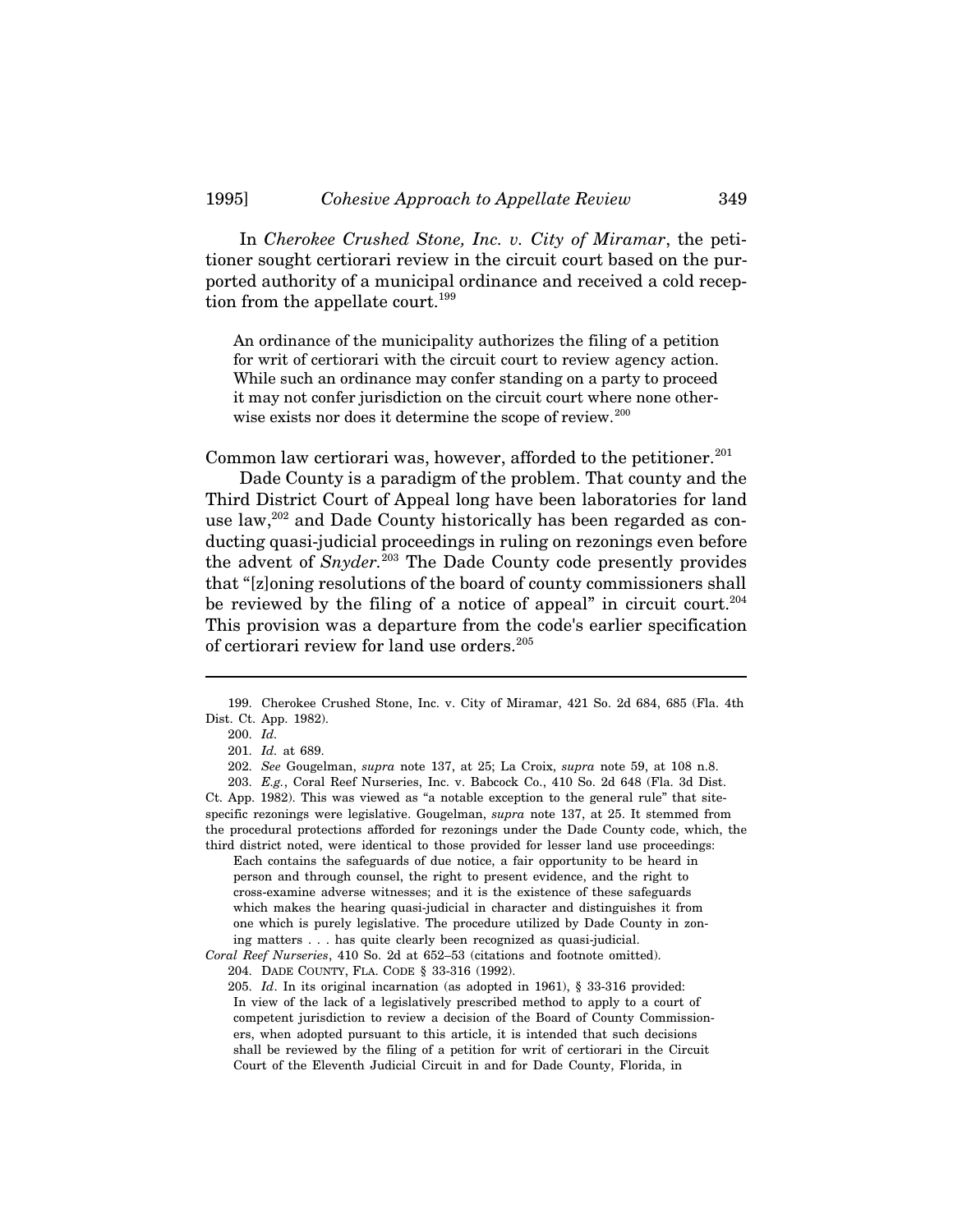In *Cherokee Crushed Stone, Inc. v. City of Miramar*, the petitioner sought certiorari review in the circuit court based on the purported authority of a municipal ordinance and received a cold reception from the appellate court.<sup>199</sup>

An ordinance of the municipality authorizes the filing of a petition for writ of certiorari with the circuit court to review agency action. While such an ordinance may confer standing on a party to proceed it may not confer jurisdiction on the circuit court where none otherwise exists nor does it determine the scope of review.<sup>200</sup>

Common law certiorari was, however, afforded to the petitioner. $201$ 

Dade County is a paradigm of the problem. That county and the Third District Court of Appeal long have been laboratories for land use law,<sup>202</sup> and Dade County historically has been regarded as conducting quasi-judicial proceedings in ruling on rezonings even before the advent of *Snyder.*203 The Dade County code presently provides that "[z]oning resolutions of the board of county commissioners shall be reviewed by the filing of a notice of appeal" in circuit court.<sup>204</sup> This provision was a departure from the code's earlier specification of certiorari review for land use orders.<sup>205</sup>

Each contains the safeguards of due notice, a fair opportunity to be heard in person and through counsel, the right to present evidence, and the right to cross-examine adverse witnesses; and it is the existence of these safeguards which makes the hearing quasi-judicial in character and distinguishes it from one which is purely legislative. The procedure utilized by Dade County in zoning matters . . . has quite clearly been recognized as quasi-judicial. *Coral Reef Nurseries*, 410 So. 2d at 652–53 (citations and footnote omitted).

204. DADE COUNTY, FLA. CODE § 33-316 (1992).

205. *Id*. In its original incarnation (as adopted in 1961), § 33-316 provided: In view of the lack of a legislatively prescribed method to apply to a court of competent jurisdiction to review a decision of the Board of County Commissioners, when adopted pursuant to this article, it is intended that such decisions shall be reviewed by the filing of a petition for writ of certiorari in the Circuit Court of the Eleventh Judicial Circuit in and for Dade County, Florida, in

<sup>199.</sup> Cherokee Crushed Stone, Inc. v. City of Miramar, 421 So. 2d 684, 685 (Fla. 4th Dist. Ct. App. 1982).

<sup>200.</sup> *Id.*

<sup>201.</sup> *Id.* at 689.

<sup>202.</sup> *See* Gougelman, *supra* note 137, at 25; La Croix, *supra* note 59, at 108 n.8.

<sup>203.</sup> *E.g.*, Coral Reef Nurseries, Inc. v. Babcock Co., 410 So. 2d 648 (Fla. 3d Dist. Ct. App. 1982). This was viewed as "a notable exception to the general rule" that sitespecific rezonings were legislative. Gougelman, *supra* note 137, at 25. It stemmed from the procedural protections afforded for rezonings under the Dade County code, which, the third district noted, were identical to those provided for lesser land use proceedings: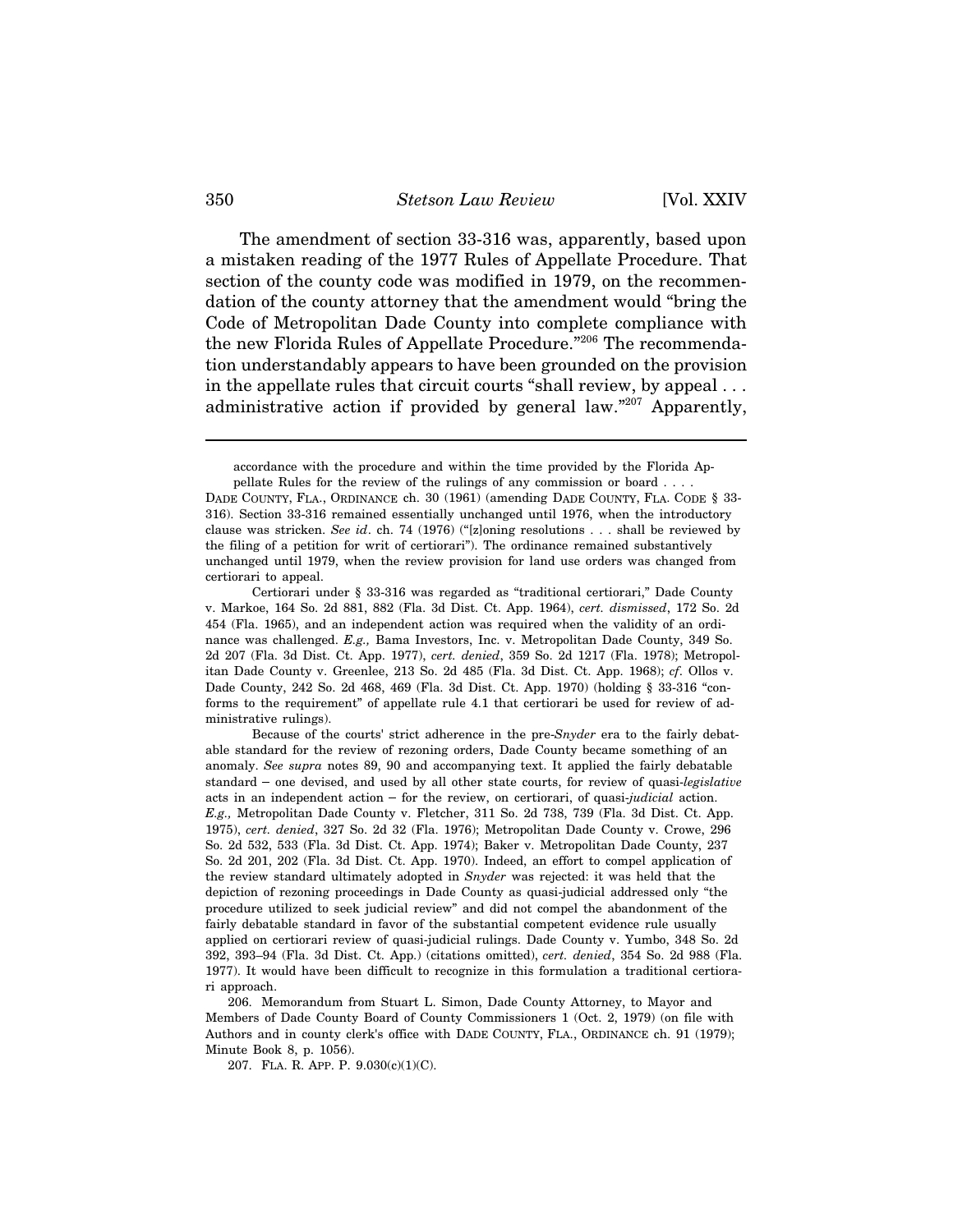#### 350 *Stetson Law Review* [Vol. XXIV

The amendment of section 33-316 was, apparently, based upon a mistaken reading of the 1977 Rules of Appellate Procedure. That section of the county code was modified in 1979, on the recommendation of the county attorney that the amendment would "bring the Code of Metropolitan Dade County into complete compliance with the new Florida Rules of Appellate Procedure."206 The recommendation understandably appears to have been grounded on the provision in the appellate rules that circuit courts "shall review, by appeal . . . administrative action if provided by general law."207 Apparently,

accordance with the procedure and within the time provided by the Florida Appellate Rules for the review of the rulings of any commission or board . . . .

Certiorari under § 33-316 was regarded as "traditional certiorari," Dade County v. Markoe, 164 So. 2d 881, 882 (Fla. 3d Dist. Ct. App. 1964), *cert. dismissed*, 172 So. 2d 454 (Fla. 1965), and an independent action was required when the validity of an ordinance was challenged. *E.g.,* Bama Investors, Inc. v. Metropolitan Dade County, 349 So. 2d 207 (Fla. 3d Dist. Ct. App. 1977), *cert. denied*, 359 So. 2d 1217 (Fla. 1978); Metropolitan Dade County v. Greenlee, 213 So. 2d 485 (Fla. 3d Dist. Ct. App. 1968); *cf*. Ollos v. Dade County, 242 So. 2d 468, 469 (Fla. 3d Dist. Ct. App. 1970) (holding § 33-316 "conforms to the requirement" of appellate rule 4.1 that certiorari be used for review of administrative rulings).

Because of the courts' strict adherence in the pre-*Snyder* era to the fairly debatable standard for the review of rezoning orders, Dade County became something of an anomaly. *See supra* notes 89, 90 and accompanying text. It applied the fairly debatable standard to the requirement" of appellate rule 4.1 that certiorari be used for review of administrative rulings).<br>Because of the courts' strict adherence in the pre-*Snyder* era to the fairly debatable standard for the rev ministrative rulings).<br>Because of the courts' strict adherence in the pre-*Snyder* era to the fairly del<br>able standard for the review of rezoning orders, Dade County became something of a<br>anomaly. *See supra* notes 89, 90 *E.g.,* Metropolitan Dade County v. Fletcher, 311 So. 2d 738, 739 (Fla. 3d Dist. Ct. App. 1975), *cert. denied*, 327 So. 2d 32 (Fla. 1976); Metropolitan Dade County v. Crowe, 296 So. 2d 532, 533 (Fla. 3d Dist. Ct. App. 1974); Baker v. Metropolitan Dade County, 237 So. 2d 201, 202 (Fla. 3d Dist. Ct. App. 1970). Indeed, an effort to compel application of the review standard ultimately adopted in *Snyder* was rejected: it was held that the depiction of rezoning proceedings in Dade County as quasi-judicial addressed only "the procedure utilized to seek judicial review" and did not compel the abandonment of the fairly debatable standard in favor of the substantial competent evidence rule usually applied on certiorari review of quasi-judicial rulings. Dade County v. Yumbo, 348 So. 2d 392, 393–94 (Fla. 3d Dist. Ct. App.) (citations omitted), *cert. denied*, 354 So. 2d 988 (Fla. 1977). It would have been difficult to recognize in this formulation a traditional certiorari approach.

207. FLA. R. APP. P. 9.030(c)(1)(C).

DADE COUNTY, FLA., ORDINANCE ch. 30 (1961) (amending DADE COUNTY, FLA. CODE § 33- 316). Section 33-316 remained essentially unchanged until 1976, when the introductory clause was stricken. *See id*. ch. 74 (1976) ("[z]oning resolutions . . . shall be reviewed by the filing of a petition for writ of certiorari"). The ordinance remained substantively unchanged until 1979, when the review provision for land use orders was changed from certiorari to appeal.

<sup>206.</sup> Memorandum from Stuart L. Simon, Dade County Attorney, to Mayor and Members of Dade County Board of County Commissioners 1 (Oct. 2, 1979) (on file with Authors and in county clerk's office with DADE COUNTY, FLA., ORDINANCE ch. 91 (1979); Minute Book 8, p. 1056).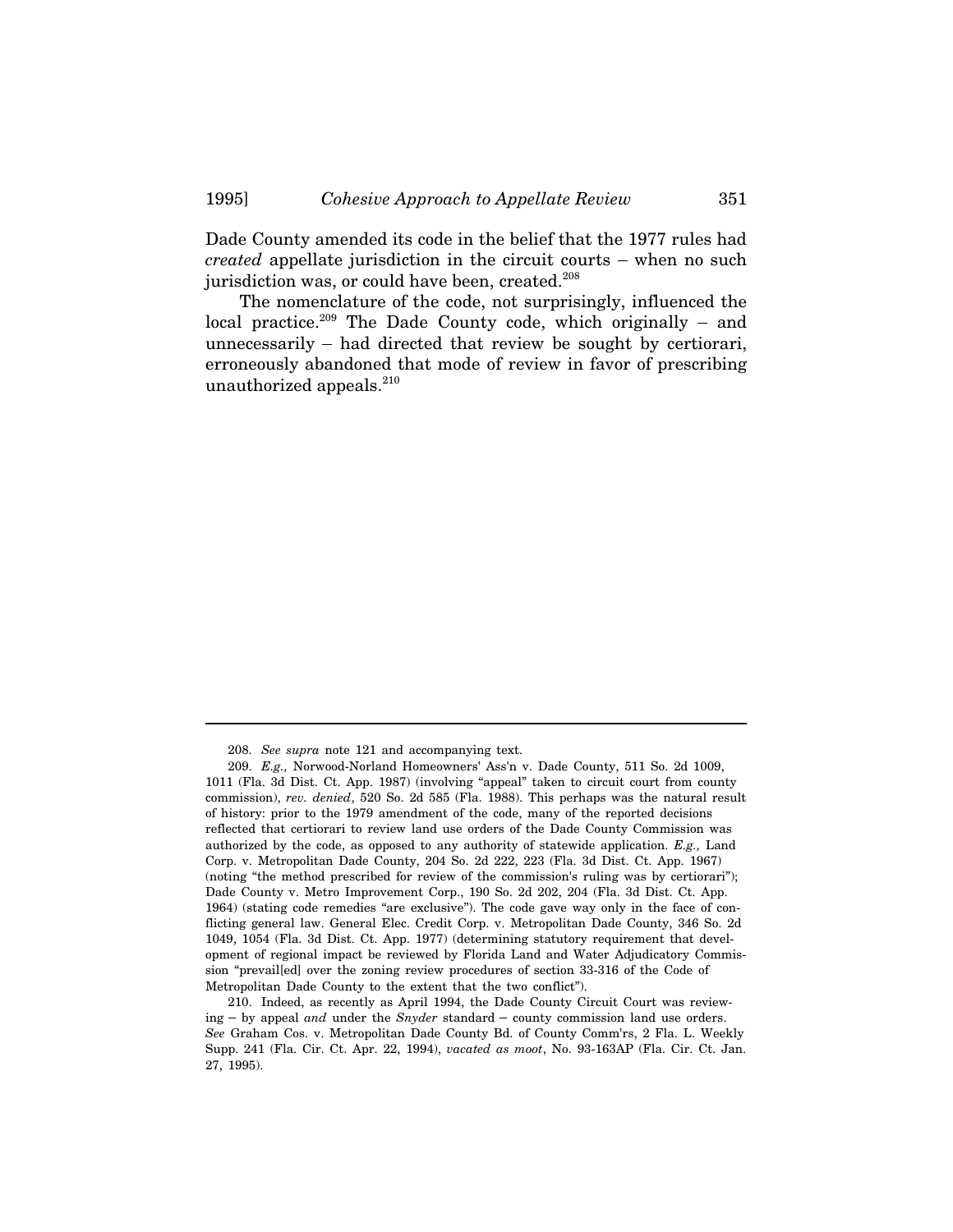Dade County amended its code in the belief that the 1977 rules had 1995] *Cohesive Approach to Appellate Review* 351<br>Dade County amended its code in the belief that the 1977 rules had<br>*created* appellate jurisdiction in the circuit courts – when no such jurisdiction was, or could have been, created.<sup>208</sup> Dade County amended its code in the belief that the 1977 rules had *created* appellate jurisdiction in the circuit courts – when no such jurisdiction was, or could have been, created.<sup>208</sup> The nomenclature of the code, no

The nomenclature of the code, not surprisingly, influenced the created appellate jurisdiction in the circuit courts – when no such<br>jurisdiction was, or could have been, created.<sup>208</sup><br>The nomenclature of the code, not surprisingly, influenced the<br>local practice.<sup>209</sup> The Dade County co erroneously abandoned that mode of review in favor of prescribing unauthorized appeals. $210$ 

<sup>208.</sup> *See supra* note 121 and accompanying text.

<sup>209.</sup> *E.g.,* Norwood-Norland Homeowners' Ass'n v. Dade County, 511 So. 2d 1009, 1011 (Fla. 3d Dist. Ct. App. 1987) (involving "appeal" taken to circuit court from county commission), *rev. denied*, 520 So. 2d 585 (Fla. 1988). This perhaps was the natural result of history: prior to the 1979 amendment of the code, many of the reported decisions reflected that certiorari to review land use orders of the Dade County Commission was authorized by the code, as opposed to any authority of statewide application. *E.g.,* Land Corp. v. Metropolitan Dade County, 204 So. 2d 222, 223 (Fla. 3d Dist. Ct. App. 1967) (noting "the method prescribed for review of the commission's ruling was by certiorari"); Dade County v. Metro Improvement Corp., 190 So. 2d 202, 204 (Fla. 3d Dist. Ct. App. 1964) (stating code remedies "are exclusive"). The code gave way only in the face of conflicting general law. General Elec. Credit Corp. v. Metropolitan Dade County, 346 So. 2d 1049, 1054 (Fla. 3d Dist. Ct. App. 1977) (determining statutory requirement that development of regional impact be reviewed by Florida Land and Water Adjudicatory Commission "prevail[ed] over the zoning review procedures of section 33-316 of the Code of Metropolitan Dade County to the extent that the two conflict").

<sup>210.</sup> Indeed, as recently as April 1994, the Dade County Circuit Court was reviewing – by appeal *and* under the *Snyder* standard – county commission land use orders. *See* Graham Cos. v. Metropolitan Dade County Bd. of County Comm'rs, 2 Fla. L. Weekly Supp. 241 (Fla. Cir. Ct. Apr. 22, 1994), *vacated as moot*, No. 93-163AP (Fla. Cir. Ct. Jan. 27, 1995).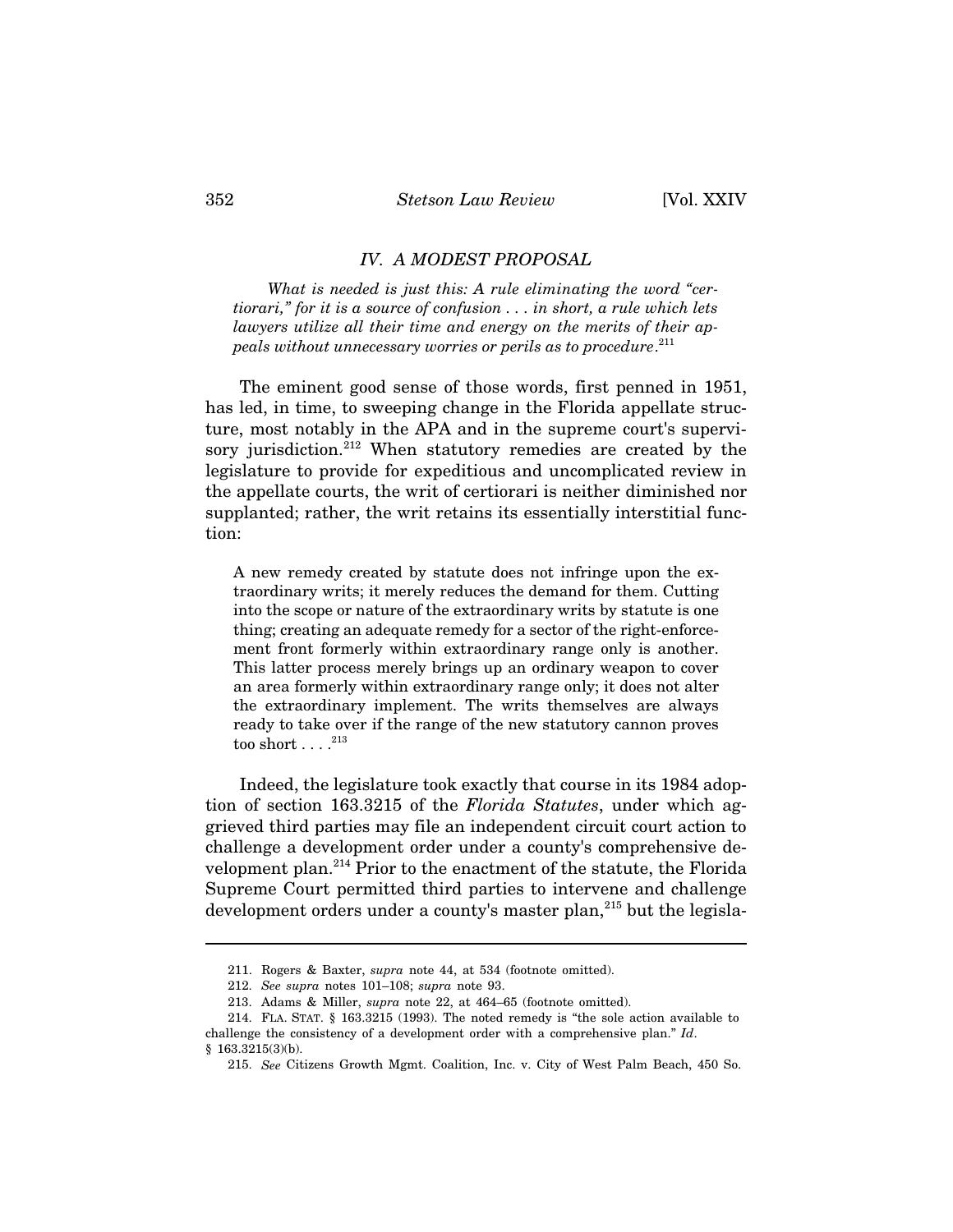#### *IV. A MODEST PROPOSAL*

*What is needed is just this: A rule eliminating the word "certiorari," for it is a source of confusion . . . in short, a rule which lets lawyers utilize all their time and energy on the merits of their appeals without unnecessary worries or perils as to procedure*. 211

The eminent good sense of those words, first penned in 1951, has led, in time, to sweeping change in the Florida appellate structure, most notably in the APA and in the supreme court's supervisory jurisdiction.<sup>212</sup> When statutory remedies are created by the legislature to provide for expeditious and uncomplicated review in the appellate courts, the writ of certiorari is neither diminished nor supplanted; rather, the writ retains its essentially interstitial function:

A new remedy created by statute does not infringe upon the extraordinary writs; it merely reduces the demand for them. Cutting into the scope or nature of the extraordinary writs by statute is one thing; creating an adequate remedy for a sector of the right-enforcement front formerly within extraordinary range only is another. This latter process merely brings up an ordinary weapon to cover an area formerly within extraordinary range only; it does not alter the extraordinary implement. The writs themselves are always ready to take over if the range of the new statutory cannon proves too short  $\dots$ .<sup>213</sup>

Indeed, the legislature took exactly that course in its 1984 adoption of section 163.3215 of the *Florida Statutes*, under which aggrieved third parties may file an independent circuit court action to challenge a development order under a county's comprehensive development plan.214 Prior to the enactment of the statute, the Florida Supreme Court permitted third parties to intervene and challenge development orders under a county's master plan,  $215$  but the legisla-

<sup>211.</sup> Rogers & Baxter, *supra* note 44, at 534 (footnote omitted).

<sup>212.</sup> *See supra* notes 101–108; *supra* note 93.

<sup>213.</sup> Adams & Miller, *supra* note 22, at 464–65 (footnote omitted).

<sup>214.</sup> FLA. STAT. § 163.3215 (1993). The noted remedy is "the sole action available to challenge the consistency of a development order with a comprehensive plan." *Id*. § 163.3215(3)(b).

<sup>215.</sup> *See* Citizens Growth Mgmt. Coalition, Inc. v. City of West Palm Beach, 450 So.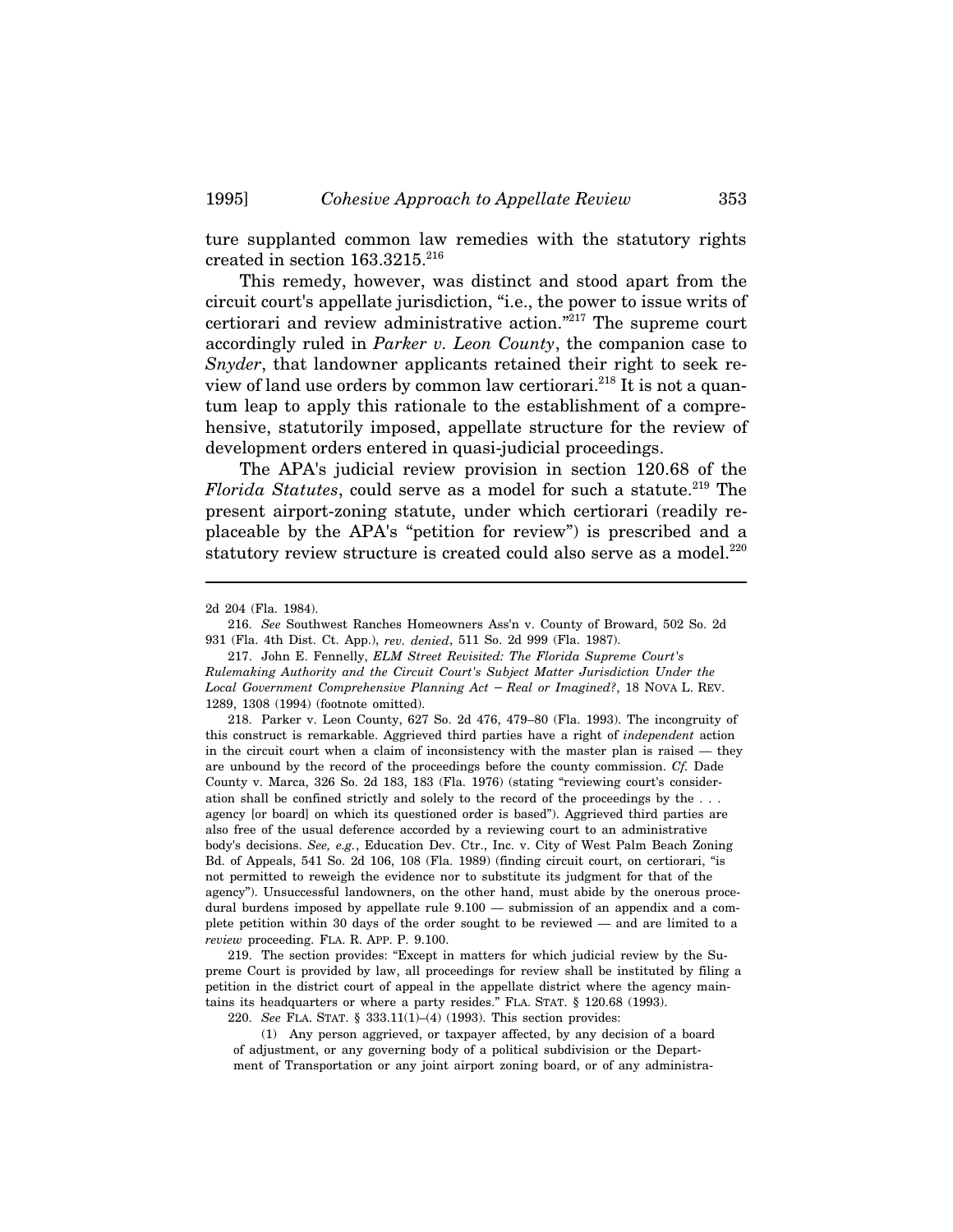ture supplanted common law remedies with the statutory rights created in section  $163.3215.^{216}$ 

This remedy, however, was distinct and stood apart from the circuit court's appellate jurisdiction, "i.e., the power to issue writs of certiorari and review administrative action."217 The supreme court accordingly ruled in *Parker v. Leon County*, the companion case to *Snyder*, that landowner applicants retained their right to seek review of land use orders by common law certiorari.<sup>218</sup> It is not a quantum leap to apply this rationale to the establishment of a comprehensive, statutorily imposed, appellate structure for the review of development orders entered in quasi-judicial proceedings.

The APA's judicial review provision in section 120.68 of the *Florida Statutes*, could serve as a model for such a statute.<sup>219</sup> The present airport-zoning statute, under which certiorari (readily replaceable by the APA's "petition for review") is prescribed and a statutory review structure is created could also serve as a model.<sup>220</sup>

218. Parker v. Leon County, 627 So. 2d 476, 479–80 (Fla. 1993). The incongruity of this construct is remarkable. Aggrieved third parties have a right of *independent* action in the circuit court when a claim of inconsistency with the master plan is raised — they are unbound by the record of the proceedings before the county commission. *Cf.* Dade County v. Marca, 326 So. 2d 183, 183 (Fla. 1976) (stating "reviewing court's consideration shall be confined strictly and solely to the record of the proceedings by the . . . agency [or board] on which its questioned order is based"). Aggrieved third parties are also free of the usual deference accorded by a reviewing court to an administrative body's decisions. *See, e.g.*, Education Dev. Ctr., Inc. v. City of West Palm Beach Zoning Bd. of Appeals, 541 So. 2d 106, 108 (Fla. 1989) (finding circuit court, on certiorari, "is not permitted to reweigh the evidence nor to substitute its judgment for that of the agency"). Unsuccessful landowners, on the other hand, must abide by the onerous procedural burdens imposed by appellate rule 9.100 — submission of an appendix and a complete petition within 30 days of the order sought to be reviewed — and are limited to a *review* proceeding. FLA. R. APP. P. 9.100.

219. The section provides: "Except in matters for which judicial review by the Supreme Court is provided by law, all proceedings for review shall be instituted by filing a petition in the district court of appeal in the appellate district where the agency maintains its headquarters or where a party resides." FLA. STAT. § 120.68 (1993).

220. *See* FLA. STAT. § 333.11(1)–(4) (1993). This section provides:

(1) Any person aggrieved, or taxpayer affected, by any decision of a board of adjustment, or any governing body of a political subdivision or the Department of Transportation or any joint airport zoning board, or of any administra-

<sup>2</sup>d 204 (Fla. 1984).

<sup>216.</sup> *See* Southwest Ranches Homeowners Ass'n v. County of Broward, 502 So. 2d 931 (Fla. 4th Dist. Ct. App.), *rev. denied*, 511 So. 2d 999 (Fla. 1987).

<sup>217.</sup> John E. Fennelly, *ELM Street Revisited: The Florida Supreme Court's Rulemaking Authority and the Circuit Court's Subject Matter Jurisdiction Under the Local Government Comprehensive Planning Act Real or Imagined?*, 18 NOVA L. REV. 1289, 1308 (1994) (footnote omitted).